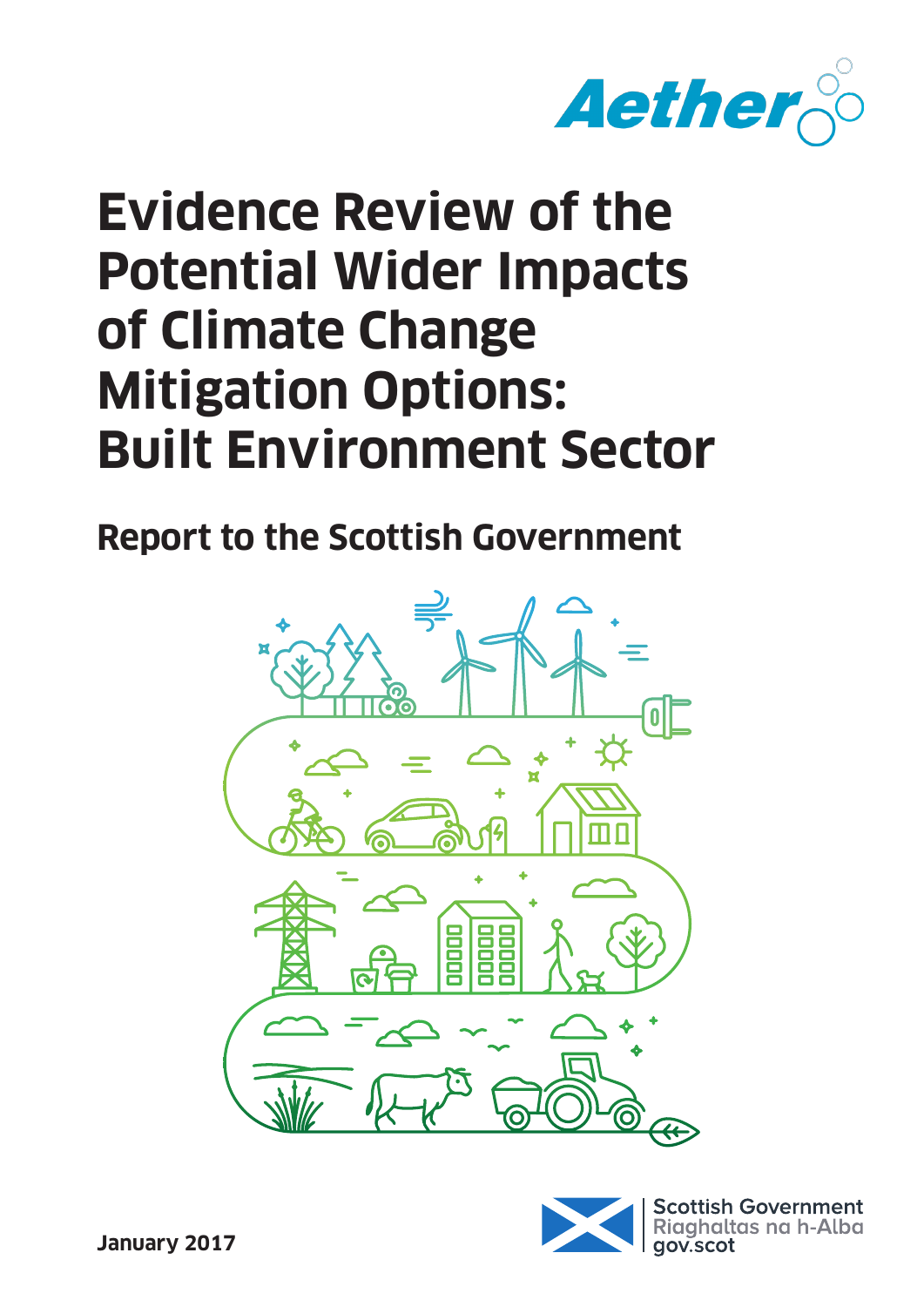

# **Evidence Review of the Potential Wider Impacts of Climate Change Mitigation Options: Built Environment Sector**

**Report to the Scottish Government**



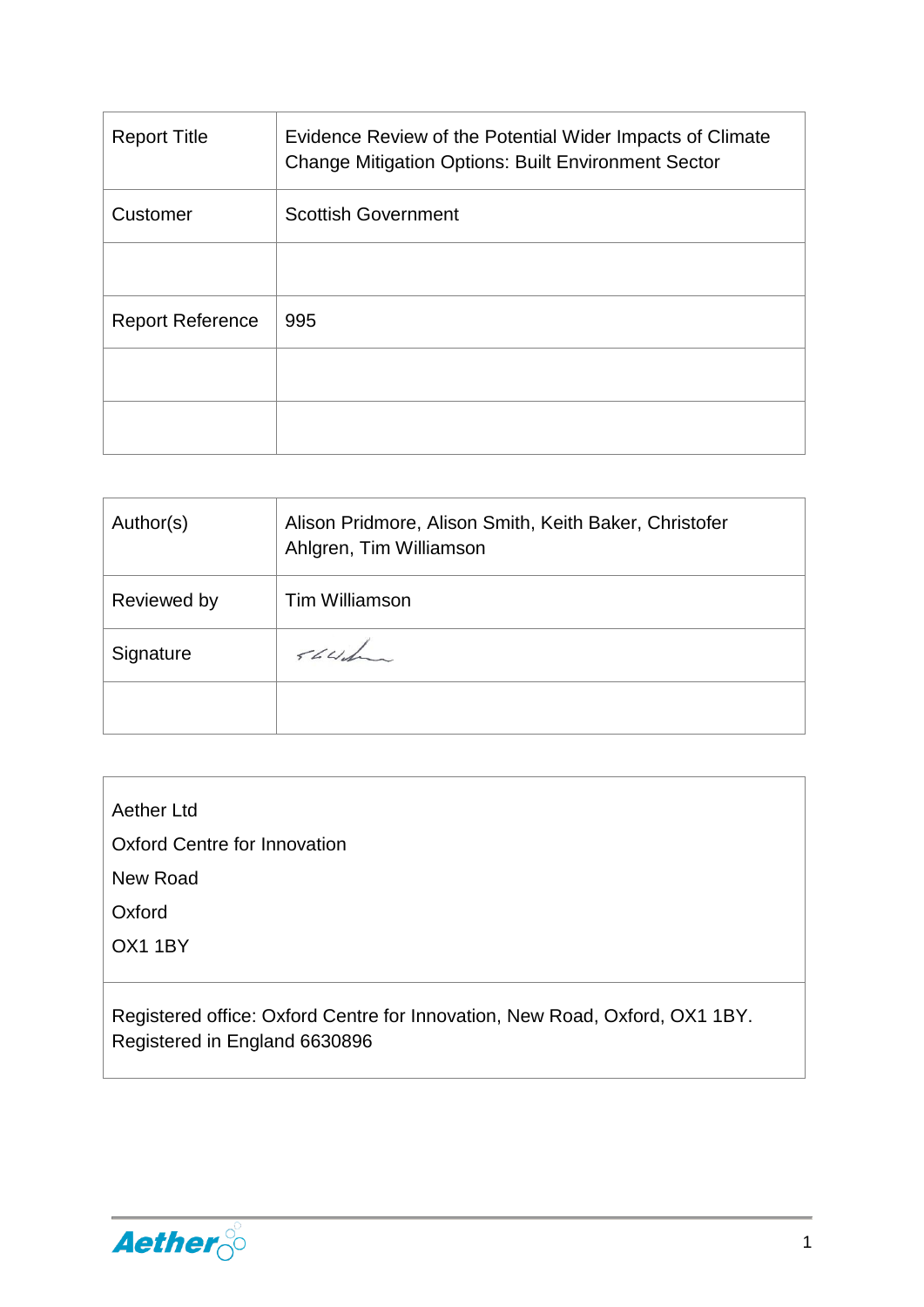| <b>Report Title</b>     | Evidence Review of the Potential Wider Impacts of Climate<br><b>Change Mitigation Options: Built Environment Sector</b> |
|-------------------------|-------------------------------------------------------------------------------------------------------------------------|
| Customer                | <b>Scottish Government</b>                                                                                              |
|                         |                                                                                                                         |
| <b>Report Reference</b> | 995                                                                                                                     |
|                         |                                                                                                                         |
|                         |                                                                                                                         |

| Author(s)   | Alison Pridmore, Alison Smith, Keith Baker, Christofer<br>Ahlgren, Tim Williamson |
|-------------|-----------------------------------------------------------------------------------|
| Reviewed by | <b>Tim Williamson</b>                                                             |
| Signature   | 564                                                                               |
|             |                                                                                   |

Aether Ltd

Oxford Centre for Innovation

New Road

**Oxford** 

OX1 1BY

Registered office: Oxford Centre for Innovation, New Road, Oxford, OX1 1BY. Registered in England 6630896

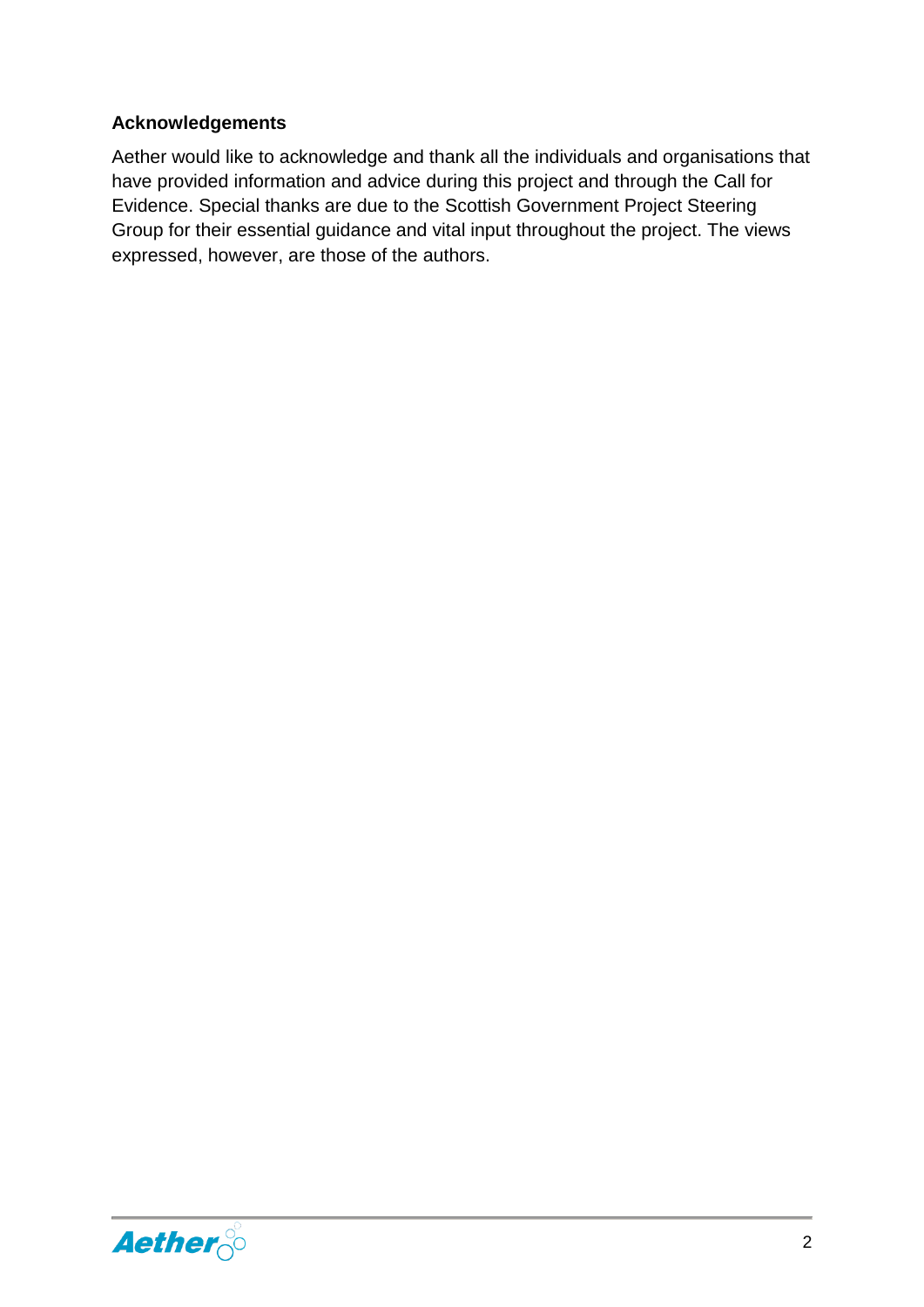#### **Acknowledgements**

Aether would like to acknowledge and thank all the individuals and organisations that have provided information and advice during this project and through the Call for Evidence. Special thanks are due to the Scottish Government Project Steering Group for their essential guidance and vital input throughout the project. The views expressed, however, are those of the authors.

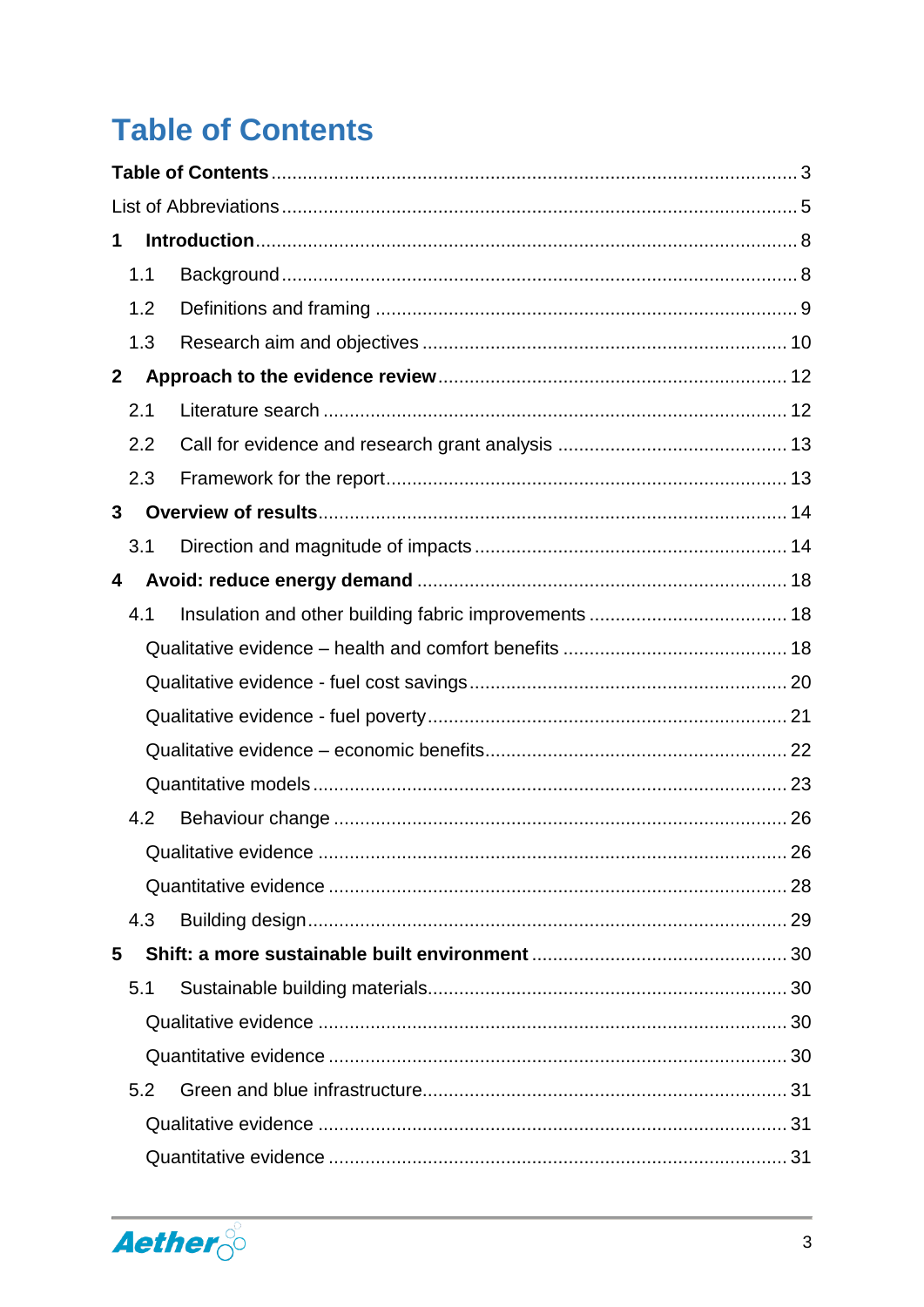# <span id="page-3-0"></span>**Table of Contents**

| 1            |     |  |                            |  |  |
|--------------|-----|--|----------------------------|--|--|
|              | 1.1 |  |                            |  |  |
|              | 1.2 |  |                            |  |  |
|              | 1.3 |  |                            |  |  |
| $\mathbf{2}$ |     |  |                            |  |  |
|              | 2.1 |  |                            |  |  |
|              | 2.2 |  |                            |  |  |
|              | 2.3 |  |                            |  |  |
| 3            |     |  |                            |  |  |
|              | 3.1 |  |                            |  |  |
| 4            |     |  |                            |  |  |
|              | 4.1 |  |                            |  |  |
|              |     |  |                            |  |  |
|              |     |  |                            |  |  |
|              |     |  |                            |  |  |
|              |     |  |                            |  |  |
|              |     |  |                            |  |  |
|              | 4.2 |  |                            |  |  |
|              |     |  | Qualitative evidence<br>26 |  |  |
|              |     |  |                            |  |  |
|              | 4.3 |  |                            |  |  |
| 5            |     |  |                            |  |  |
|              | 5.1 |  |                            |  |  |
|              |     |  |                            |  |  |
|              |     |  |                            |  |  |
|              | 5.2 |  |                            |  |  |
|              |     |  |                            |  |  |
|              |     |  |                            |  |  |

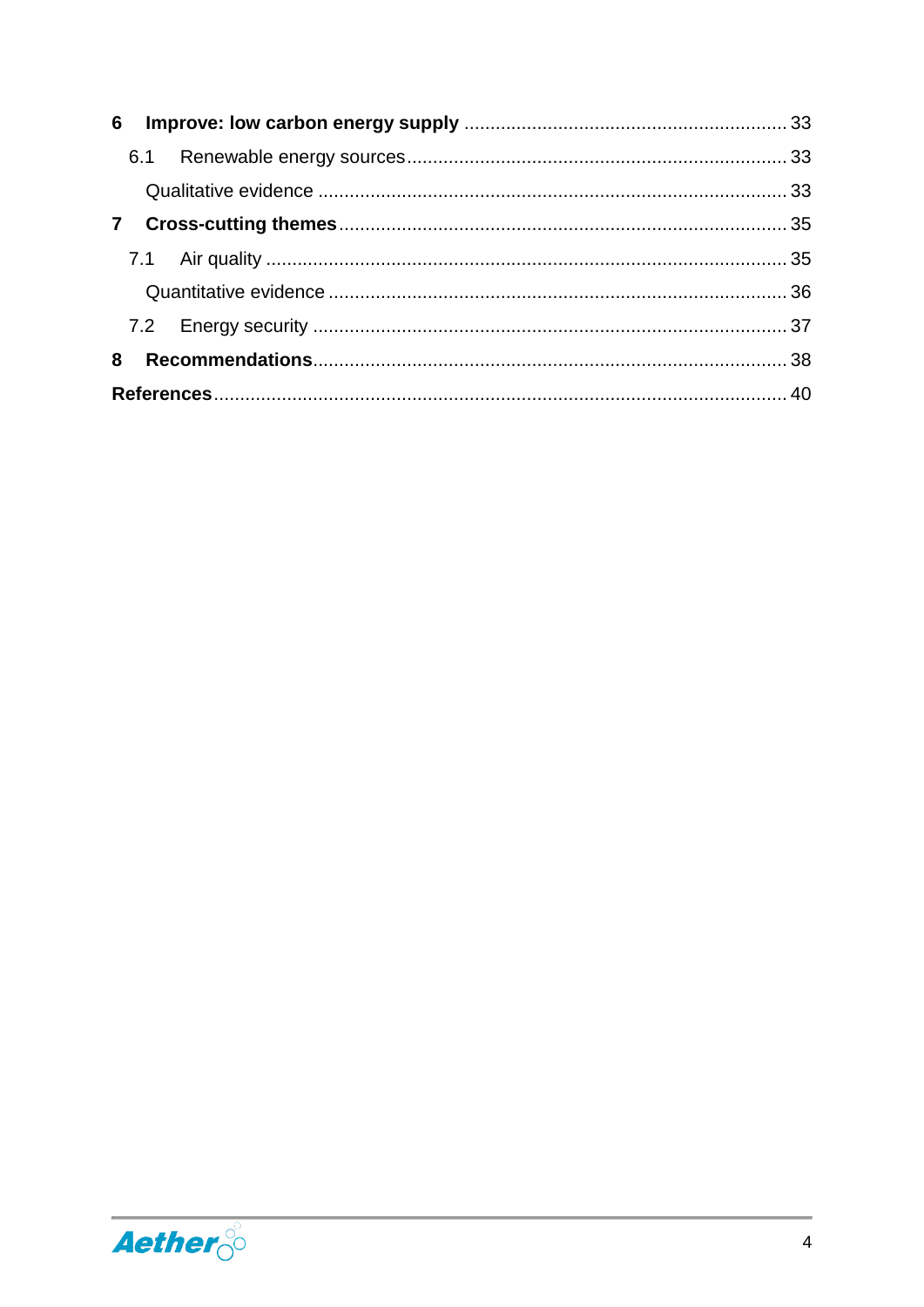| $\mathbf{7}$ |  |  |  |  |
|--------------|--|--|--|--|
|              |  |  |  |  |
|              |  |  |  |  |
|              |  |  |  |  |
| 8            |  |  |  |  |
|              |  |  |  |  |

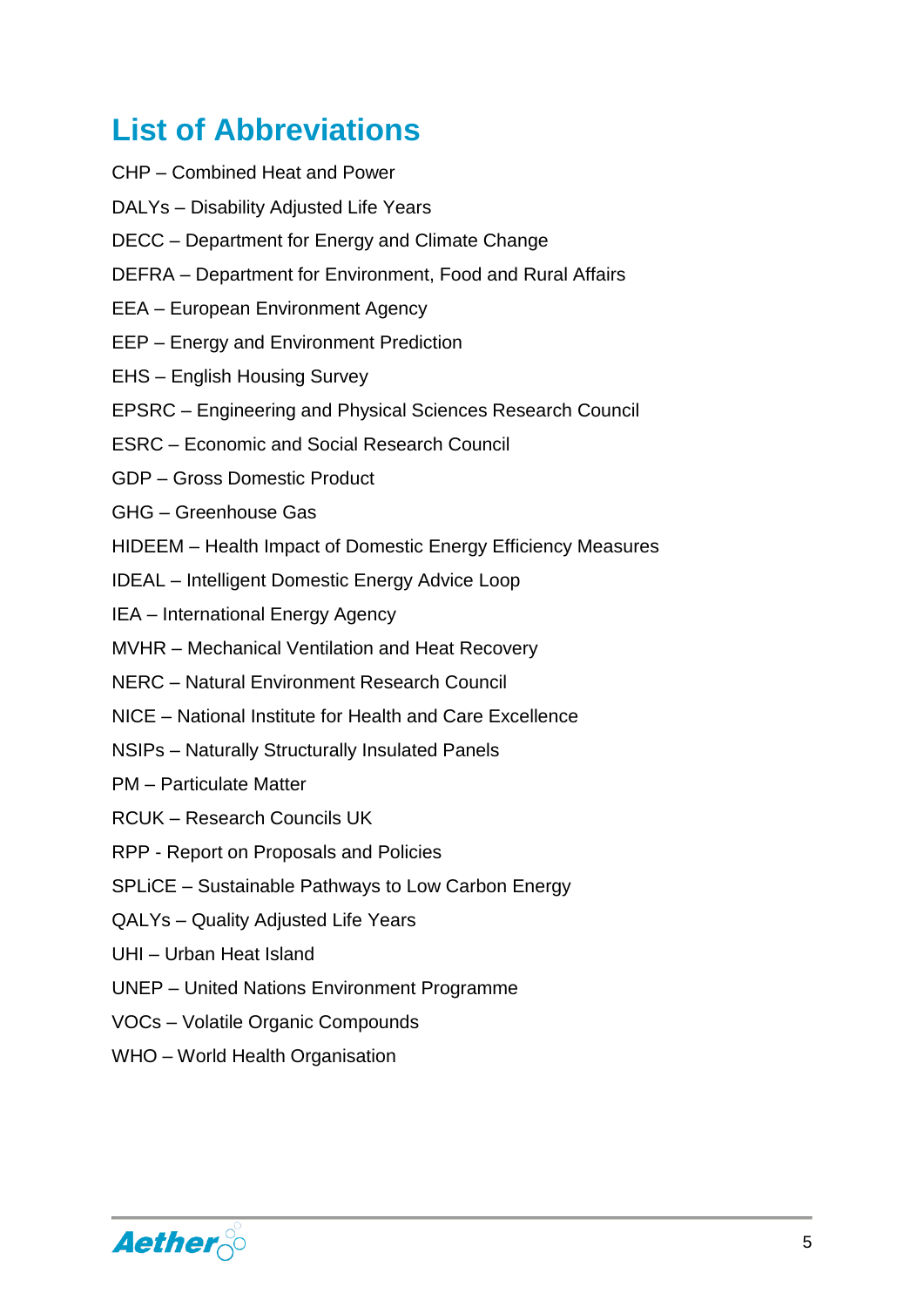# <span id="page-5-0"></span>**List of Abbreviations**

- CHP Combined Heat and Power
- DALYs Disability Adjusted Life Years
- DECC Department for Energy and Climate Change
- DEFRA Department for Environment, Food and Rural Affairs
- EEA European Environment Agency
- EEP Energy and Environment Prediction
- EHS English Housing Survey
- EPSRC Engineering and Physical Sciences Research Council
- ESRC Economic and Social Research Council
- GDP Gross Domestic Product
- GHG Greenhouse Gas
- HIDEEM Health Impact of Domestic Energy Efficiency Measures
- IDEAL Intelligent Domestic Energy Advice Loop
- IEA International Energy Agency
- MVHR Mechanical Ventilation and Heat Recovery
- NERC Natural Environment Research Council
- NICE National Institute for Health and Care Excellence
- NSIPs Naturally Structurally Insulated Panels
- PM Particulate Matter
- RCUK Research Councils UK
- RPP Report on Proposals and Policies
- SPLiCE Sustainable Pathways to Low Carbon Energy
- QALYs Quality Adjusted Life Years
- UHI Urban Heat Island
- UNEP United Nations Environment Programme
- VOCs Volatile Organic Compounds
- WHO World Health Organisation

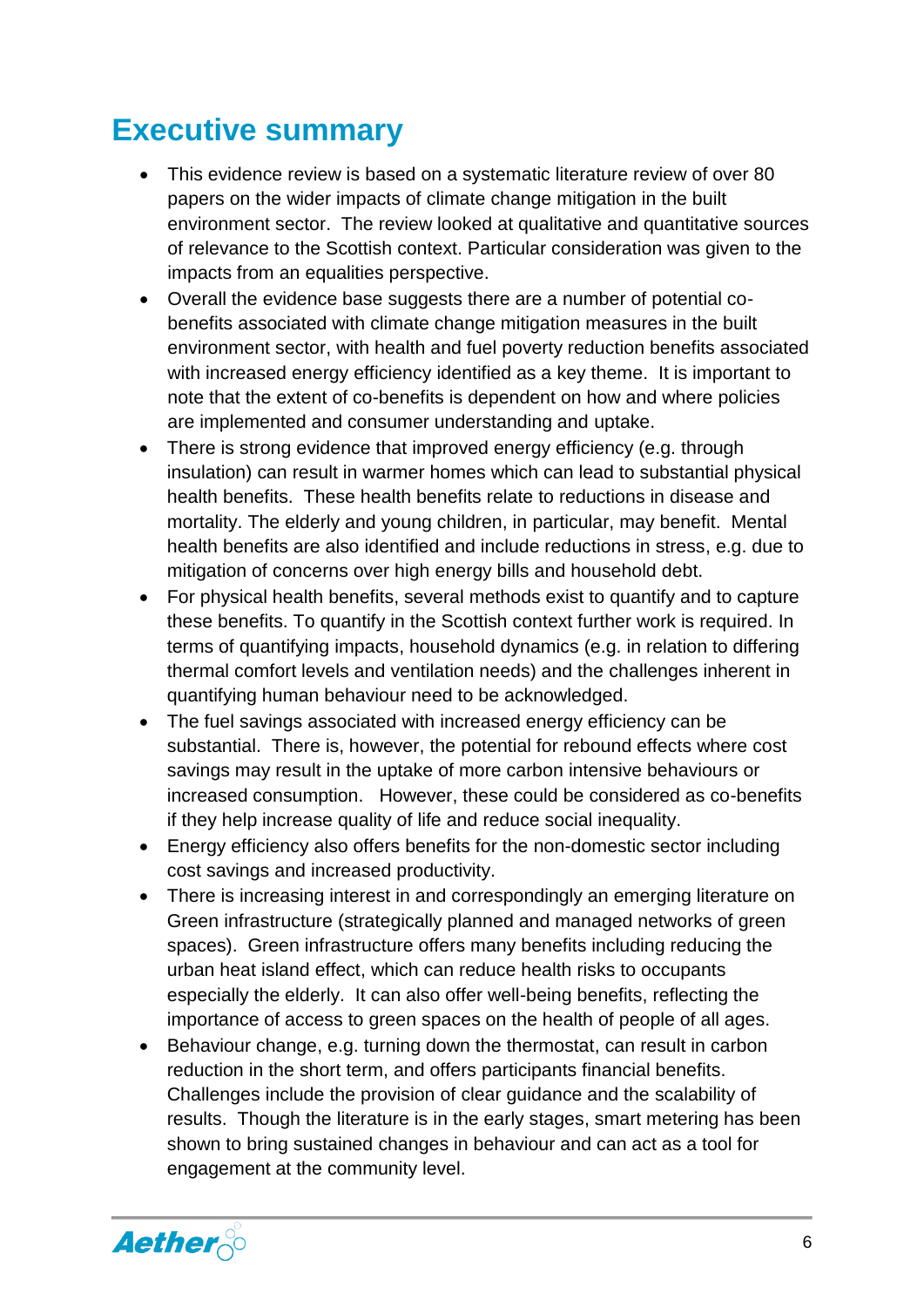### **Executive summary**

- This evidence review is based on a systematic literature review of over 80 papers on the wider impacts of climate change mitigation in the built environment sector. The review looked at qualitative and quantitative sources of relevance to the Scottish context. Particular consideration was given to the impacts from an equalities perspective.
- Overall the evidence base suggests there are a number of potential cobenefits associated with climate change mitigation measures in the built environment sector, with health and fuel poverty reduction benefits associated with increased energy efficiency identified as a key theme. It is important to note that the extent of co-benefits is dependent on how and where policies are implemented and consumer understanding and uptake.
- There is strong evidence that improved energy efficiency (e.g. through insulation) can result in warmer homes which can lead to substantial physical health benefits. These health benefits relate to reductions in disease and mortality. The elderly and young children, in particular, may benefit. Mental health benefits are also identified and include reductions in stress, e.g. due to mitigation of concerns over high energy bills and household debt.
- For physical health benefits, several methods exist to quantify and to capture these benefits. To quantify in the Scottish context further work is required. In terms of quantifying impacts, household dynamics (e.g. in relation to differing thermal comfort levels and ventilation needs) and the challenges inherent in quantifying human behaviour need to be acknowledged.
- The fuel savings associated with increased energy efficiency can be substantial. There is, however, the potential for rebound effects where cost savings may result in the uptake of more carbon intensive behaviours or increased consumption. However, these could be considered as co-benefits if they help increase quality of life and reduce social inequality.
- Energy efficiency also offers benefits for the non-domestic sector including cost savings and increased productivity.
- There is increasing interest in and correspondingly an emerging literature on Green infrastructure (strategically planned and managed networks of green spaces). Green infrastructure offers many benefits including reducing the urban heat island effect, which can reduce health risks to occupants especially the elderly. It can also offer well-being benefits, reflecting the importance of access to green spaces on the health of people of all ages.
- Behaviour change, e.g. turning down the thermostat, can result in carbon reduction in the short term, and offers participants financial benefits. Challenges include the provision of clear guidance and the scalability of results. Though the literature is in the early stages, smart metering has been shown to bring sustained changes in behaviour and can act as a tool for engagement at the community level.

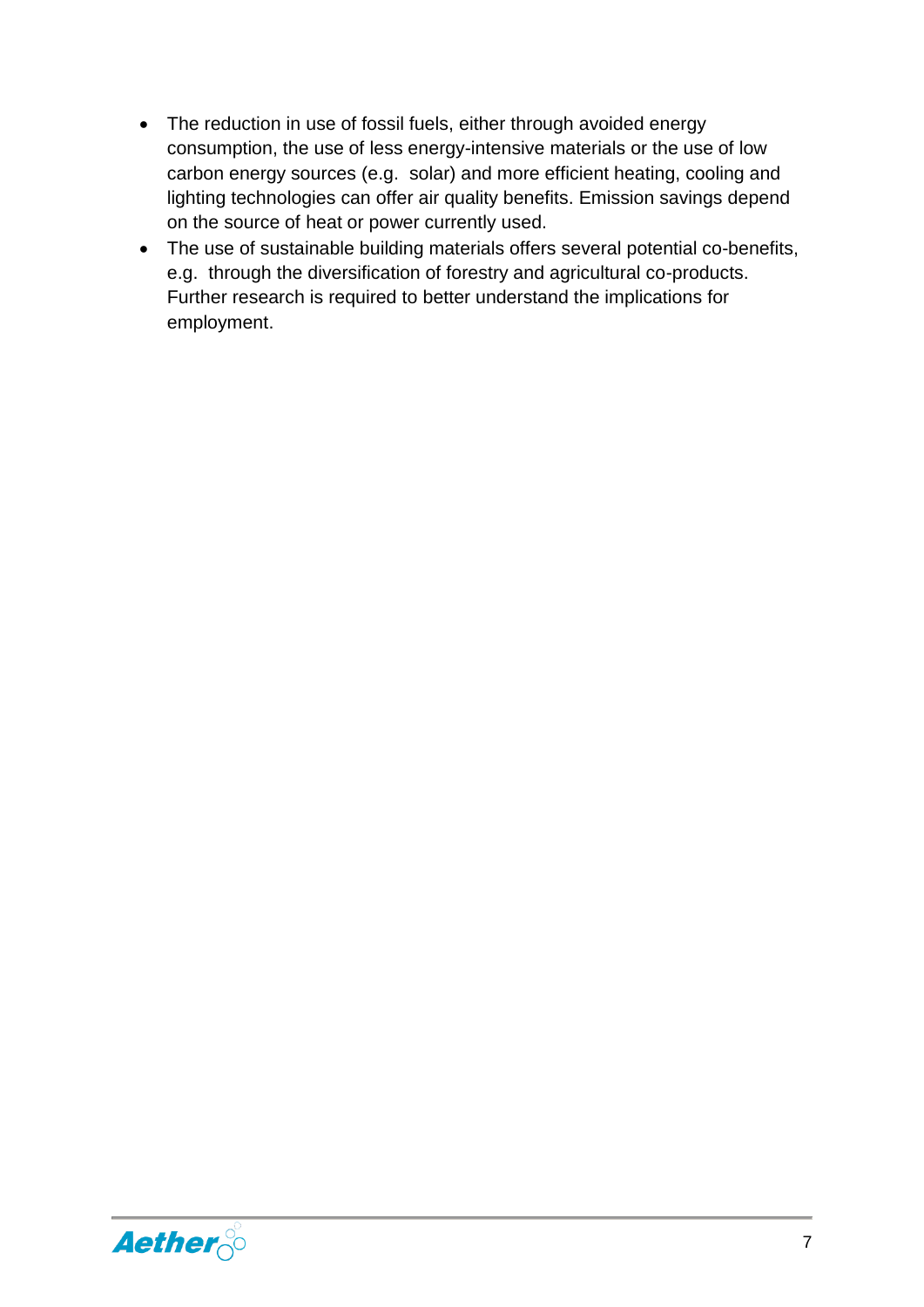- The reduction in use of fossil fuels, either through avoided energy consumption, the use of less energy-intensive materials or the use of low carbon energy sources (e.g. solar) and more efficient heating, cooling and lighting technologies can offer air quality benefits. Emission savings depend on the source of heat or power currently used.
- The use of sustainable building materials offers several potential co-benefits, e.g. through the diversification of forestry and agricultural co-products. Further research is required to better understand the implications for employment.

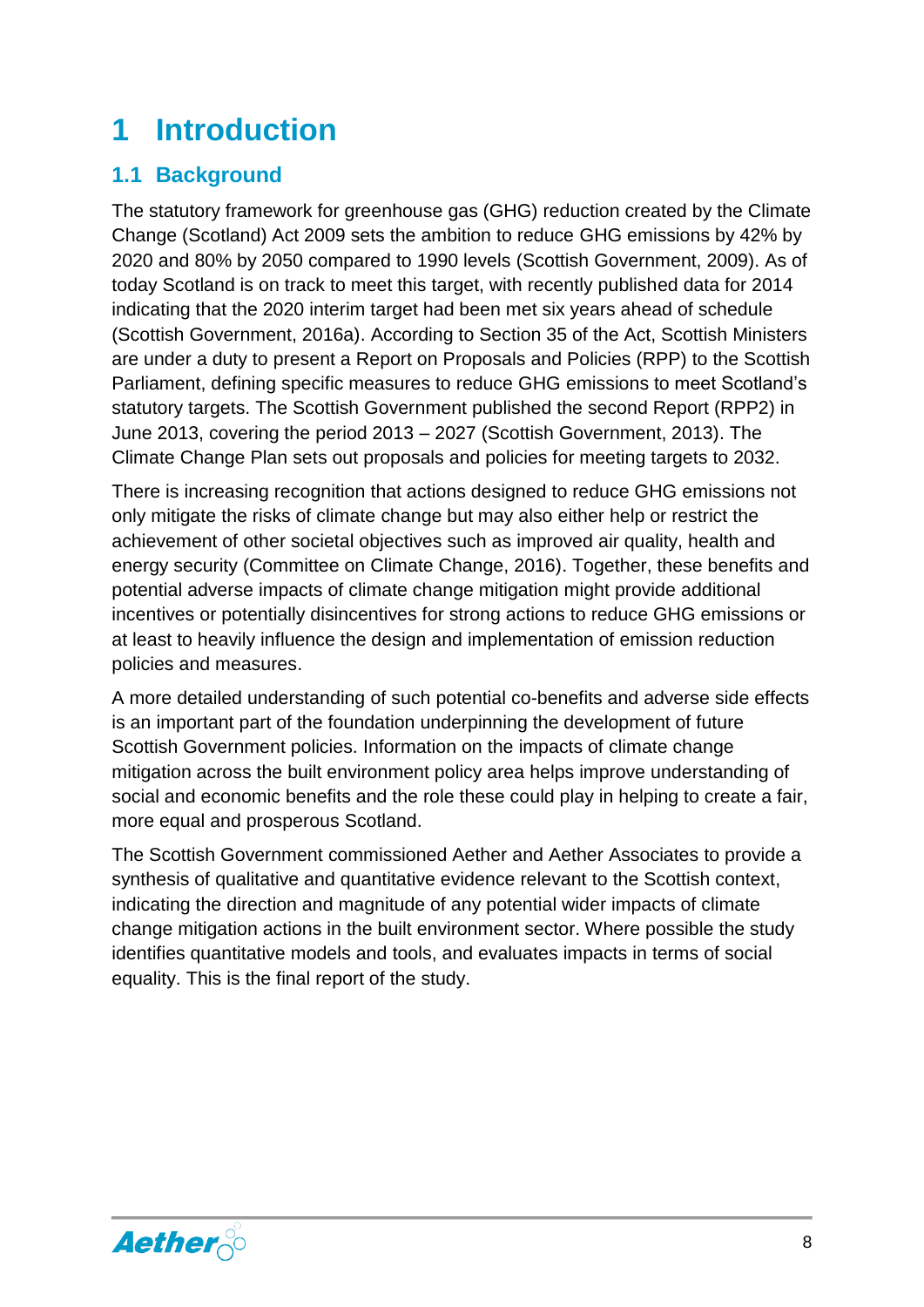# <span id="page-8-0"></span>**1 Introduction**

#### <span id="page-8-1"></span>**1.1 Background**

The statutory framework for greenhouse gas (GHG) reduction created by the Climate Change (Scotland) Act 2009 sets the ambition to reduce GHG emissions by 42% by 2020 and 80% by 2050 compared to 1990 levels (Scottish Government, 2009). As of today Scotland is on track to meet this target, with recently published data for 2014 indicating that the 2020 interim target had been met six years ahead of schedule (Scottish Government, 2016a). According to Section 35 of the Act, Scottish Ministers are under a duty to present a Report on Proposals and Policies (RPP) to the Scottish Parliament, defining specific measures to reduce GHG emissions to meet Scotland's statutory targets. The Scottish Government published the second Report (RPP2) in June 2013, covering the period 2013 – 2027 (Scottish Government, 2013). The Climate Change Plan sets out proposals and policies for meeting targets to 2032.

There is increasing recognition that actions designed to reduce GHG emissions not only mitigate the risks of climate change but may also either help or restrict the achievement of other societal objectives such as improved air quality, health and energy security (Committee on Climate Change, 2016). Together, these benefits and potential adverse impacts of climate change mitigation might provide additional incentives or potentially disincentives for strong actions to reduce GHG emissions or at least to heavily influence the design and implementation of emission reduction policies and measures.

A more detailed understanding of such potential co-benefits and adverse side effects is an important part of the foundation underpinning the development of future Scottish Government policies. Information on the impacts of climate change mitigation across the built environment policy area helps improve understanding of social and economic benefits and the role these could play in helping to create a fair, more equal and prosperous Scotland.

The Scottish Government commissioned Aether and Aether Associates to provide a synthesis of qualitative and quantitative evidence relevant to the Scottish context, indicating the direction and magnitude of any potential wider impacts of climate change mitigation actions in the built environment sector. Where possible the study identifies quantitative models and tools, and evaluates impacts in terms of social equality. This is the final report of the study.

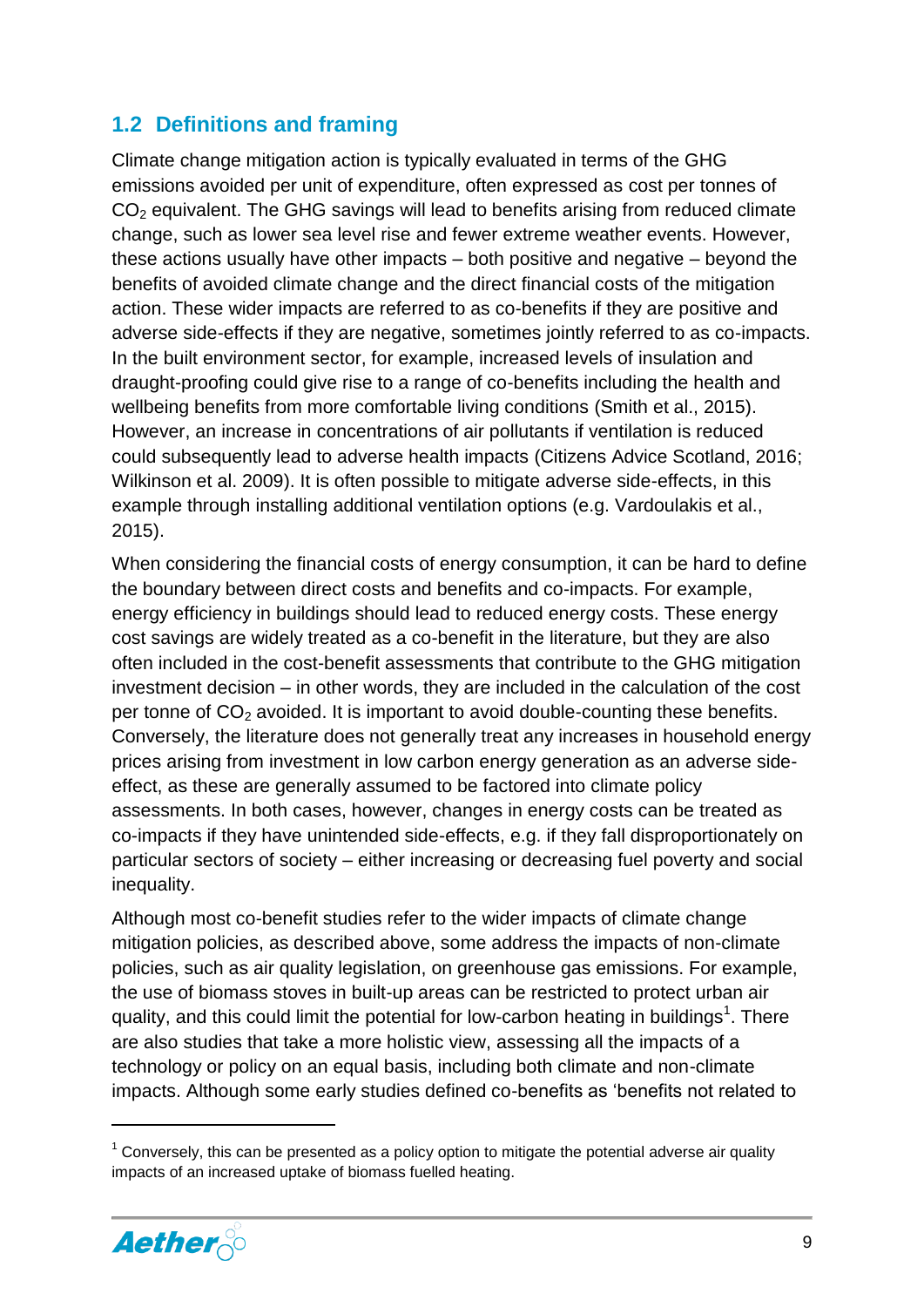#### <span id="page-9-0"></span>**1.2 Definitions and framing**

Climate change mitigation action is typically evaluated in terms of the GHG emissions avoided per unit of expenditure, often expressed as cost per tonnes of CO<sup>2</sup> equivalent. The GHG savings will lead to benefits arising from reduced climate change, such as lower sea level rise and fewer extreme weather events. However, these actions usually have other impacts – both positive and negative – beyond the benefits of avoided climate change and the direct financial costs of the mitigation action. These wider impacts are referred to as co-benefits if they are positive and adverse side-effects if they are negative, sometimes jointly referred to as co-impacts. In the built environment sector, for example, increased levels of insulation and draught-proofing could give rise to a range of co-benefits including the health and wellbeing benefits from more comfortable living conditions (Smith et al., 2015). However, an increase in concentrations of air pollutants if ventilation is reduced could subsequently lead to adverse health impacts (Citizens Advice Scotland, 2016; Wilkinson et al. 2009). It is often possible to mitigate adverse side-effects, in this example through installing additional ventilation options (e.g. Vardoulakis et al., 2015).

When considering the financial costs of energy consumption, it can be hard to define the boundary between direct costs and benefits and co-impacts. For example, energy efficiency in buildings should lead to reduced energy costs. These energy cost savings are widely treated as a co-benefit in the literature, but they are also often included in the cost-benefit assessments that contribute to the GHG mitigation investment decision – in other words, they are included in the calculation of the cost per tonne of  $CO<sub>2</sub>$  avoided. It is important to avoid double-counting these benefits. Conversely, the literature does not generally treat any increases in household energy prices arising from investment in low carbon energy generation as an adverse sideeffect, as these are generally assumed to be factored into climate policy assessments. In both cases, however, changes in energy costs can be treated as co-impacts if they have unintended side-effects, e.g. if they fall disproportionately on particular sectors of society – either increasing or decreasing fuel poverty and social inequality.

Although most co-benefit studies refer to the wider impacts of climate change mitigation policies, as described above, some address the impacts of non-climate policies, such as air quality legislation, on greenhouse gas emissions. For example, the use of biomass stoves in built-up areas can be restricted to protect urban air quality, and this could limit the potential for low-carbon heating in buildings<sup>1</sup>. There are also studies that take a more holistic view, assessing all the impacts of a technology or policy on an equal basis, including both climate and non-climate impacts. Although some early studies defined co-benefits as 'benefits not related to

 $<sup>1</sup>$  Conversely, this can be presented as a policy option to mitigate the potential adverse air quality</sup> impacts of an increased uptake of biomass fuelled heating.



**.**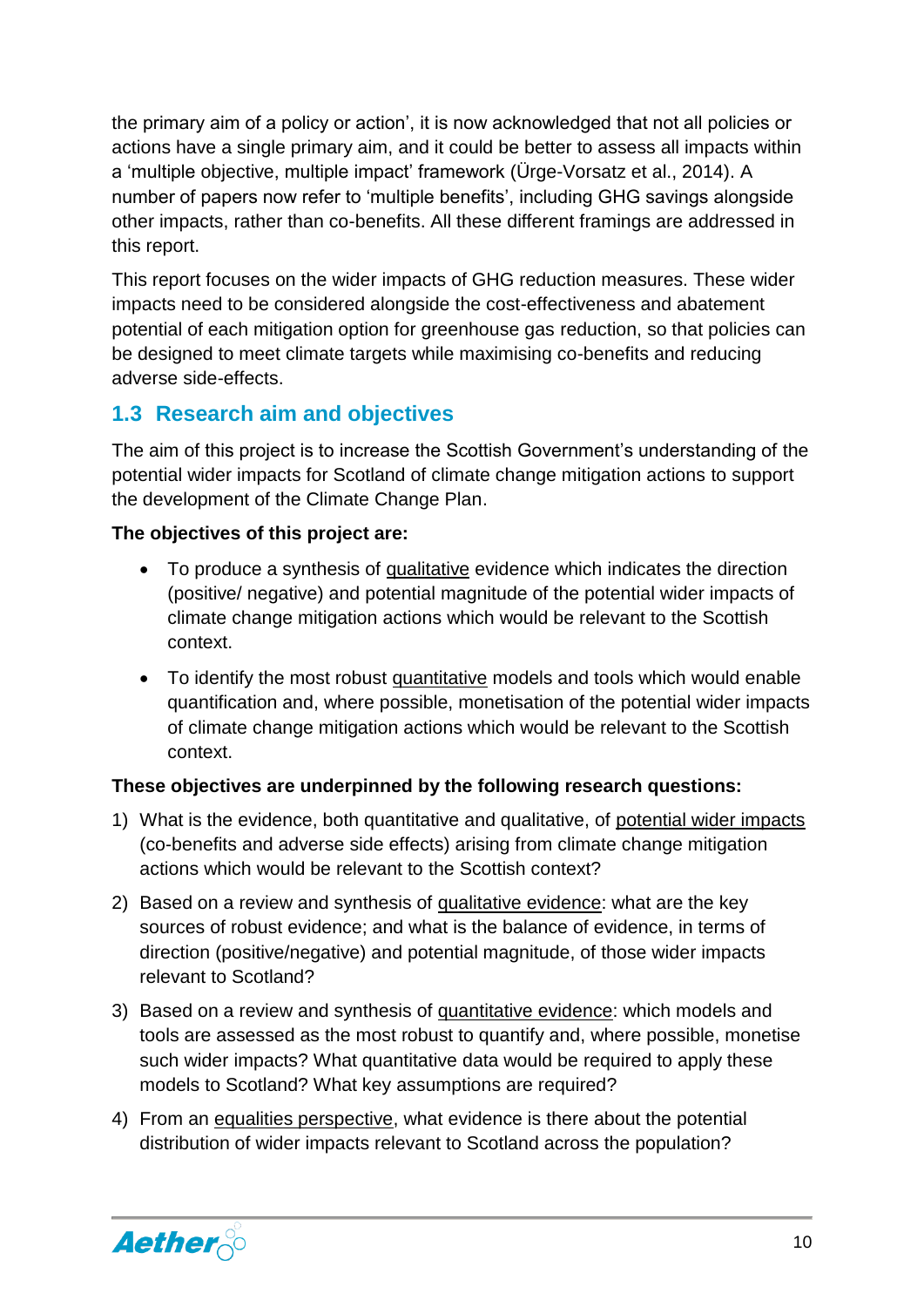the primary aim of a policy or action', it is now acknowledged that not all policies or actions have a single primary aim, and it could be better to assess all impacts within a 'multiple objective, multiple impact' framework (Ürge-Vorsatz et al., 2014). A number of papers now refer to 'multiple benefits', including GHG savings alongside other impacts, rather than co-benefits. All these different framings are addressed in this report.

This report focuses on the wider impacts of GHG reduction measures. These wider impacts need to be considered alongside the cost-effectiveness and abatement potential of each mitigation option for greenhouse gas reduction, so that policies can be designed to meet climate targets while maximising co-benefits and reducing adverse side-effects.

#### <span id="page-10-0"></span>**1.3 Research aim and objectives**

The aim of this project is to increase the Scottish Government's understanding of the potential wider impacts for Scotland of climate change mitigation actions to support the development of the Climate Change Plan.

#### **The objectives of this project are:**

- To produce a synthesis of qualitative evidence which indicates the direction (positive/ negative) and potential magnitude of the potential wider impacts of climate change mitigation actions which would be relevant to the Scottish context.
- To identify the most robust quantitative models and tools which would enable quantification and, where possible, monetisation of the potential wider impacts of climate change mitigation actions which would be relevant to the Scottish context.

#### **These objectives are underpinned by the following research questions:**

- 1) What is the evidence, both quantitative and qualitative, of potential wider impacts (co-benefits and adverse side effects) arising from climate change mitigation actions which would be relevant to the Scottish context?
- 2) Based on a review and synthesis of qualitative evidence: what are the key sources of robust evidence; and what is the balance of evidence, in terms of direction (positive/negative) and potential magnitude, of those wider impacts relevant to Scotland?
- 3) Based on a review and synthesis of quantitative evidence: which models and tools are assessed as the most robust to quantify and, where possible, monetise such wider impacts? What quantitative data would be required to apply these models to Scotland? What key assumptions are required?
- 4) From an equalities perspective, what evidence is there about the potential distribution of wider impacts relevant to Scotland across the population?

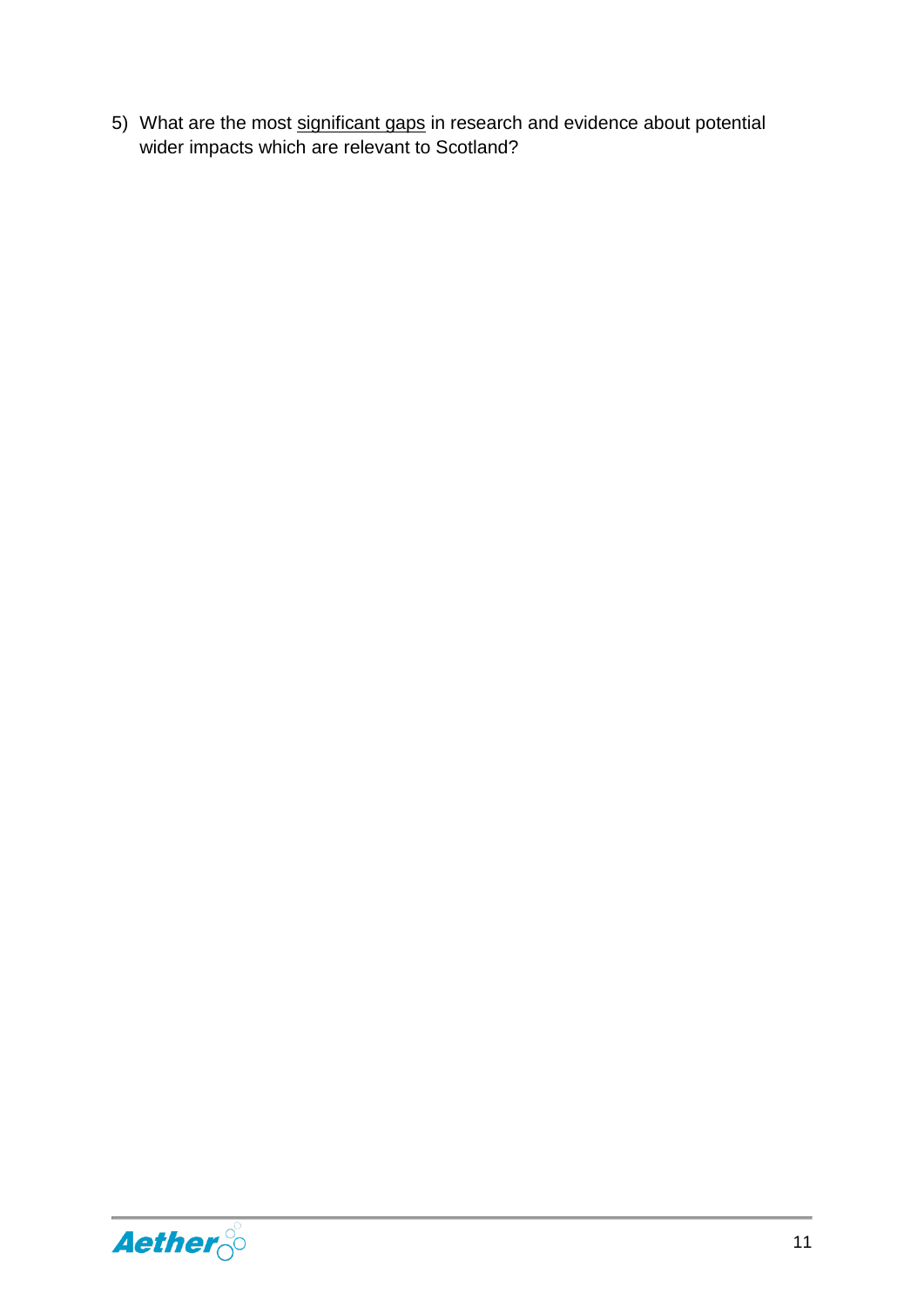5) What are the most significant gaps in research and evidence about potential wider impacts which are relevant to Scotland?

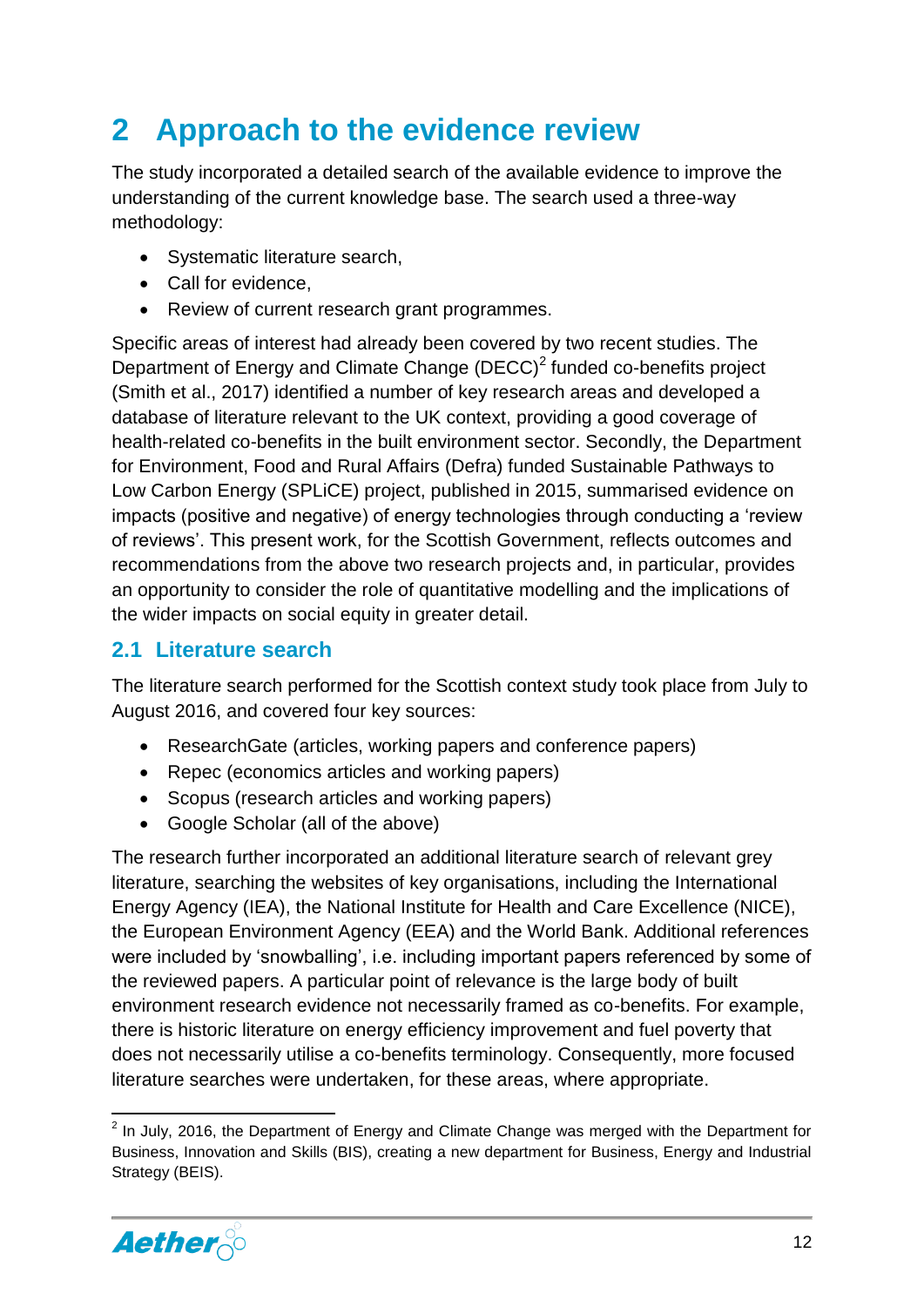# <span id="page-12-0"></span>**2 Approach to the evidence review**

The study incorporated a detailed search of the available evidence to improve the understanding of the current knowledge base. The search used a three-way methodology:

- Systematic literature search,
- Call for evidence.
- Review of current research grant programmes.

Specific areas of interest had already been covered by two recent studies. The Department of Energy and Climate Change  $(DEC)^2$  funded co-benefits project (Smith et al., 2017) identified a number of key research areas and developed a database of literature relevant to the UK context, providing a good coverage of health-related co-benefits in the built environment sector. Secondly, the Department for Environment, Food and Rural Affairs (Defra) funded Sustainable Pathways to Low Carbon Energy (SPLiCE) project, published in 2015, summarised evidence on impacts (positive and negative) of energy technologies through conducting a 'review of reviews'. This present work, for the Scottish Government, reflects outcomes and recommendations from the above two research projects and, in particular, provides an opportunity to consider the role of quantitative modelling and the implications of the wider impacts on social equity in greater detail.

#### <span id="page-12-1"></span>**2.1 Literature search**

The literature search performed for the Scottish context study took place from July to August 2016, and covered four key sources:

- ResearchGate (articles, working papers and conference papers)
- Repec (economics articles and working papers)
- Scopus (research articles and working papers)
- Google Scholar (all of the above)

The research further incorporated an additional literature search of relevant grey literature, searching the websites of key organisations, including the International Energy Agency (IEA), the National Institute for Health and Care Excellence (NICE), the European Environment Agency (EEA) and the World Bank. Additional references were included by 'snowballing', i.e. including important papers referenced by some of the reviewed papers. A particular point of relevance is the large body of built environment research evidence not necessarily framed as co-benefits. For example, there is historic literature on energy efficiency improvement and fuel poverty that does not necessarily utilise a co-benefits terminology. Consequently, more focused literature searches were undertaken, for these areas, where appropriate.

**<sup>.</sup>**  $2$  In July, 2016, the Department of Energy and Climate Change was merged with the Department for Business, Innovation and Skills (BIS), creating a new department for Business, Energy and Industrial Strategy (BEIS).

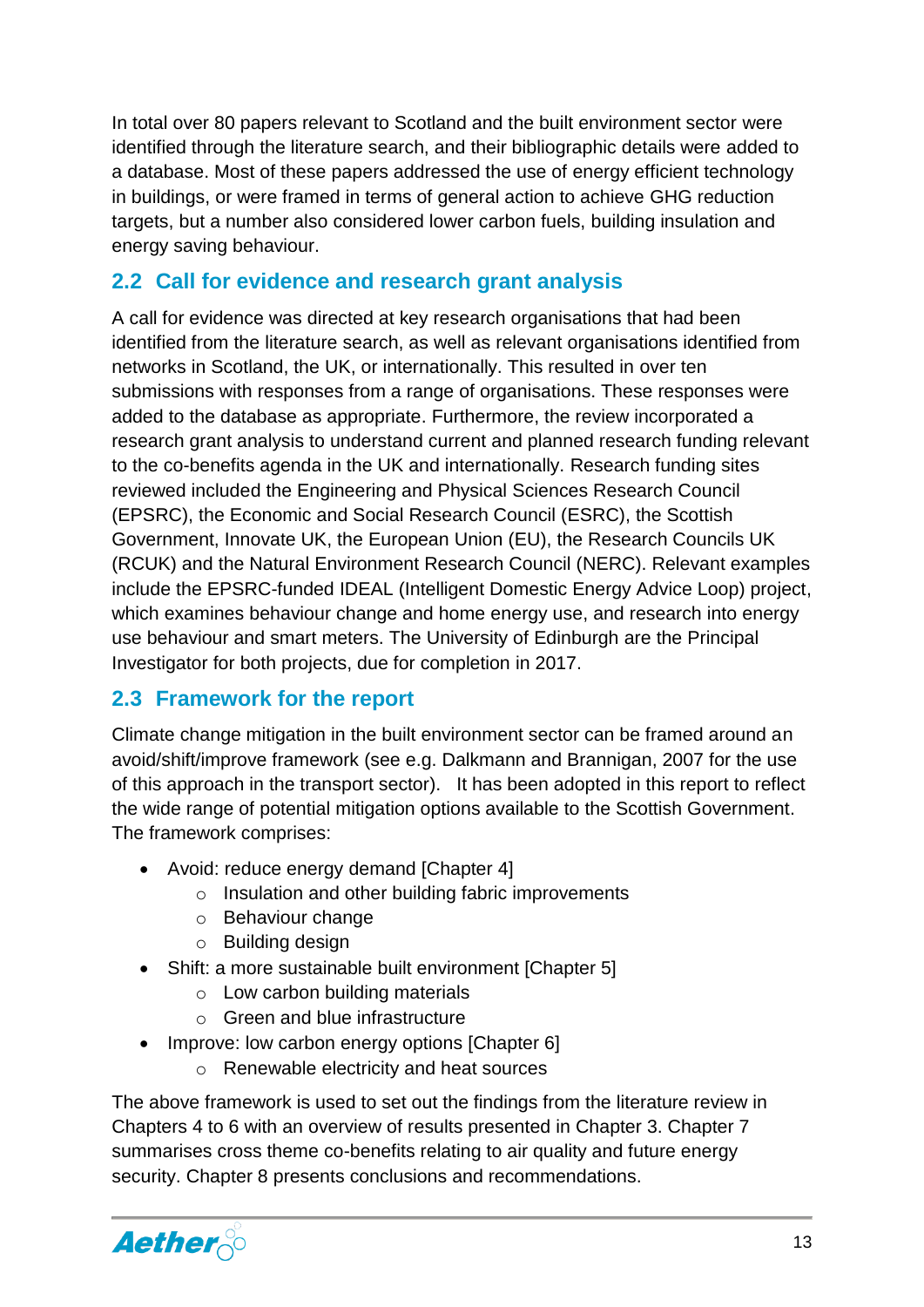In total over 80 papers relevant to Scotland and the built environment sector were identified through the literature search, and their bibliographic details were added to a database. Most of these papers addressed the use of energy efficient technology in buildings, or were framed in terms of general action to achieve GHG reduction targets, but a number also considered lower carbon fuels, building insulation and energy saving behaviour.

#### <span id="page-13-0"></span>**2.2 Call for evidence and research grant analysis**

A call for evidence was directed at key research organisations that had been identified from the literature search, as well as relevant organisations identified from networks in Scotland, the UK, or internationally. This resulted in over ten submissions with responses from a range of organisations. These responses were added to the database as appropriate. Furthermore, the review incorporated a research grant analysis to understand current and planned research funding relevant to the co-benefits agenda in the UK and internationally. Research funding sites reviewed included the Engineering and Physical Sciences Research Council (EPSRC), the Economic and Social Research Council (ESRC), the Scottish Government, Innovate UK, the European Union (EU), the Research Councils UK (RCUK) and the Natural Environment Research Council (NERC). Relevant examples include the EPSRC-funded IDEAL (Intelligent Domestic Energy Advice Loop) project, which examines behaviour change and home energy use, and research into energy use behaviour and smart meters. The University of Edinburgh are the Principal Investigator for both projects, due for completion in 2017.

#### <span id="page-13-1"></span>**2.3 Framework for the report**

Climate change mitigation in the built environment sector can be framed around an avoid/shift/improve framework (see e.g. Dalkmann and Brannigan, 2007 for the use of this approach in the transport sector). It has been adopted in this report to reflect the wide range of potential mitigation options available to the Scottish Government. The framework comprises:

- Avoid: reduce energy demand [Chapter 4]
	- o Insulation and other building fabric improvements
	- o Behaviour change
	- o Building design
- Shift: a more sustainable built environment [Chapter 5]
	- o Low carbon building materials
	- o Green and blue infrastructure
- <span id="page-13-2"></span>• Improve: low carbon energy options [Chapter 6]
	- o Renewable electricity and heat sources

The above framework is used to set out the findings from the literature review in Chapters 4 to 6 with an overview of results presented in Chapter 3. Chapter 7 summarises cross theme co-benefits relating to air quality and future energy security. Chapter 8 presents conclusions and recommendations.

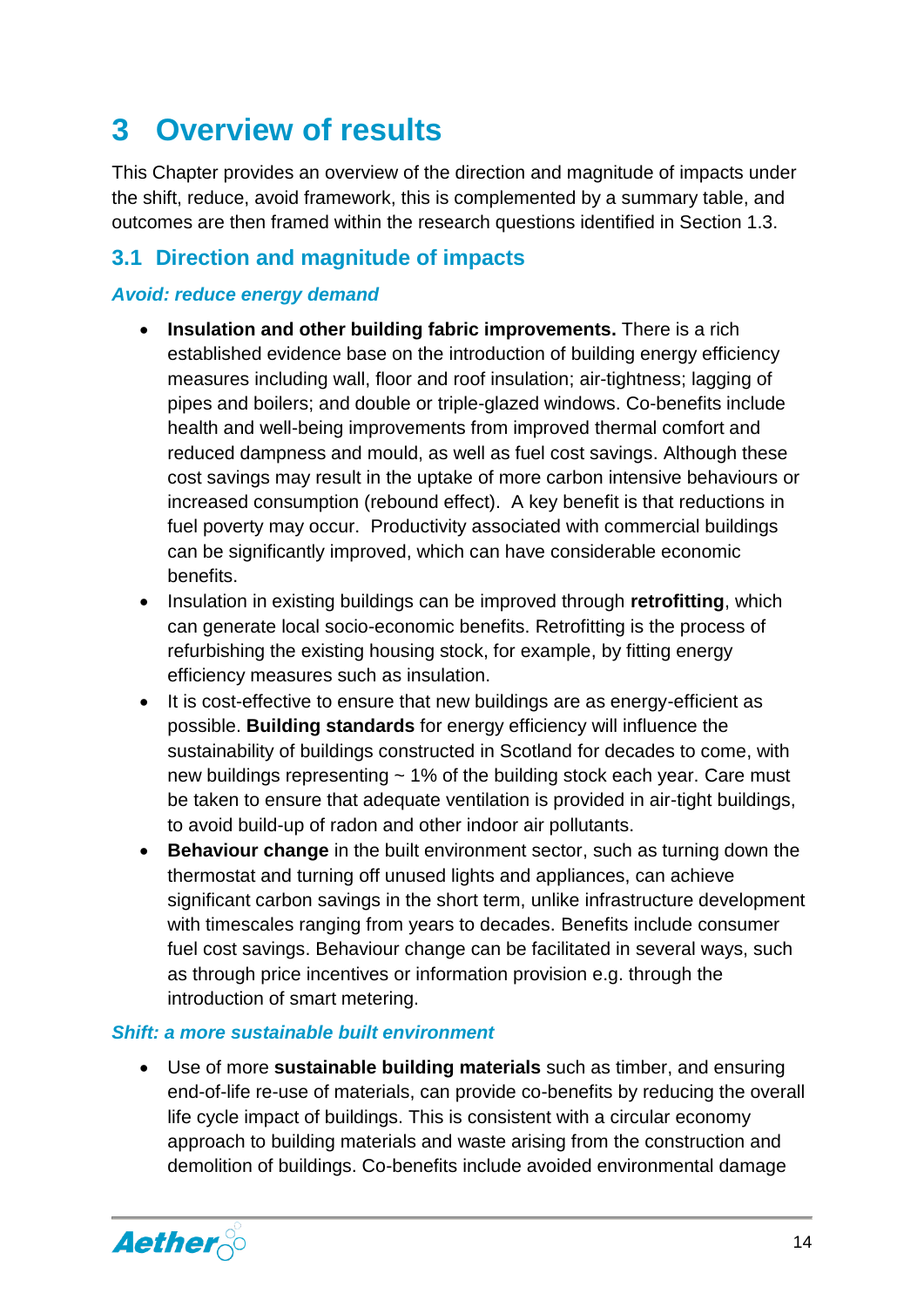### **3 Overview of results**

This Chapter provides an overview of the direction and magnitude of impacts under the shift, reduce, avoid framework, this is complemented by a summary table, and outcomes are then framed within the research questions identified in Section 1.3.

#### <span id="page-14-0"></span>**3.1 Direction and magnitude of impacts**

#### *Avoid: reduce energy demand*

- **Insulation and other building fabric improvements.** There is a rich established evidence base on the introduction of building energy efficiency measures including wall, floor and roof insulation; air-tightness; lagging of pipes and boilers; and double or triple-glazed windows. Co-benefits include health and well-being improvements from improved thermal comfort and reduced dampness and mould, as well as fuel cost savings. Although these cost savings may result in the uptake of more carbon intensive behaviours or increased consumption (rebound effect). A key benefit is that reductions in fuel poverty may occur. Productivity associated with commercial buildings can be significantly improved, which can have considerable economic benefits.
- Insulation in existing buildings can be improved through **retrofitting**, which can generate local socio-economic benefits. Retrofitting is the process of refurbishing the existing housing stock, for example, by fitting energy efficiency measures such as insulation.
- It is cost-effective to ensure that new buildings are as energy-efficient as possible. **Building standards** for energy efficiency will influence the sustainability of buildings constructed in Scotland for decades to come, with new buildings representing  $\sim$  1% of the building stock each year. Care must be taken to ensure that adequate ventilation is provided in air-tight buildings, to avoid build-up of radon and other indoor air pollutants.
- **Behaviour change** in the built environment sector, such as turning down the thermostat and turning off unused lights and appliances, can achieve significant carbon savings in the short term, unlike infrastructure development with timescales ranging from years to decades. Benefits include consumer fuel cost savings. Behaviour change can be facilitated in several ways, such as through price incentives or information provision e.g. through the introduction of smart metering.

#### *Shift: a more sustainable built environment*

 Use of more **sustainable building materials** such as timber, and ensuring end-of-life re-use of materials, can provide co-benefits by reducing the overall life cycle impact of buildings. This is consistent with a circular economy approach to building materials and waste arising from the construction and demolition of buildings. Co-benefits include avoided environmental damage

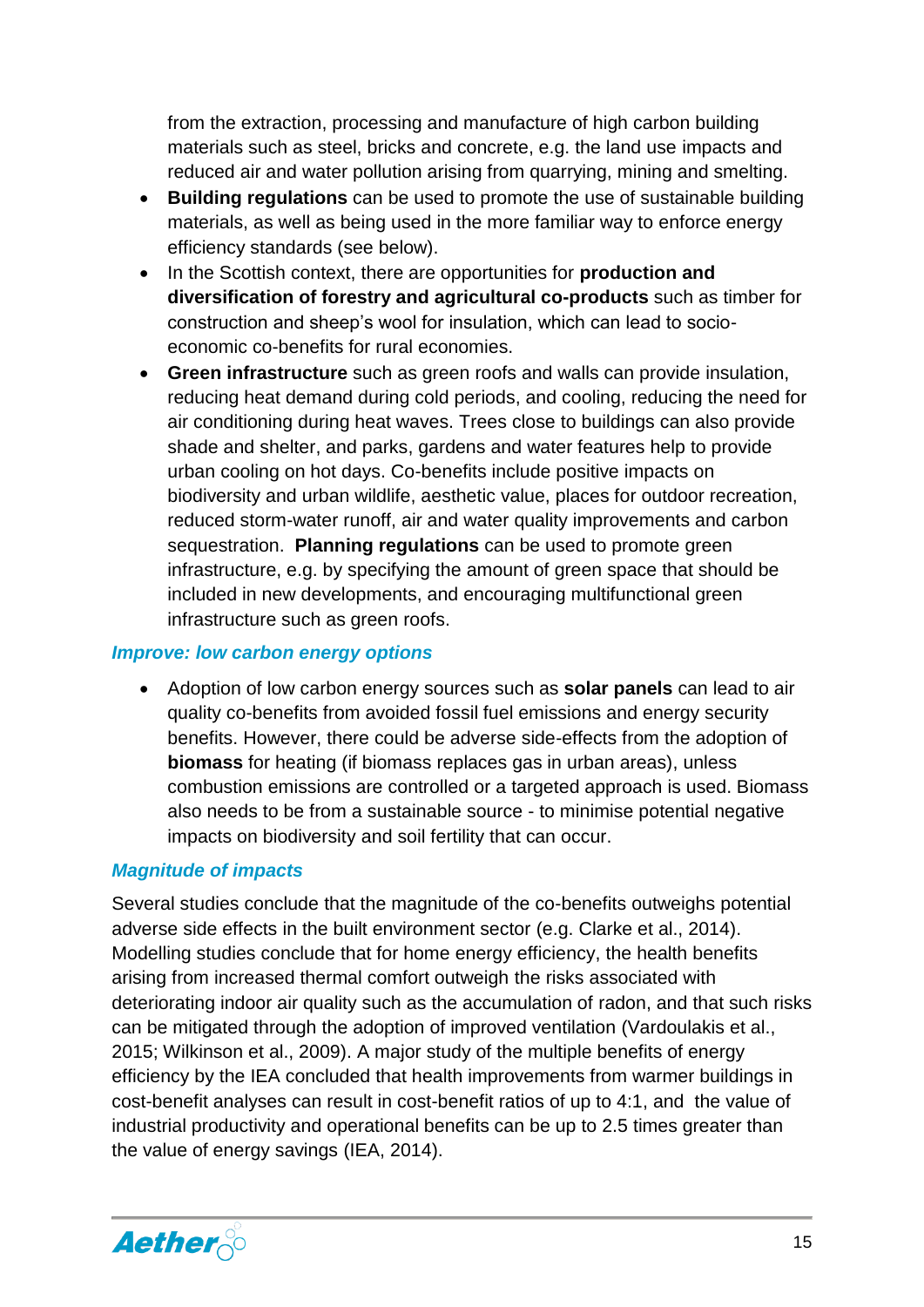from the extraction, processing and manufacture of high carbon building materials such as steel, bricks and concrete, e.g. the land use impacts and reduced air and water pollution arising from quarrying, mining and smelting.

- **Building regulations** can be used to promote the use of sustainable building materials, as well as being used in the more familiar way to enforce energy efficiency standards (see below).
- In the Scottish context, there are opportunities for **production and diversification of forestry and agricultural co-products** such as timber for construction and sheep's wool for insulation, which can lead to socioeconomic co-benefits for rural economies.
- **Green infrastructure** such as green roofs and walls can provide insulation, reducing heat demand during cold periods, and cooling, reducing the need for air conditioning during heat waves. Trees close to buildings can also provide shade and shelter, and parks, gardens and water features help to provide urban cooling on hot days. Co-benefits include positive impacts on biodiversity and urban wildlife, aesthetic value, places for outdoor recreation, reduced storm-water runoff, air and water quality improvements and carbon sequestration. **Planning regulations** can be used to promote green infrastructure, e.g. by specifying the amount of green space that should be included in new developments, and encouraging multifunctional green infrastructure such as green roofs.

#### *Improve: low carbon energy options*

 Adoption of low carbon energy sources such as **solar panels** can lead to air quality co-benefits from avoided fossil fuel emissions and energy security benefits. However, there could be adverse side-effects from the adoption of **biomass** for heating (if biomass replaces gas in urban areas), unless combustion emissions are controlled or a targeted approach is used. Biomass also needs to be from a sustainable source - to minimise potential negative impacts on biodiversity and soil fertility that can occur.

#### *Magnitude of impacts*

Several studies conclude that the magnitude of the co-benefits outweighs potential adverse side effects in the built environment sector (e.g. Clarke et al., 2014). Modelling studies conclude that for home energy efficiency, the health benefits arising from increased thermal comfort outweigh the risks associated with deteriorating indoor air quality such as the accumulation of radon, and that such risks can be mitigated through the adoption of improved ventilation (Vardoulakis et al., 2015; Wilkinson et al., 2009). A major study of the multiple benefits of energy efficiency by the IEA concluded that health improvements from warmer buildings in cost-benefit analyses can result in cost-benefit ratios of up to 4:1, and the value of industrial productivity and operational benefits can be up to 2.5 times greater than the value of energy savings (IEA, 2014).

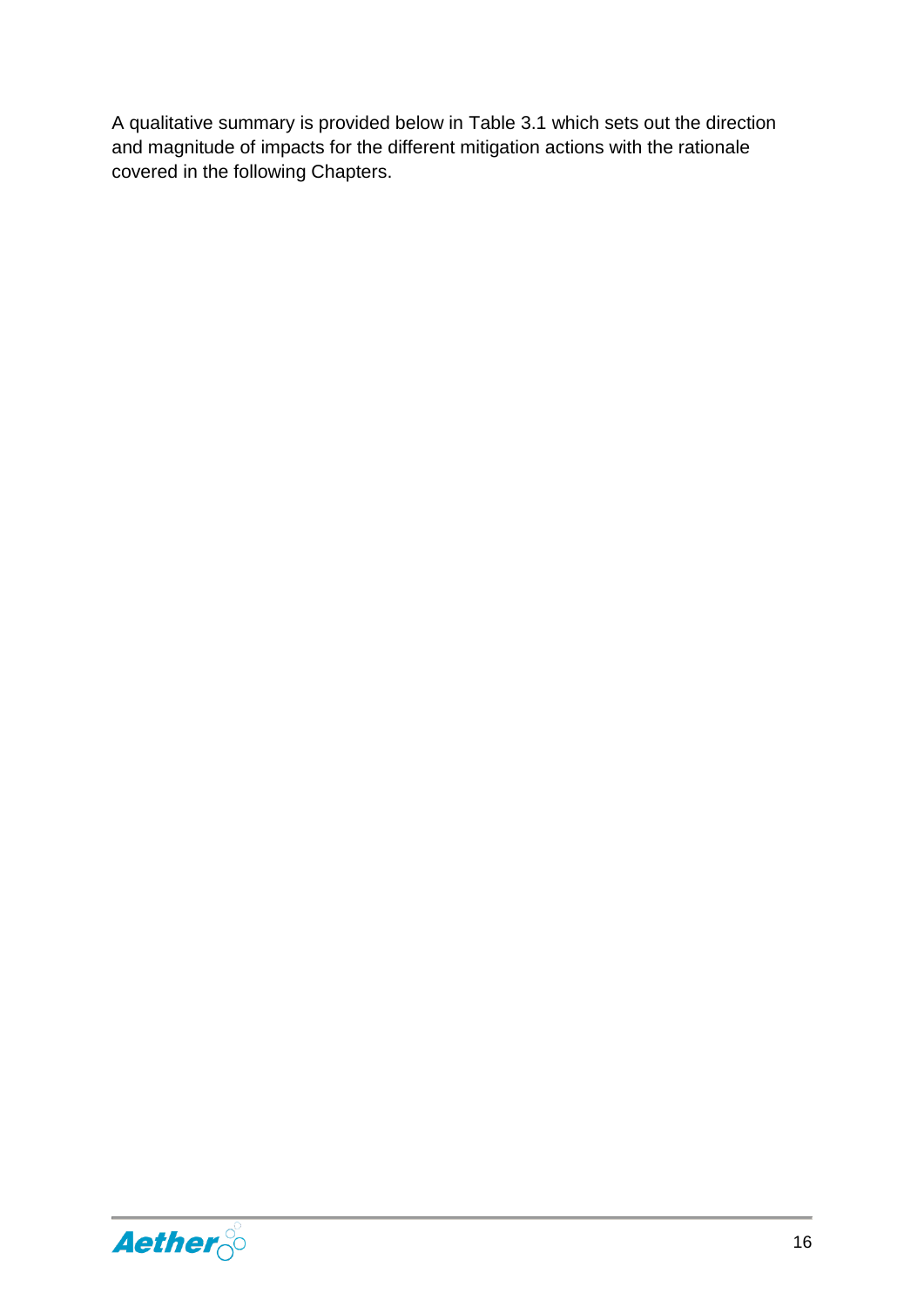A qualitative summary is provided below in Table 3.1 which sets out the direction and magnitude of impacts for the different mitigation actions with the rationale covered in the following Chapters.

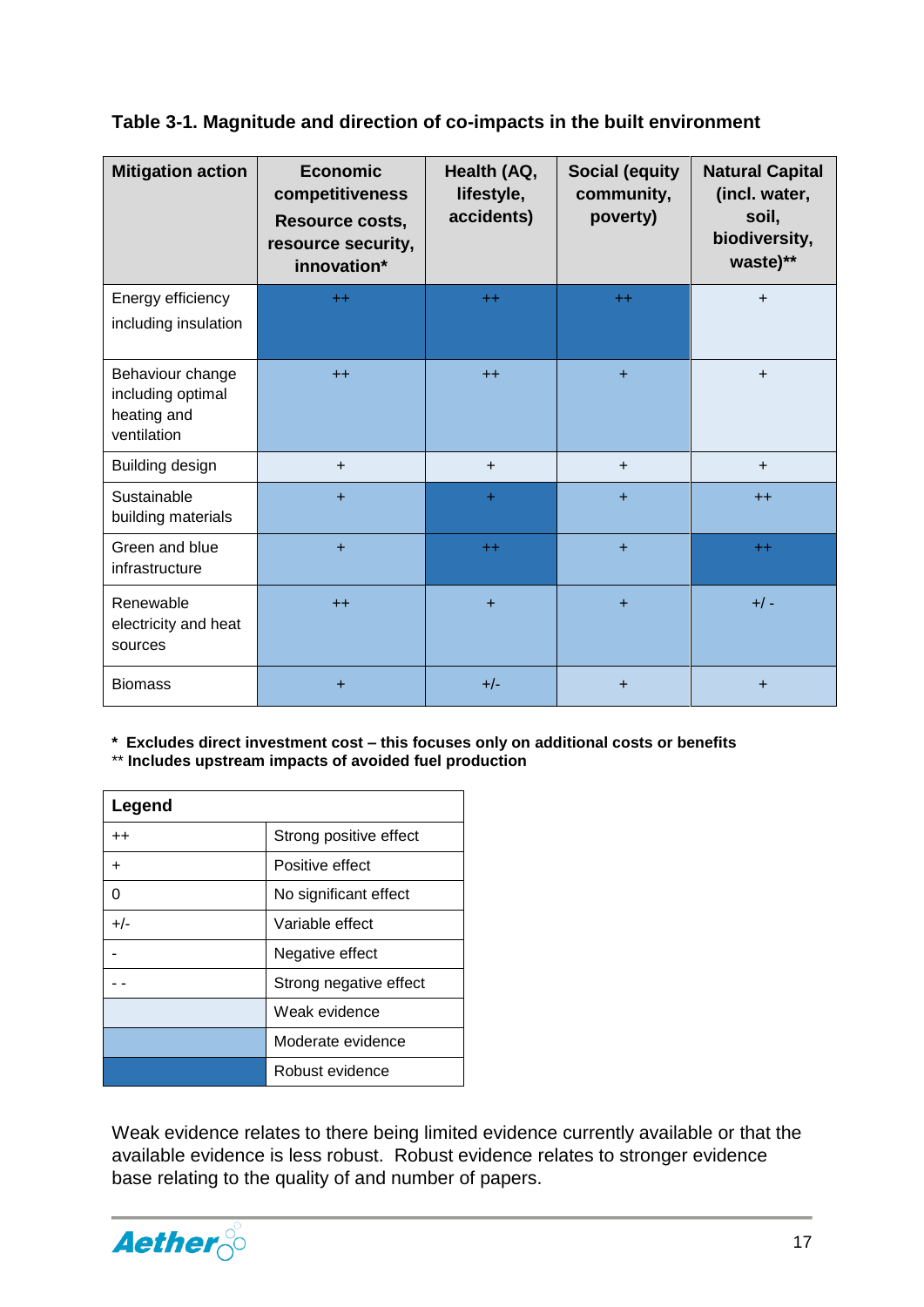#### **Table 3-1. Magnitude and direction of co-impacts in the built environment**

| <b>Mitigation action</b>                                            | <b>Economic</b><br>competitiveness<br>Resource costs,<br>resource security,<br>innovation* | Health (AQ,<br>lifestyle,<br>accidents) | <b>Social (equity</b><br>community,<br>poverty) | <b>Natural Capital</b><br>(incl. water,<br>soil,<br>biodiversity,<br>waste)** |
|---------------------------------------------------------------------|--------------------------------------------------------------------------------------------|-----------------------------------------|-------------------------------------------------|-------------------------------------------------------------------------------|
| Energy efficiency<br>including insulation                           | $++$                                                                                       | $++$                                    | $++$                                            | $+$                                                                           |
| Behaviour change<br>including optimal<br>heating and<br>ventilation | $++$                                                                                       | $++$                                    | $\ddot{}$                                       | $+$                                                                           |
| Building design                                                     | $+$                                                                                        | $+$                                     | $\ddot{}$                                       | $+$                                                                           |
| Sustainable<br>building materials                                   | $+$                                                                                        | $+$                                     | $\ddot{}$                                       | $++$                                                                          |
| Green and blue<br>infrastructure                                    | $+$                                                                                        | $++$                                    | $+$                                             | $++$                                                                          |
| Renewable<br>electricity and heat<br>sources                        | $++$                                                                                       | $\ddot{}$                               | $\ddot{}$                                       | $+/-$                                                                         |
| <b>Biomass</b>                                                      | +                                                                                          | $+/-$                                   | $\ddot{}$                                       | $\ddot{}$                                                                     |

**\* Excludes direct investment cost – this focuses only on additional costs or benefits**

\*\* **Includes upstream impacts of avoided fuel production**

| Legend          |                        |  |
|-----------------|------------------------|--|
| $^{\mathrm{+}}$ | Strong positive effect |  |
| ÷.              | Positive effect        |  |
| 0               | No significant effect  |  |
| $+/-$           | Variable effect        |  |
|                 | Negative effect        |  |
|                 | Strong negative effect |  |
|                 | Weak evidence          |  |
|                 | Moderate evidence      |  |
|                 | Robust evidence        |  |

Weak evidence relates to there being limited evidence currently available or that the available evidence is less robust. Robust evidence relates to stronger evidence base relating to the quality of and number of papers.

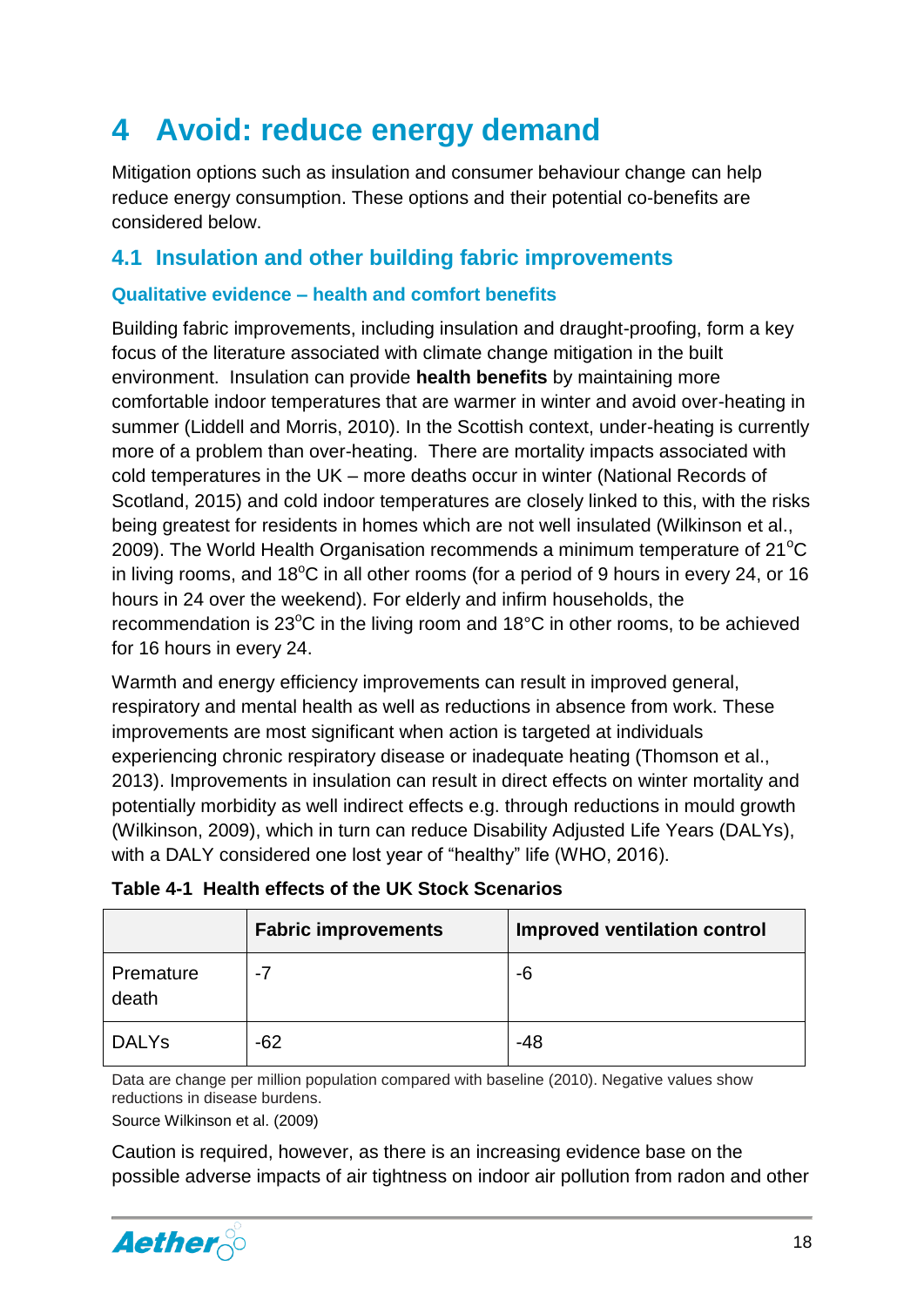# <span id="page-18-0"></span>**4 Avoid: reduce energy demand**

Mitigation options such as insulation and consumer behaviour change can help reduce energy consumption. These options and their potential co-benefits are considered below.

#### <span id="page-18-1"></span>**4.1 Insulation and other building fabric improvements**

#### <span id="page-18-2"></span>**Qualitative evidence – health and comfort benefits**

Building fabric improvements, including insulation and draught-proofing, form a key focus of the literature associated with climate change mitigation in the built environment. Insulation can provide **health benefits** by maintaining more comfortable indoor temperatures that are warmer in winter and avoid over-heating in summer (Liddell and Morris, 2010). In the Scottish context, under-heating is currently more of a problem than over-heating. There are mortality impacts associated with cold temperatures in the UK – more deaths occur in winter (National Records of Scotland, 2015) and cold indoor temperatures are closely linked to this, with the risks being greatest for residents in homes which are not well insulated (Wilkinson et al., 2009). The World Health Organisation recommends a minimum temperature of  $21^{\circ}C$ in living rooms, and  $18^{\circ}$ C in all other rooms (for a period of 9 hours in every 24, or 16 hours in 24 over the weekend). For elderly and infirm households, the recommendation is  $23^{\circ}$ C in the living room and 18 $^{\circ}$ C in other rooms, to be achieved for 16 hours in every 24.

Warmth and energy efficiency improvements can result in improved general, respiratory and mental health as well as reductions in absence from work. These improvements are most significant when action is targeted at individuals experiencing chronic respiratory disease or inadequate heating (Thomson et al., 2013). Improvements in insulation can result in direct effects on winter mortality and potentially morbidity as well indirect effects e.g. through reductions in mould growth (Wilkinson, 2009), which in turn can reduce Disability Adjusted Life Years (DALYs), with a DALY considered one lost year of "healthy" life (WHO, 2016).

|                    | <b>Fabric improvements</b> | <b>Improved ventilation control</b> |
|--------------------|----------------------------|-------------------------------------|
| Premature<br>death | -7                         | -6                                  |
| <b>DALYS</b>       | $-62$                      | $-48$                               |

|  | Table 4-1 Health effects of the UK Stock Scenarios |
|--|----------------------------------------------------|
|--|----------------------------------------------------|

Data are change per million population compared with baseline (2010). Negative values show reductions in disease burdens.

Source Wilkinson et al. (2009)

Caution is required, however, as there is an increasing evidence base on the possible adverse impacts of air tightness on indoor air pollution from radon and other

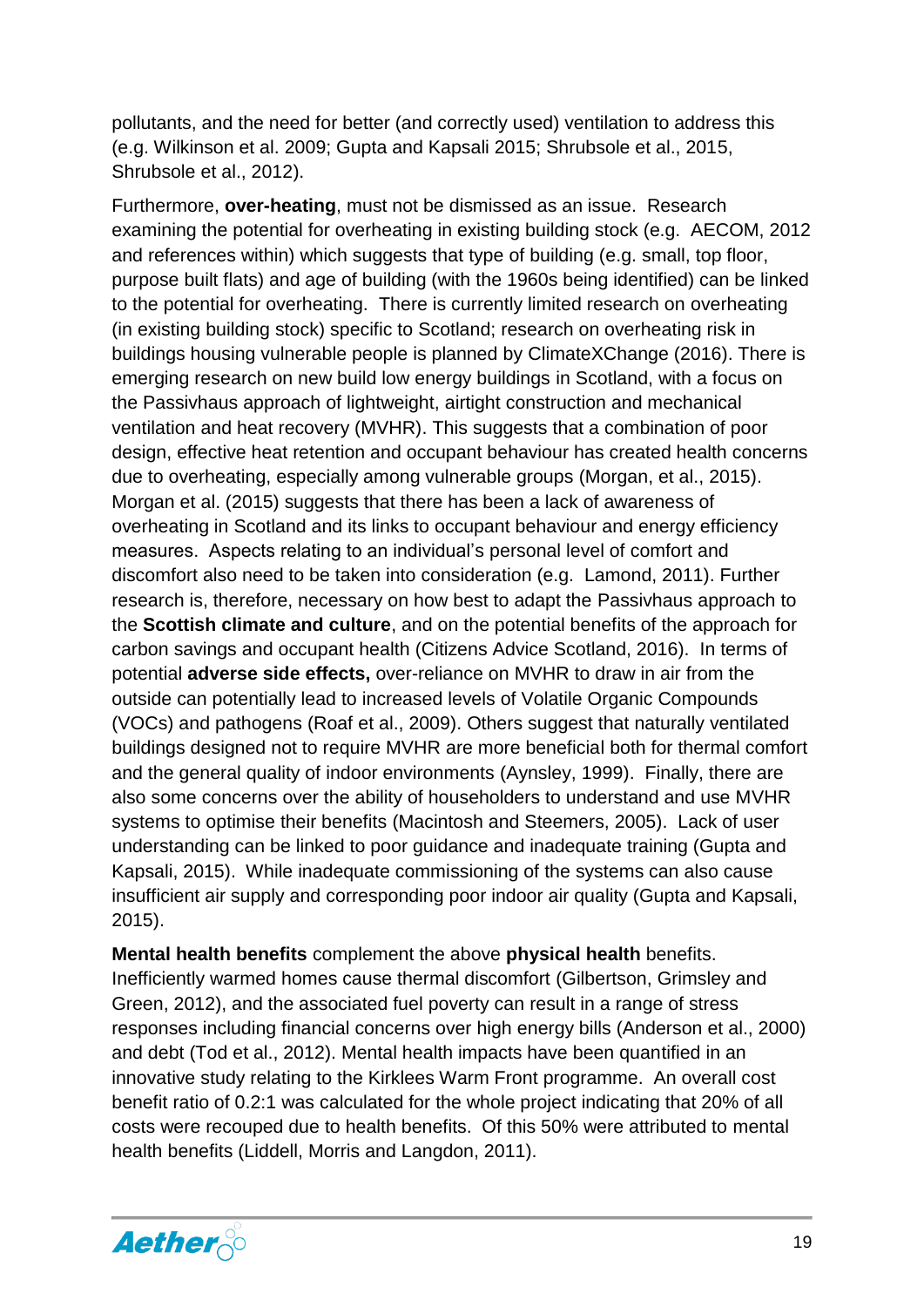pollutants, and the need for better (and correctly used) ventilation to address this (e.g. Wilkinson et al. 2009; Gupta and Kapsali 2015; Shrubsole et al., 2015, Shrubsole et al., 2012).

Furthermore, **over-heating**, must not be dismissed as an issue. Research examining the potential for overheating in existing building stock (e.g. AECOM, 2012 and references within) which suggests that type of building (e.g. small, top floor, purpose built flats) and age of building (with the 1960s being identified) can be linked to the potential for overheating. There is currently limited research on overheating (in existing building stock) specific to Scotland; research on overheating risk in buildings housing vulnerable people is planned by ClimateXChange (2016). There is emerging research on new build low energy buildings in Scotland, with a focus on the Passivhaus approach of lightweight, airtight construction and mechanical ventilation and heat recovery (MVHR). This suggests that a combination of poor design, effective heat retention and occupant behaviour has created health concerns due to overheating, especially among vulnerable groups (Morgan, et al., 2015). Morgan et al. (2015) suggests that there has been a lack of awareness of overheating in Scotland and its links to occupant behaviour and energy efficiency measures. Aspects relating to an individual's personal level of comfort and discomfort also need to be taken into consideration (e.g. Lamond, 2011). Further research is, therefore, necessary on how best to adapt the Passivhaus approach to the **Scottish climate and culture**, and on the potential benefits of the approach for carbon savings and occupant health (Citizens Advice Scotland, 2016). In terms of potential **adverse side effects,** over-reliance on MVHR to draw in air from the outside can potentially lead to increased levels of Volatile Organic Compounds (VOCs) and pathogens (Roaf et al., 2009). Others suggest that naturally ventilated buildings designed not to require MVHR are more beneficial both for thermal comfort and the general quality of indoor environments (Aynsley, 1999). Finally, there are also some concerns over the ability of householders to understand and use MVHR systems to optimise their benefits (Macintosh and Steemers, 2005). Lack of user understanding can be linked to poor guidance and inadequate training (Gupta and Kapsali, 2015). While inadequate commissioning of the systems can also cause insufficient air supply and corresponding poor indoor air quality (Gupta and Kapsali, 2015).

**Mental health benefits** complement the above **physical health** benefits. Inefficiently warmed homes cause thermal discomfort (Gilbertson, Grimsley and Green, 2012), and the associated fuel poverty can result in a range of stress responses including financial concerns over high energy bills (Anderson et al., 2000) and debt (Tod et al., 2012). Mental health impacts have been quantified in an innovative study relating to the Kirklees Warm Front programme. An overall cost benefit ratio of 0.2:1 was calculated for the whole project indicating that 20% of all costs were recouped due to health benefits. Of this 50% were attributed to mental health benefits (Liddell, Morris and Langdon, 2011).

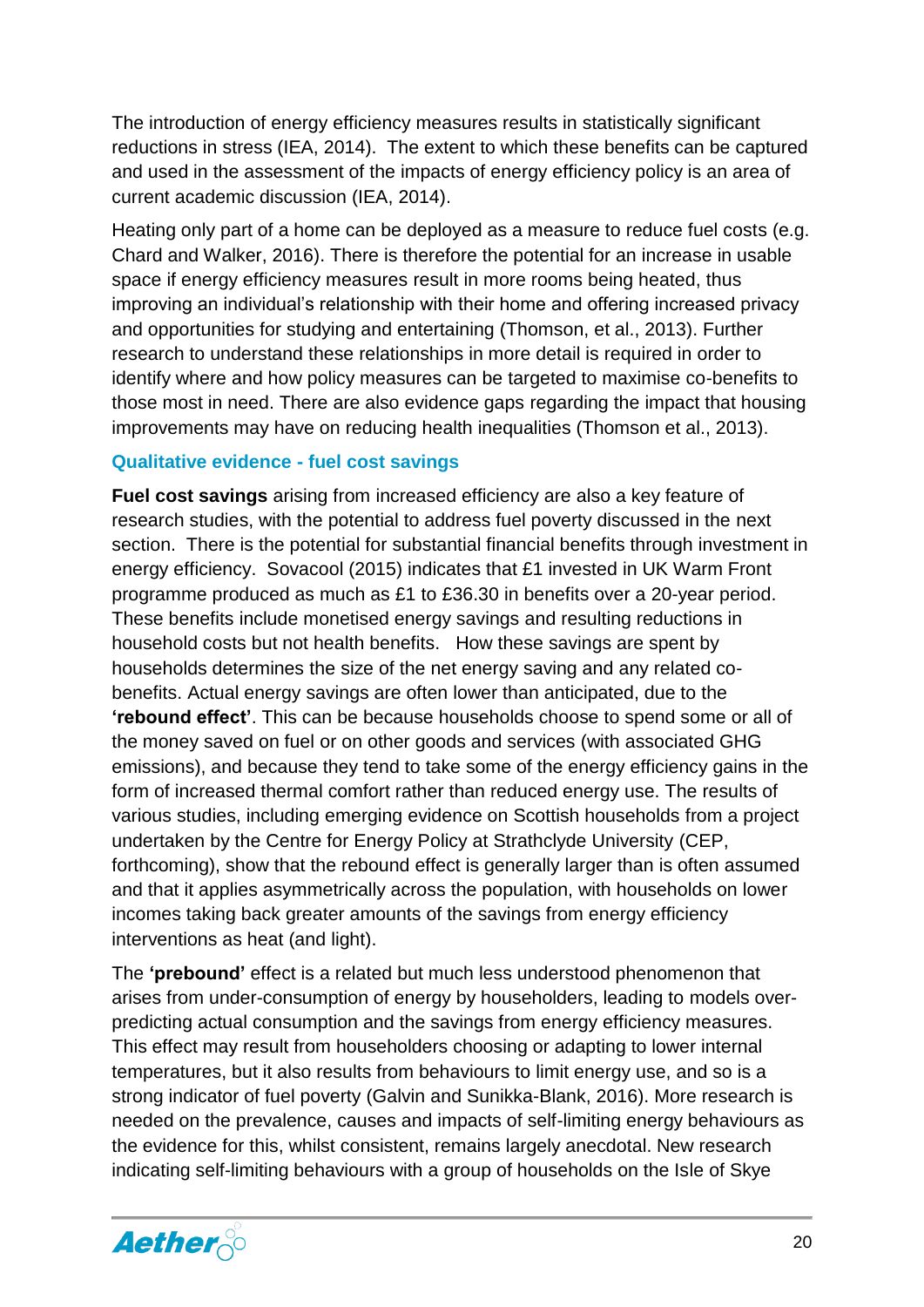The introduction of energy efficiency measures results in statistically significant reductions in stress (IEA, 2014). The extent to which these benefits can be captured and used in the assessment of the impacts of energy efficiency policy is an area of current academic discussion (IEA, 2014).

Heating only part of a home can be deployed as a measure to reduce fuel costs (e.g. Chard and Walker, 2016). There is therefore the potential for an increase in usable space if energy efficiency measures result in more rooms being heated, thus improving an individual's relationship with their home and offering increased privacy and opportunities for studying and entertaining (Thomson, et al., 2013). Further research to understand these relationships in more detail is required in order to identify where and how policy measures can be targeted to maximise co-benefits to those most in need. There are also evidence gaps regarding the impact that housing improvements may have on reducing health inequalities (Thomson et al., 2013).

#### <span id="page-20-0"></span>**Qualitative evidence - fuel cost savings**

**Fuel cost savings** arising from increased efficiency are also a key feature of research studies, with the potential to address fuel poverty discussed in the next section. There is the potential for substantial financial benefits through investment in energy efficiency. Sovacool (2015) indicates that £1 invested in UK Warm Front programme produced as much as £1 to £36.30 in benefits over a 20-year period. These benefits include monetised energy savings and resulting reductions in household costs but not health benefits. How these savings are spent by households determines the size of the net energy saving and any related cobenefits. Actual energy savings are often lower than anticipated, due to the **'rebound effect'**. This can be because households choose to spend some or all of the money saved on fuel or on other goods and services (with associated GHG emissions), and because they tend to take some of the energy efficiency gains in the form of increased thermal comfort rather than reduced energy use. The results of various studies, including emerging evidence on Scottish households from a project undertaken by the Centre for Energy Policy at Strathclyde University (CEP, forthcoming), show that the rebound effect is generally larger than is often assumed and that it applies asymmetrically across the population, with households on lower incomes taking back greater amounts of the savings from energy efficiency interventions as heat (and light).

The **'prebound'** effect is a related but much less understood phenomenon that arises from under-consumption of energy by householders, leading to models overpredicting actual consumption and the savings from energy efficiency measures. This effect may result from householders choosing or adapting to lower internal temperatures, but it also results from behaviours to limit energy use, and so is a strong indicator of fuel poverty (Galvin and Sunikka-Blank, 2016). More research is needed on the prevalence, causes and impacts of self-limiting energy behaviours as the evidence for this, whilst consistent, remains largely anecdotal. New research indicating self-limiting behaviours with a group of households on the Isle of Skye

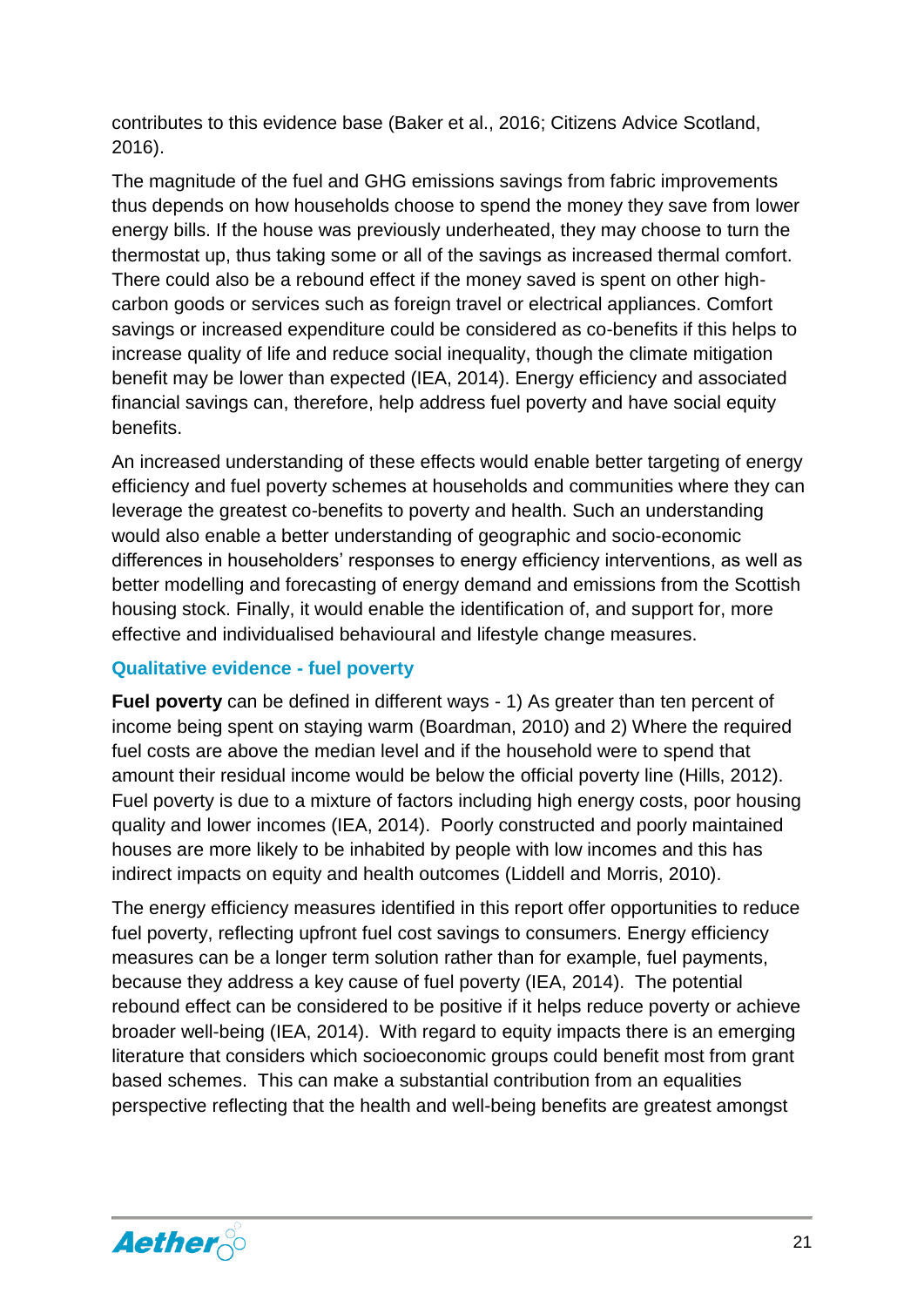contributes to this evidence base (Baker et al., 2016; Citizens Advice Scotland, 2016).

The magnitude of the fuel and GHG emissions savings from fabric improvements thus depends on how households choose to spend the money they save from lower energy bills. If the house was previously underheated, they may choose to turn the thermostat up, thus taking some or all of the savings as increased thermal comfort. There could also be a rebound effect if the money saved is spent on other highcarbon goods or services such as foreign travel or electrical appliances. Comfort savings or increased expenditure could be considered as co-benefits if this helps to increase quality of life and reduce social inequality, though the climate mitigation benefit may be lower than expected (IEA, 2014). Energy efficiency and associated financial savings can, therefore, help address fuel poverty and have social equity benefits.

An increased understanding of these effects would enable better targeting of energy efficiency and fuel poverty schemes at households and communities where they can leverage the greatest co-benefits to poverty and health. Such an understanding would also enable a better understanding of geographic and socio-economic differences in householders' responses to energy efficiency interventions, as well as better modelling and forecasting of energy demand and emissions from the Scottish housing stock. Finally, it would enable the identification of, and support for, more effective and individualised behavioural and lifestyle change measures.

#### <span id="page-21-0"></span>**Qualitative evidence - fuel poverty**

**Fuel poverty** can be defined in different ways - 1) As greater than ten percent of income being spent on staying warm (Boardman, 2010) and 2) Where the required fuel costs are above the median level and if the household were to spend that amount their residual income would be below the official poverty line (Hills, 2012). Fuel poverty is due to a mixture of factors including high energy costs, poor housing quality and lower incomes (IEA, 2014). Poorly constructed and poorly maintained houses are more likely to be inhabited by people with low incomes and this has indirect impacts on equity and health outcomes (Liddell and Morris, 2010).

The energy efficiency measures identified in this report offer opportunities to reduce fuel poverty, reflecting upfront fuel cost savings to consumers. Energy efficiency measures can be a longer term solution rather than for example, fuel payments, because they address a key cause of fuel poverty (IEA, 2014). The potential rebound effect can be considered to be positive if it helps reduce poverty or achieve broader well-being (IEA, 2014). With regard to equity impacts there is an emerging literature that considers which socioeconomic groups could benefit most from grant based schemes. This can make a substantial contribution from an equalities perspective reflecting that the health and well-being benefits are greatest amongst

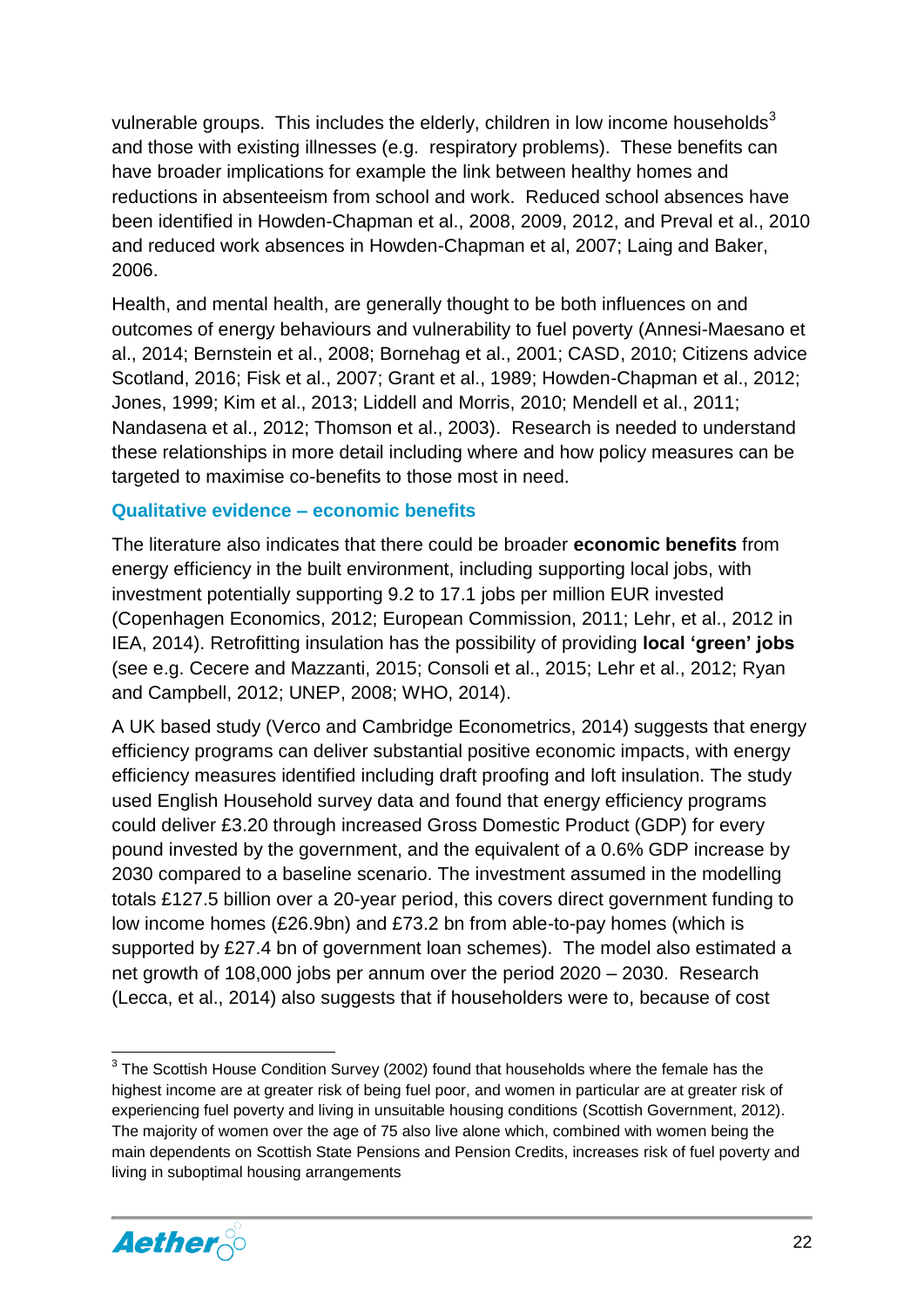vulnerable groups. This includes the elderly, children in low income households<sup>3</sup> and those with existing illnesses (e.g. respiratory problems). These benefits can have broader implications for example the link between healthy homes and reductions in absenteeism from school and work. Reduced school absences have been identified in Howden-Chapman et al., 2008, 2009, 2012, and Preval et al., 2010 and reduced work absences in Howden-Chapman et al, 2007; Laing and Baker, 2006.

Health, and mental health, are generally thought to be both influences on and outcomes of energy behaviours and vulnerability to fuel poverty (Annesi-Maesano et al., 2014; Bernstein et al., 2008; Bornehag et al., 2001; CASD, 2010; Citizens advice Scotland, 2016; Fisk et al., 2007; Grant et al., 1989; Howden-Chapman et al., 2012; Jones, 1999; Kim et al., 2013; Liddell and Morris, 2010; Mendell et al., 2011; Nandasena et al., 2012; Thomson et al., 2003). Research is needed to understand these relationships in more detail including where and how policy measures can be targeted to maximise co-benefits to those most in need.

#### <span id="page-22-0"></span>**Qualitative evidence – economic benefits**

The literature also indicates that there could be broader **economic benefits** from energy efficiency in the built environment, including supporting local jobs, with investment potentially supporting 9.2 to 17.1 jobs per million EUR invested (Copenhagen Economics, 2012; European Commission, 2011; Lehr, et al., 2012 in IEA, 2014). Retrofitting insulation has the possibility of providing **local 'green' jobs** (see e.g. Cecere and Mazzanti, 2015; Consoli et al., 2015; Lehr et al., 2012; Ryan and Campbell, 2012; UNEP, 2008; WHO, 2014).

A UK based study (Verco and Cambridge Econometrics, 2014) suggests that energy efficiency programs can deliver substantial positive economic impacts, with energy efficiency measures identified including draft proofing and loft insulation. The study used English Household survey data and found that energy efficiency programs could deliver £3.20 through increased Gross Domestic Product (GDP) for every pound invested by the government, and the equivalent of a 0.6% GDP increase by 2030 compared to a baseline scenario. The investment assumed in the modelling totals £127.5 billion over a 20-year period, this covers direct government funding to low income homes (£26.9bn) and £73.2 bn from able-to-pay homes (which is supported by £27.4 bn of government loan schemes). The model also estimated a net growth of 108,000 jobs per annum over the period 2020 – 2030. Research (Lecca, et al., 2014) also suggests that if householders were to, because of cost

**<sup>.</sup>**  $3$  The Scottish House Condition Survey (2002) found that households where the female has the highest income are at greater risk of being fuel poor, and women in particular are at greater risk of experiencing fuel poverty and living in unsuitable housing conditions (Scottish Government, 2012). The majority of women over the age of 75 also live alone which, combined with women being the main dependents on Scottish State Pensions and Pension Credits, increases risk of fuel poverty and living in suboptimal housing arrangements

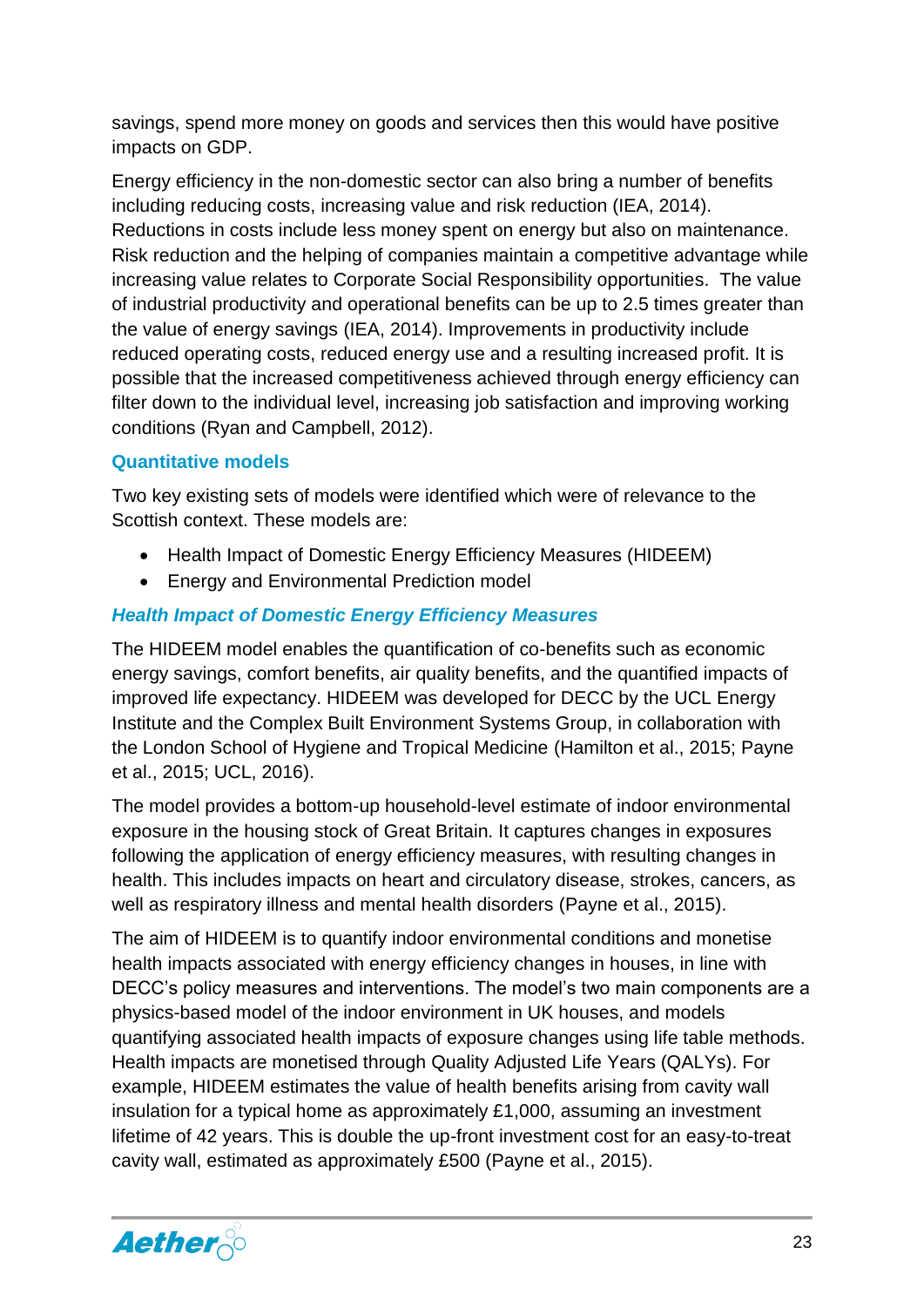savings, spend more money on goods and services then this would have positive impacts on GDP.

Energy efficiency in the non-domestic sector can also bring a number of benefits including reducing costs, increasing value and risk reduction (IEA, 2014). Reductions in costs include less money spent on energy but also on maintenance. Risk reduction and the helping of companies maintain a competitive advantage while increasing value relates to Corporate Social Responsibility opportunities. The value of industrial productivity and operational benefits can be up to 2.5 times greater than the value of energy savings (IEA, 2014). Improvements in productivity include reduced operating costs, reduced energy use and a resulting increased profit. It is possible that the increased competitiveness achieved through energy efficiency can filter down to the individual level, increasing job satisfaction and improving working conditions (Ryan and Campbell, 2012).

#### <span id="page-23-0"></span>**Quantitative models**

Two key existing sets of models were identified which were of relevance to the Scottish context. These models are:

- Health Impact of Domestic Energy Efficiency Measures (HIDEEM)
- Energy and Environmental Prediction model

#### *Health Impact of Domestic Energy Efficiency Measures*

The HIDEEM model enables the quantification of co-benefits such as economic energy savings, comfort benefits, air quality benefits, and the quantified impacts of improved life expectancy. HIDEEM was developed for DECC by the UCL Energy Institute and the Complex Built Environment Systems Group, in collaboration with the London School of Hygiene and Tropical Medicine (Hamilton et al., 2015; Payne et al., 2015; UCL, 2016).

The model provides a bottom-up household-level estimate of indoor environmental exposure in the housing stock of Great Britain. It captures changes in exposures following the application of energy efficiency measures, with resulting changes in health. This includes impacts on heart and circulatory disease, strokes, cancers, as well as respiratory illness and mental health disorders (Payne et al., 2015).

The aim of HIDEEM is to quantify indoor environmental conditions and monetise health impacts associated with energy efficiency changes in houses, in line with DECC's policy measures and interventions. The model's two main components are a physics-based model of the indoor environment in UK houses, and models quantifying associated health impacts of exposure changes using life table methods. Health impacts are monetised through Quality Adjusted Life Years (QALYs). For example, HIDEEM estimates the value of health benefits arising from cavity wall insulation for a typical home as approximately £1,000, assuming an investment lifetime of 42 years. This is double the up-front investment cost for an easy-to-treat cavity wall, estimated as approximately £500 (Payne et al., 2015).

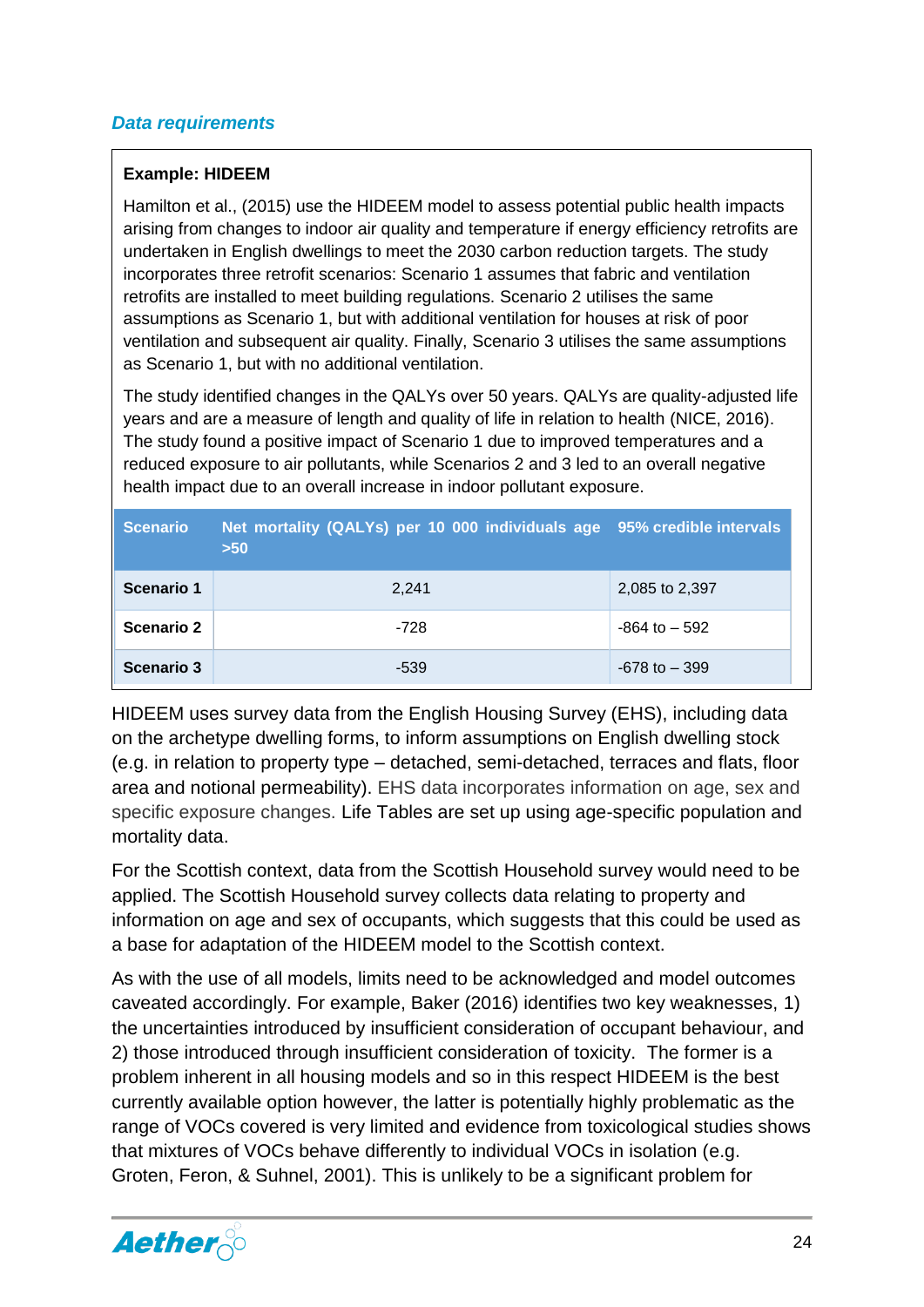#### *Data requirements*

#### **Example: HIDEEM**

Hamilton et al., (2015) use the HIDEEM model to assess potential public health impacts arising from changes to indoor air quality and temperature if energy efficiency retrofits are undertaken in English dwellings to meet the 2030 carbon reduction targets. The study incorporates three retrofit scenarios: Scenario 1 assumes that fabric and ventilation retrofits are installed to meet building regulations. Scenario 2 utilises the same assumptions as Scenario 1, but with additional ventilation for houses at risk of poor ventilation and subsequent air quality. Finally, Scenario 3 utilises the same assumptions as Scenario 1, but with no additional ventilation.

The study identified changes in the QALYs over 50 years. QALYs are quality-adjusted life years and are a measure of length and quality of life in relation to health (NICE, 2016). The study found a positive impact of Scenario 1 due to improved temperatures and a reduced exposure to air pollutants, while Scenarios 2 and 3 led to an overall negative health impact due to an overall increase in indoor pollutant exposure.

| <b>Scenario</b>   | Net mortality (QALYs) per 10 000 individuals age 95% credible intervals<br>$>50$ |                  |
|-------------------|----------------------------------------------------------------------------------|------------------|
| Scenario 1        | 2.241                                                                            | 2,085 to 2,397   |
| Scenario 2        | $-728$                                                                           | $-864$ to $-592$ |
| <b>Scenario 3</b> | $-539$                                                                           | $-678$ to $-399$ |

HIDEEM uses survey data from the English Housing Survey (EHS), including data on the archetype dwelling forms, to inform assumptions on English dwelling stock (e.g. in relation to property type – detached, semi-detached, terraces and flats, floor area and notional permeability). EHS data incorporates information on age, sex and specific exposure changes. Life Tables are set up using age-specific population and mortality data.

For the Scottish context, data from the Scottish Household survey would need to be applied. The Scottish Household survey collects data relating to property and information on age and sex of occupants, which suggests that this could be used as a base for adaptation of the HIDEEM model to the Scottish context.

As with the use of all models, limits need to be acknowledged and model outcomes caveated accordingly. For example, Baker (2016) identifies two key weaknesses, 1) the uncertainties introduced by insufficient consideration of occupant behaviour, and 2) those introduced through insufficient consideration of toxicity. The former is a problem inherent in all housing models and so in this respect HIDEEM is the best currently available option however, the latter is potentially highly problematic as the range of VOCs covered is very limited and evidence from toxicological studies shows that mixtures of VOCs behave differently to individual VOCs in isolation (e.g. Groten, Feron, & Suhnel, 2001). This is unlikely to be a significant problem for

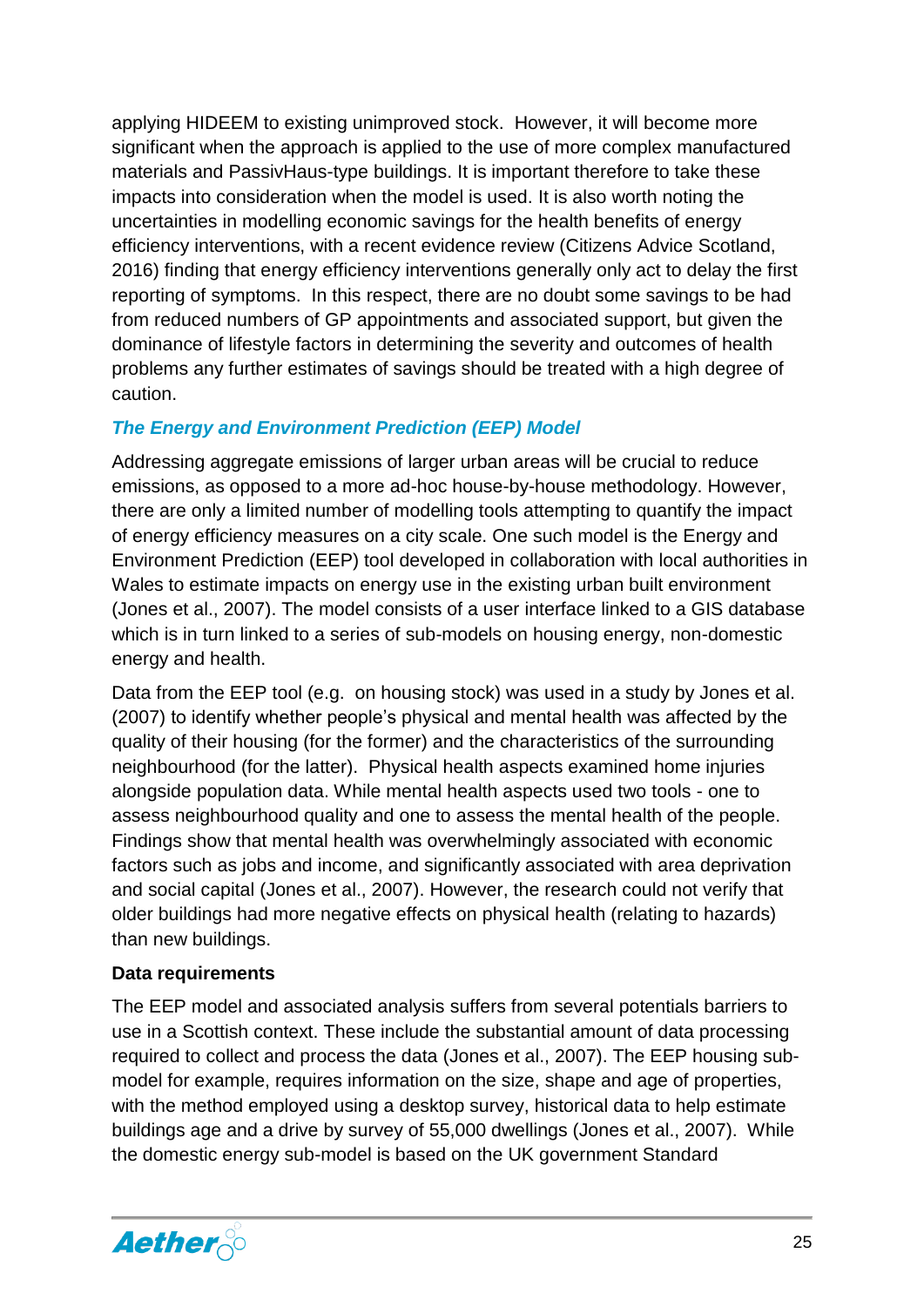applying HIDEEM to existing unimproved stock. However, it will become more significant when the approach is applied to the use of more complex manufactured materials and PassivHaus-type buildings. It is important therefore to take these impacts into consideration when the model is used. It is also worth noting the uncertainties in modelling economic savings for the health benefits of energy efficiency interventions, with a recent evidence review (Citizens Advice Scotland, 2016) finding that energy efficiency interventions generally only act to delay the first reporting of symptoms. In this respect, there are no doubt some savings to be had from reduced numbers of GP appointments and associated support, but given the dominance of lifestyle factors in determining the severity and outcomes of health problems any further estimates of savings should be treated with a high degree of caution.

#### *The Energy and Environment Prediction (EEP) Model*

Addressing aggregate emissions of larger urban areas will be crucial to reduce emissions, as opposed to a more ad-hoc house-by-house methodology. However, there are only a limited number of modelling tools attempting to quantify the impact of energy efficiency measures on a city scale. One such model is the Energy and Environment Prediction (EEP) tool developed in collaboration with local authorities in Wales to estimate impacts on energy use in the existing urban built environment (Jones et al., 2007). The model consists of a user interface linked to a GIS database which is in turn linked to a series of sub-models on housing energy, non-domestic energy and health.

Data from the EEP tool (e.g. on housing stock) was used in a study by Jones et al. (2007) to identify whether people's physical and mental health was affected by the quality of their housing (for the former) and the characteristics of the surrounding neighbourhood (for the latter). Physical health aspects examined home injuries alongside population data. While mental health aspects used two tools - one to assess neighbourhood quality and one to assess the mental health of the people. Findings show that mental health was overwhelmingly associated with economic factors such as jobs and income, and significantly associated with area deprivation and social capital (Jones et al., 2007). However, the research could not verify that older buildings had more negative effects on physical health (relating to hazards) than new buildings.

#### **Data requirements**

The EEP model and associated analysis suffers from several potentials barriers to use in a Scottish context. These include the substantial amount of data processing required to collect and process the data (Jones et al., 2007). The EEP housing submodel for example, requires information on the size, shape and age of properties, with the method employed using a desktop survey, historical data to help estimate buildings age and a drive by survey of 55,000 dwellings (Jones et al., 2007). While the domestic energy sub-model is based on the UK government Standard

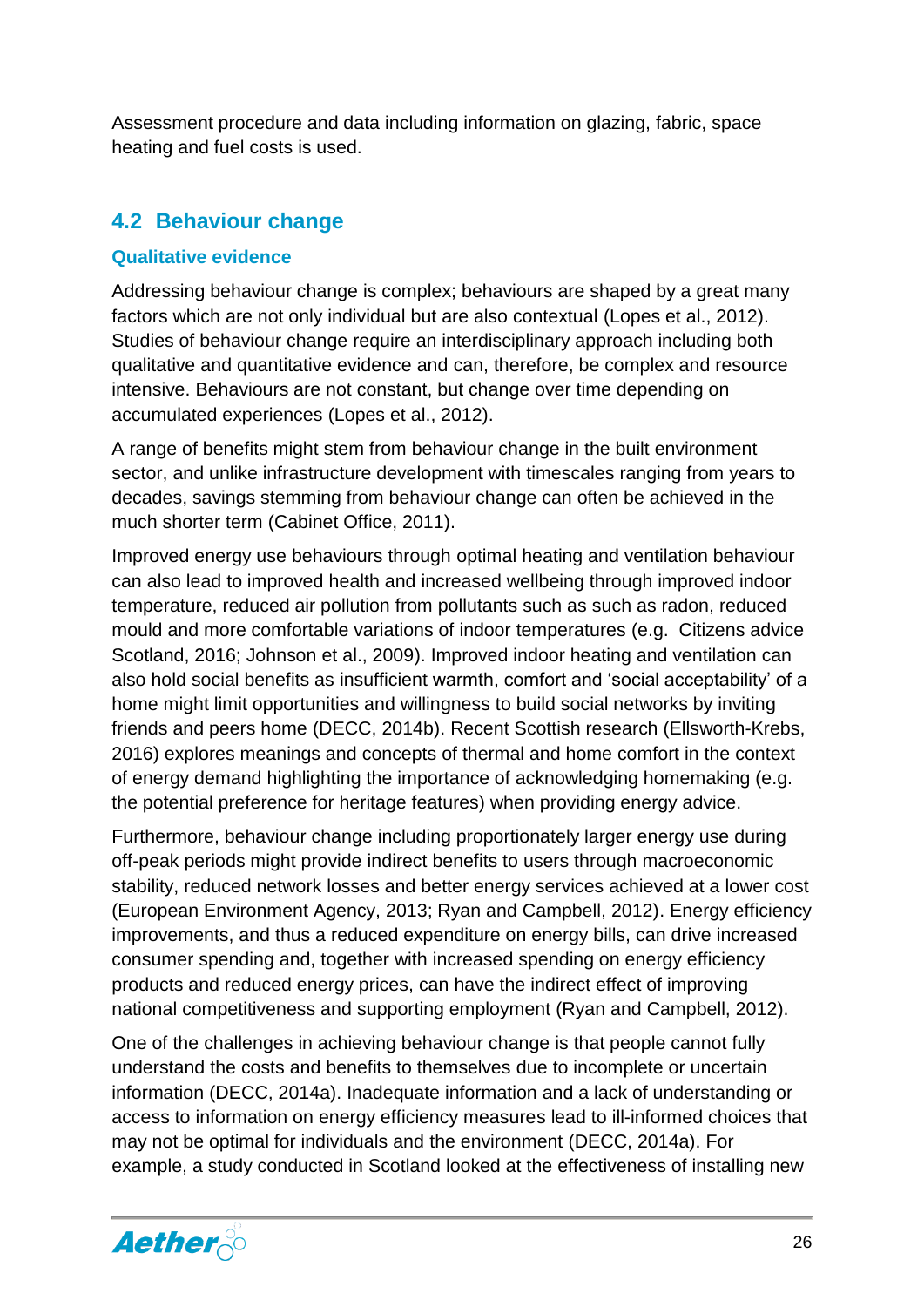Assessment procedure and data including information on glazing, fabric, space heating and fuel costs is used.

#### <span id="page-26-0"></span>**4.2 Behaviour change**

#### <span id="page-26-1"></span>**Qualitative evidence**

Addressing behaviour change is complex; behaviours are shaped by a great many factors which are not only individual but are also contextual (Lopes et al., 2012). Studies of behaviour change require an interdisciplinary approach including both qualitative and quantitative evidence and can, therefore, be complex and resource intensive. Behaviours are not constant, but change over time depending on accumulated experiences (Lopes et al., 2012).

A range of benefits might stem from behaviour change in the built environment sector, and unlike infrastructure development with timescales ranging from years to decades, savings stemming from behaviour change can often be achieved in the much shorter term (Cabinet Office, 2011).

Improved energy use behaviours through optimal heating and ventilation behaviour can also lead to improved health and increased wellbeing through improved indoor temperature, reduced air pollution from pollutants such as such as radon, reduced mould and more comfortable variations of indoor temperatures (e.g. Citizens advice Scotland, 2016; Johnson et al., 2009). Improved indoor heating and ventilation can also hold social benefits as insufficient warmth, comfort and 'social acceptability' of a home might limit opportunities and willingness to build social networks by inviting friends and peers home (DECC, 2014b). Recent Scottish research (Ellsworth-Krebs, 2016) explores meanings and concepts of thermal and home comfort in the context of energy demand highlighting the importance of acknowledging homemaking (e.g. the potential preference for heritage features) when providing energy advice.

Furthermore, behaviour change including proportionately larger energy use during off-peak periods might provide indirect benefits to users through macroeconomic stability, reduced network losses and better energy services achieved at a lower cost (European Environment Agency, 2013; Ryan and Campbell, 2012). Energy efficiency improvements, and thus a reduced expenditure on energy bills, can drive increased consumer spending and, together with increased spending on energy efficiency products and reduced energy prices, can have the indirect effect of improving national competitiveness and supporting employment (Ryan and Campbell, 2012).

One of the challenges in achieving behaviour change is that people cannot fully understand the costs and benefits to themselves due to incomplete or uncertain information (DECC, 2014a). Inadequate information and a lack of understanding or access to information on energy efficiency measures lead to ill-informed choices that may not be optimal for individuals and the environment (DECC, 2014a). For example, a study conducted in Scotland looked at the effectiveness of installing new

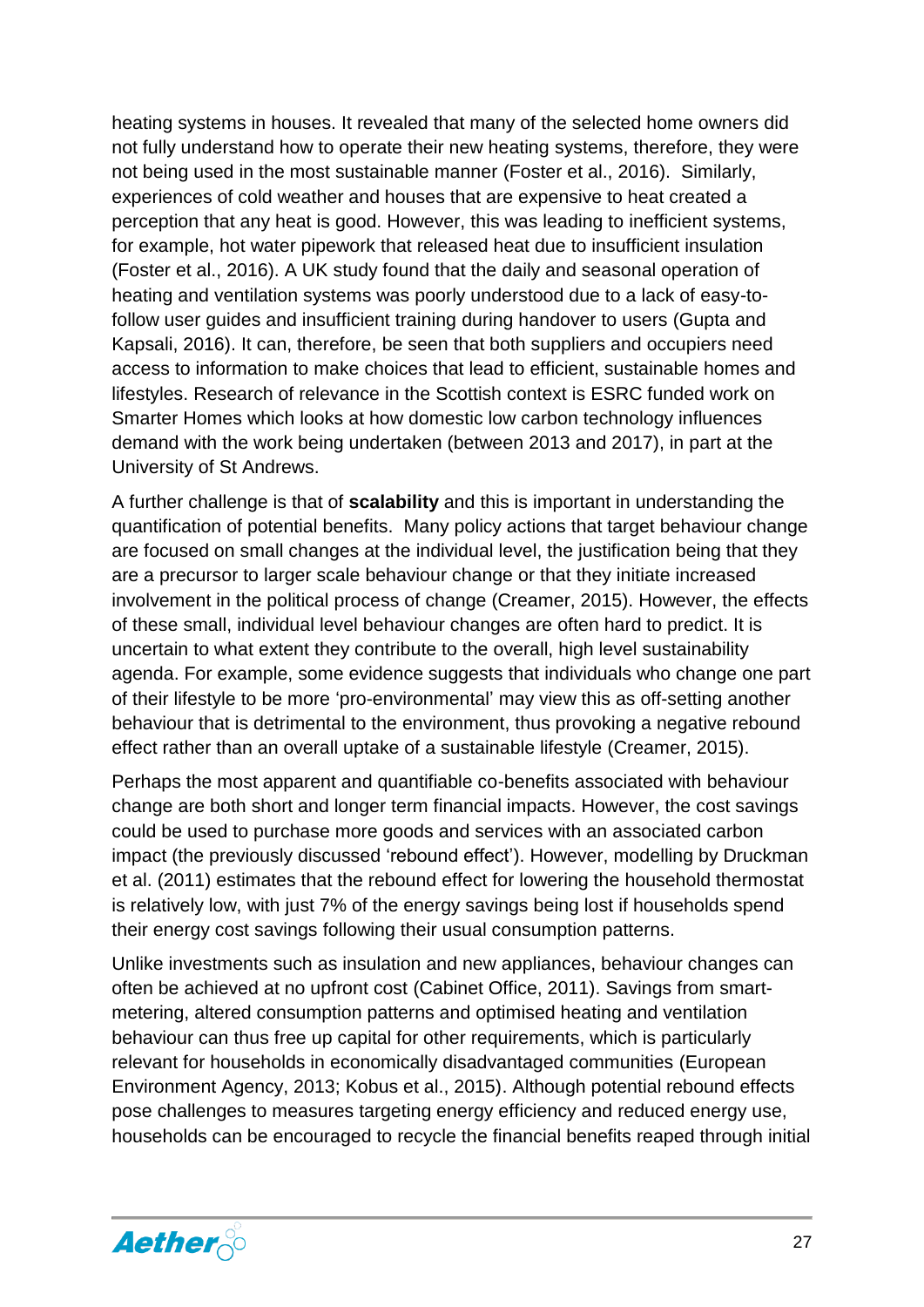heating systems in houses. It revealed that many of the selected home owners did not fully understand how to operate their new heating systems, therefore, they were not being used in the most sustainable manner (Foster et al., 2016). Similarly, experiences of cold weather and houses that are expensive to heat created a perception that any heat is good. However, this was leading to inefficient systems, for example, hot water pipework that released heat due to insufficient insulation (Foster et al., 2016). A UK study found that the daily and seasonal operation of heating and ventilation systems was poorly understood due to a lack of easy-tofollow user guides and insufficient training during handover to users (Gupta and Kapsali, 2016). It can, therefore, be seen that both suppliers and occupiers need access to information to make choices that lead to efficient, sustainable homes and lifestyles. Research of relevance in the Scottish context is ESRC funded work on Smarter Homes which looks at how domestic low carbon technology influences demand with the work being undertaken (between 2013 and 2017), in part at the University of St Andrews.

A further challenge is that of **scalability** and this is important in understanding the quantification of potential benefits. Many policy actions that target behaviour change are focused on small changes at the individual level, the justification being that they are a precursor to larger scale behaviour change or that they initiate increased involvement in the political process of change (Creamer, 2015). However, the effects of these small, individual level behaviour changes are often hard to predict. It is uncertain to what extent they contribute to the overall, high level sustainability agenda. For example, some evidence suggests that individuals who change one part of their lifestyle to be more 'pro-environmental' may view this as off-setting another behaviour that is detrimental to the environment, thus provoking a negative rebound effect rather than an overall uptake of a sustainable lifestyle (Creamer, 2015).

Perhaps the most apparent and quantifiable co-benefits associated with behaviour change are both short and longer term financial impacts. However, the cost savings could be used to purchase more goods and services with an associated carbon impact (the previously discussed 'rebound effect'). However, modelling by Druckman et al. (2011) estimates that the rebound effect for lowering the household thermostat is relatively low, with just 7% of the energy savings being lost if households spend their energy cost savings following their usual consumption patterns.

Unlike investments such as insulation and new appliances, behaviour changes can often be achieved at no upfront cost (Cabinet Office, 2011). Savings from smartmetering, altered consumption patterns and optimised heating and ventilation behaviour can thus free up capital for other requirements, which is particularly relevant for households in economically disadvantaged communities (European Environment Agency, 2013; Kobus et al., 2015). Although potential rebound effects pose challenges to measures targeting energy efficiency and reduced energy use, households can be encouraged to recycle the financial benefits reaped through initial

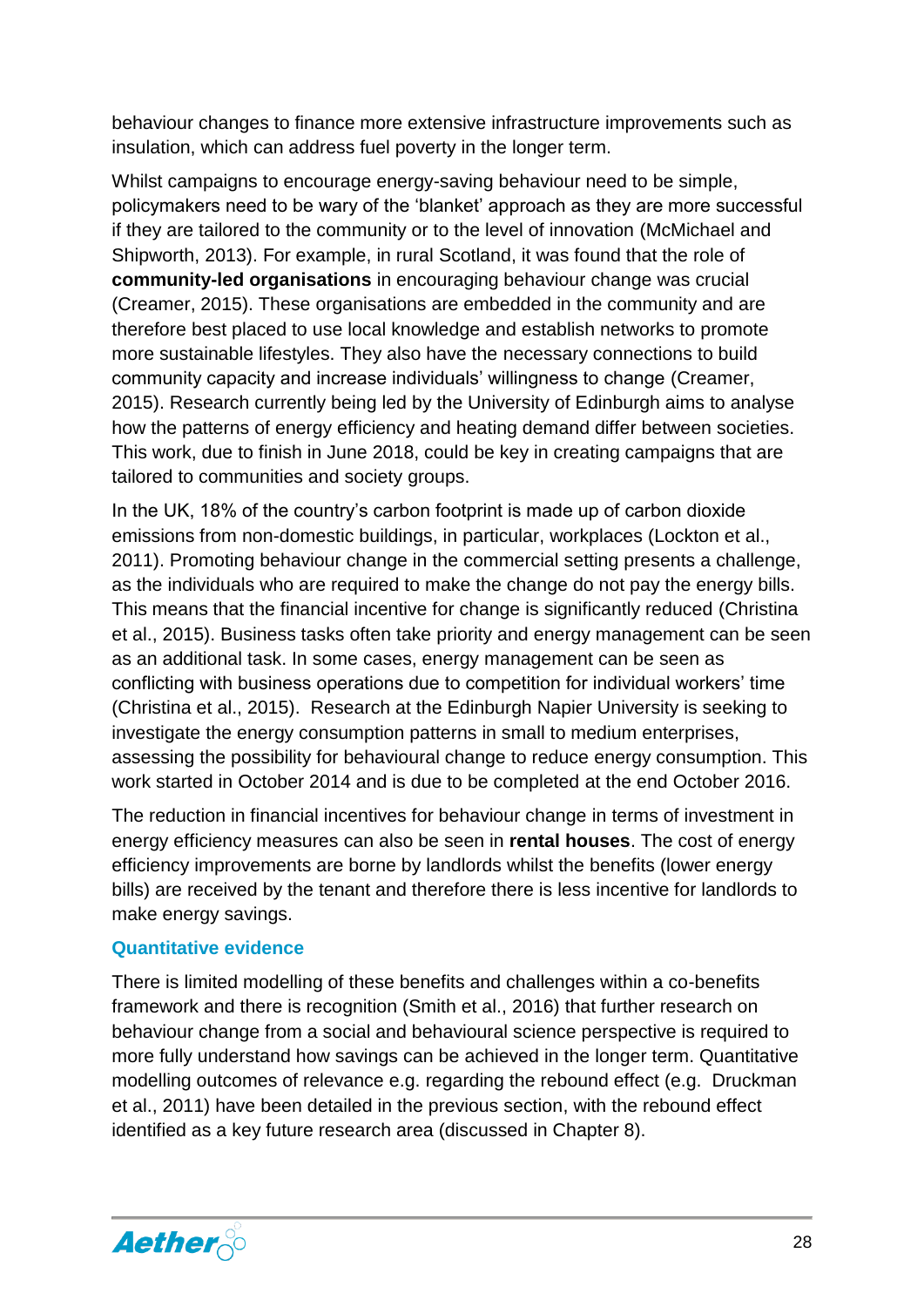behaviour changes to finance more extensive infrastructure improvements such as insulation, which can address fuel poverty in the longer term.

Whilst campaigns to encourage energy-saving behaviour need to be simple, policymakers need to be wary of the ‗blanket' approach as they are more successful if they are tailored to the community or to the level of innovation (McMichael and Shipworth, 2013). For example, in rural Scotland, it was found that the role of **community-led organisations** in encouraging behaviour change was crucial (Creamer, 2015). These organisations are embedded in the community and are therefore best placed to use local knowledge and establish networks to promote more sustainable lifestyles. They also have the necessary connections to build community capacity and increase individuals' willingness to change (Creamer, 2015). Research currently being led by the University of Edinburgh aims to analyse how the patterns of energy efficiency and heating demand differ between societies. This work, due to finish in June 2018, could be key in creating campaigns that are tailored to communities and society groups.

In the UK, 18% of the country's carbon footprint is made up of carbon dioxide emissions from non-domestic buildings, in particular, workplaces (Lockton et al., 2011). Promoting behaviour change in the commercial setting presents a challenge, as the individuals who are required to make the change do not pay the energy bills. This means that the financial incentive for change is significantly reduced (Christina et al., 2015). Business tasks often take priority and energy management can be seen as an additional task. In some cases, energy management can be seen as conflicting with business operations due to competition for individual workers' time (Christina et al., 2015). Research at the Edinburgh Napier University is seeking to investigate the energy consumption patterns in small to medium enterprises, assessing the possibility for behavioural change to reduce energy consumption. This work started in October 2014 and is due to be completed at the end October 2016.

The reduction in financial incentives for behaviour change in terms of investment in energy efficiency measures can also be seen in **rental houses**. The cost of energy efficiency improvements are borne by landlords whilst the benefits (lower energy bills) are received by the tenant and therefore there is less incentive for landlords to make energy savings.

#### <span id="page-28-0"></span>**Quantitative evidence**

There is limited modelling of these benefits and challenges within a co-benefits framework and there is recognition (Smith et al., 2016) that further research on behaviour change from a social and behavioural science perspective is required to more fully understand how savings can be achieved in the longer term. Quantitative modelling outcomes of relevance e.g. regarding the rebound effect (e.g. Druckman et al., 2011) have been detailed in the previous section, with the rebound effect identified as a key future research area (discussed in Chapter 8).

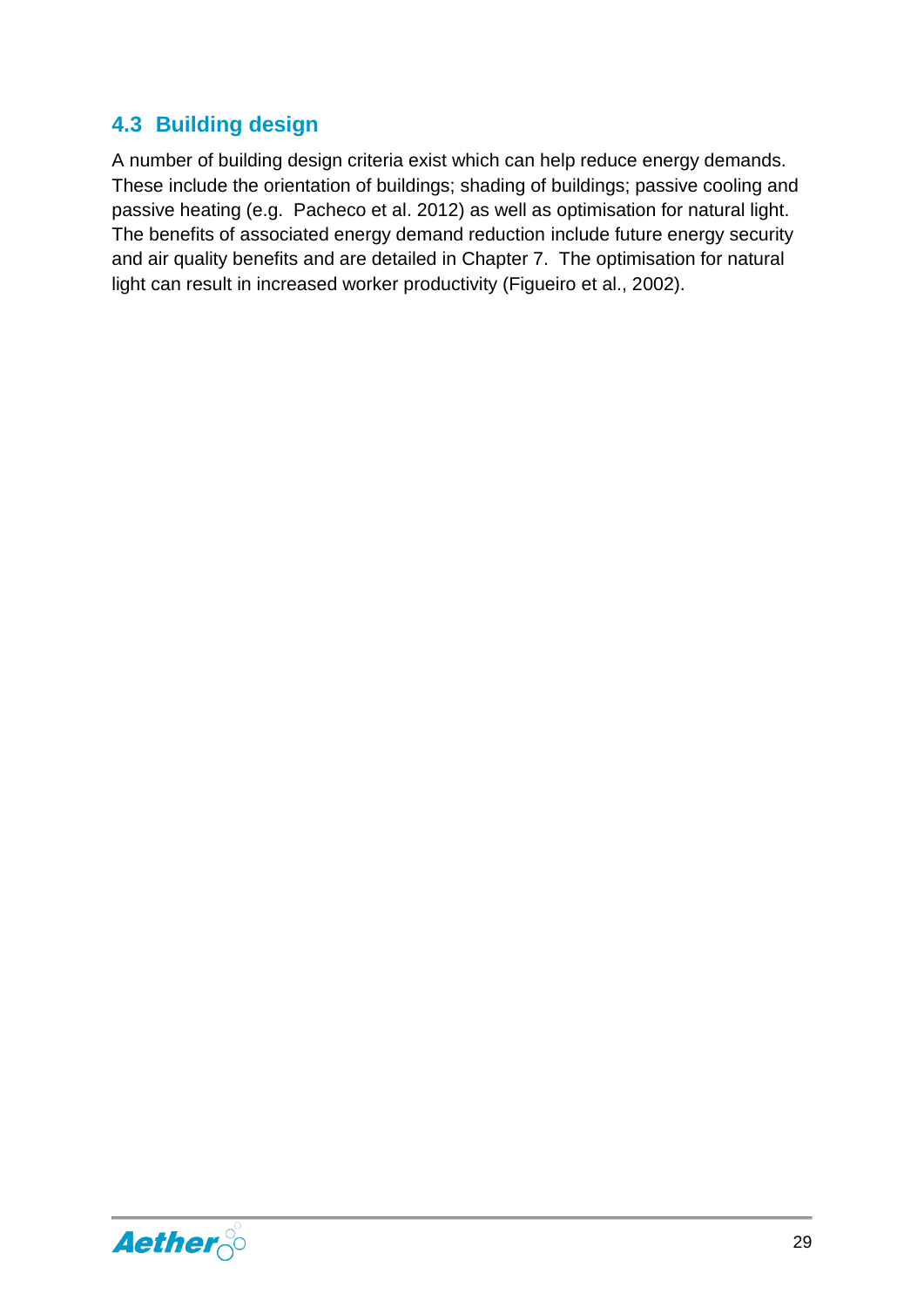#### <span id="page-29-0"></span>**4.3 Building design**

A number of building design criteria exist which can help reduce energy demands. These include the orientation of buildings; shading of buildings; passive cooling and passive heating (e.g. Pacheco et al. 2012) as well as optimisation for natural light. The benefits of associated energy demand reduction include future energy security and air quality benefits and are detailed in Chapter [7.](#page-35-0) The optimisation for natural light can result in increased worker productivity (Figueiro et al., 2002).

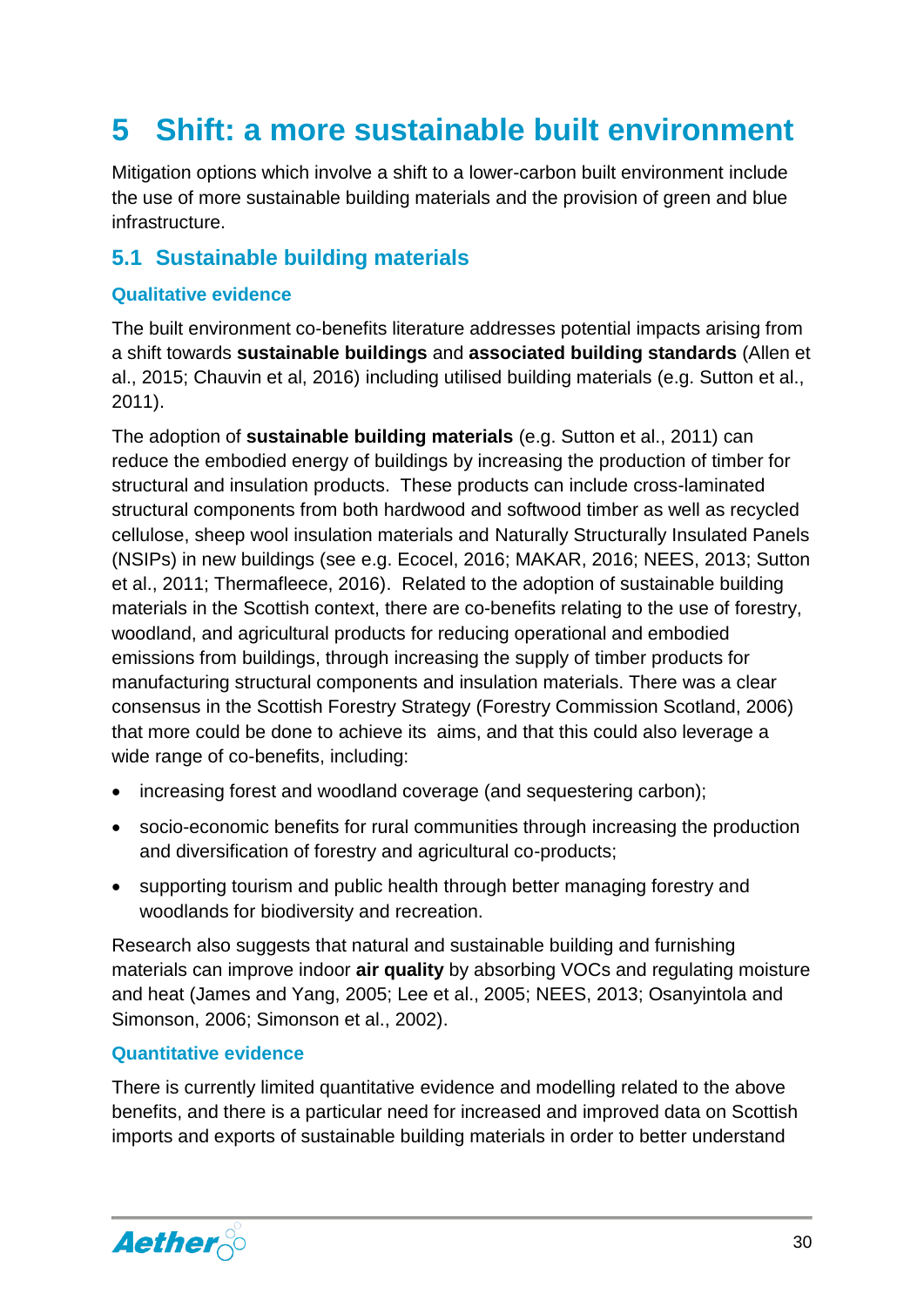# <span id="page-30-0"></span>**5 Shift: a more sustainable built environment**

Mitigation options which involve a shift to a lower-carbon built environment include the use of more sustainable building materials and the provision of green and blue infrastructure.

#### <span id="page-30-1"></span>**5.1 Sustainable building materials**

#### <span id="page-30-2"></span>**Qualitative evidence**

The built environment co-benefits literature addresses potential impacts arising from a shift towards **sustainable buildings** and **associated building standards** (Allen et al., 2015; Chauvin et al, 2016) including utilised building materials (e.g. Sutton et al., 2011).

The adoption of **sustainable building materials** (e.g. Sutton et al., 2011) can reduce the embodied energy of buildings by increasing the production of timber for structural and insulation products. These products can include cross-laminated structural components from both hardwood and softwood timber as well as recycled cellulose, sheep wool insulation materials and Naturally Structurally Insulated Panels (NSIPs) in new buildings (see e.g. Ecocel, 2016; MAKAR, 2016; NEES, 2013; Sutton et al., 2011; Thermafleece, 2016). Related to the adoption of sustainable building materials in the Scottish context, there are co-benefits relating to the use of forestry, woodland, and agricultural products for reducing operational and embodied emissions from buildings, through increasing the supply of timber products for manufacturing structural components and insulation materials. There was a clear consensus in the Scottish Forestry Strategy (Forestry Commission Scotland, 2006) that more could be done to achieve its aims, and that this could also leverage a wide range of co-benefits, including:

- increasing forest and woodland coverage (and sequestering carbon);
- socio-economic benefits for rural communities through increasing the production and diversification of forestry and agricultural co-products;
- supporting tourism and public health through better managing forestry and woodlands for biodiversity and recreation.

Research also suggests that natural and sustainable building and furnishing materials can improve indoor **air quality** by absorbing VOCs and regulating moisture and heat (James and Yang, 2005; Lee et al., 2005; NEES, 2013; Osanyintola and Simonson, 2006; Simonson et al., 2002).

#### <span id="page-30-3"></span>**Quantitative evidence**

There is currently limited quantitative evidence and modelling related to the above benefits, and there is a particular need for increased and improved data on Scottish imports and exports of sustainable building materials in order to better understand

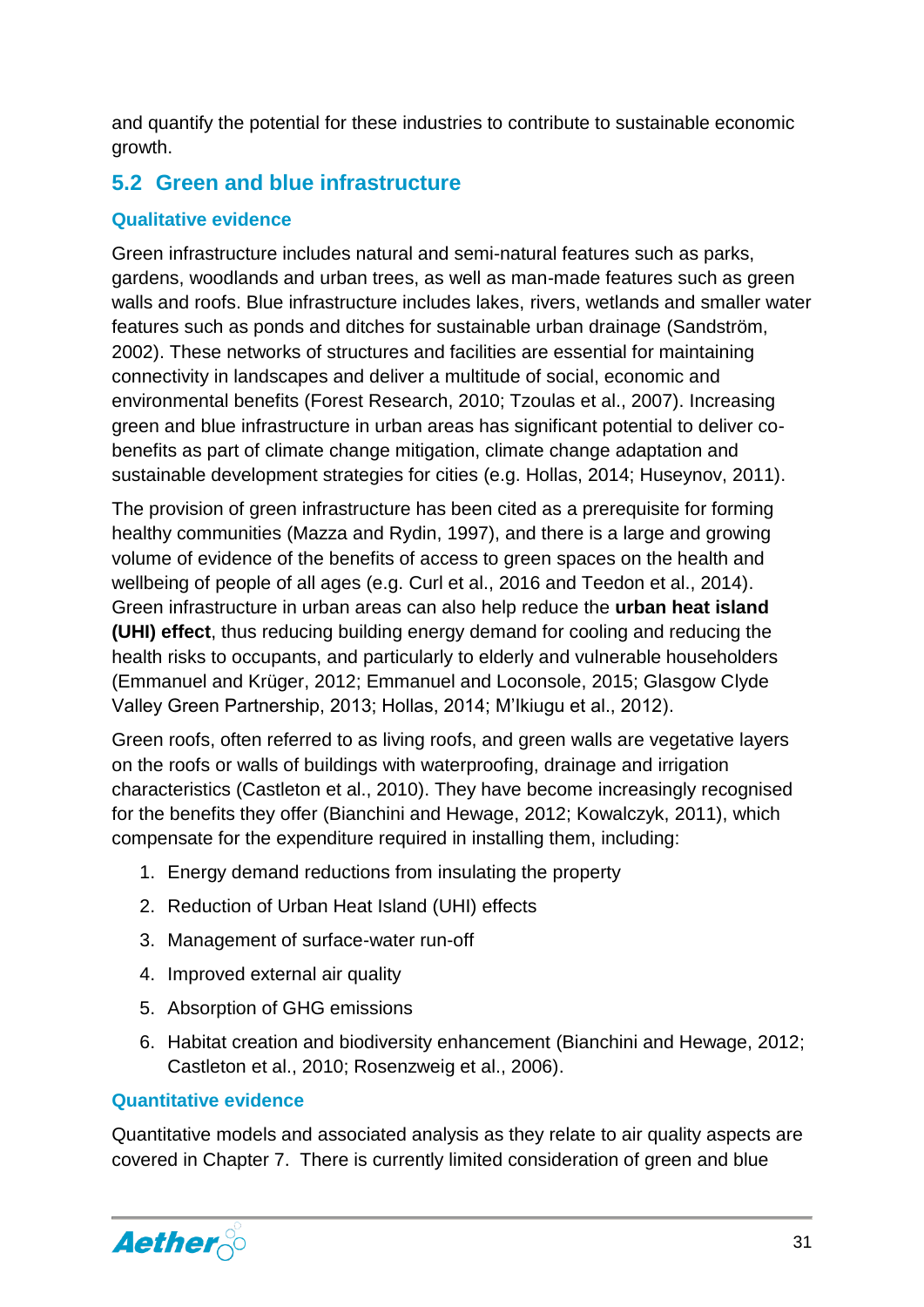and quantify the potential for these industries to contribute to sustainable economic growth.

#### <span id="page-31-0"></span>**5.2 Green and blue infrastructure**

#### <span id="page-31-1"></span>**Qualitative evidence**

Green infrastructure includes natural and semi-natural features such as parks, gardens, woodlands and urban trees, as well as man-made features such as green walls and roofs. Blue infrastructure includes lakes, rivers, wetlands and smaller water features such as ponds and ditches for sustainable urban drainage (Sandström, 2002). These networks of structures and facilities are essential for maintaining connectivity in landscapes and deliver a multitude of social, economic and environmental benefits (Forest Research, 2010; Tzoulas et al., 2007). Increasing green and blue infrastructure in urban areas has significant potential to deliver cobenefits as part of climate change mitigation, climate change adaptation and sustainable development strategies for cities (e.g. Hollas, 2014; Huseynov, 2011).

The provision of green infrastructure has been cited as a prerequisite for forming healthy communities (Mazza and Rydin, 1997), and there is a large and growing volume of evidence of the benefits of access to green spaces on the health and wellbeing of people of all ages (e.g. Curl et al., 2016 and Teedon et al., 2014). Green infrastructure in urban areas can also help reduce the **urban heat island (UHI) effect**, thus reducing building energy demand for cooling and reducing the health risks to occupants, and particularly to elderly and vulnerable householders (Emmanuel and Krüger, 2012; Emmanuel and Loconsole, 2015; Glasgow Clyde Valley Green Partnership, 2013; Hollas, 2014; M'Ikiugu et al., 2012).

Green roofs, often referred to as living roofs, and green walls are vegetative layers on the roofs or walls of buildings with waterproofing, drainage and irrigation characteristics (Castleton et al., 2010). They have become increasingly recognised for the benefits they offer (Bianchini and Hewage, 2012; Kowalczyk, 2011), which compensate for the expenditure required in installing them, including:

- 1. Energy demand reductions from insulating the property
- 2. Reduction of Urban Heat Island (UHI) effects
- 3. Management of surface-water run-off
- 4. Improved external air quality
- 5. Absorption of GHG emissions
- 6. Habitat creation and biodiversity enhancement (Bianchini and Hewage, 2012; Castleton et al., 2010; Rosenzweig et al., 2006).

#### <span id="page-31-2"></span>**Quantitative evidence**

Quantitative models and associated analysis as they relate to air quality aspects are covered in Chapter 7. There is currently limited consideration of green and blue

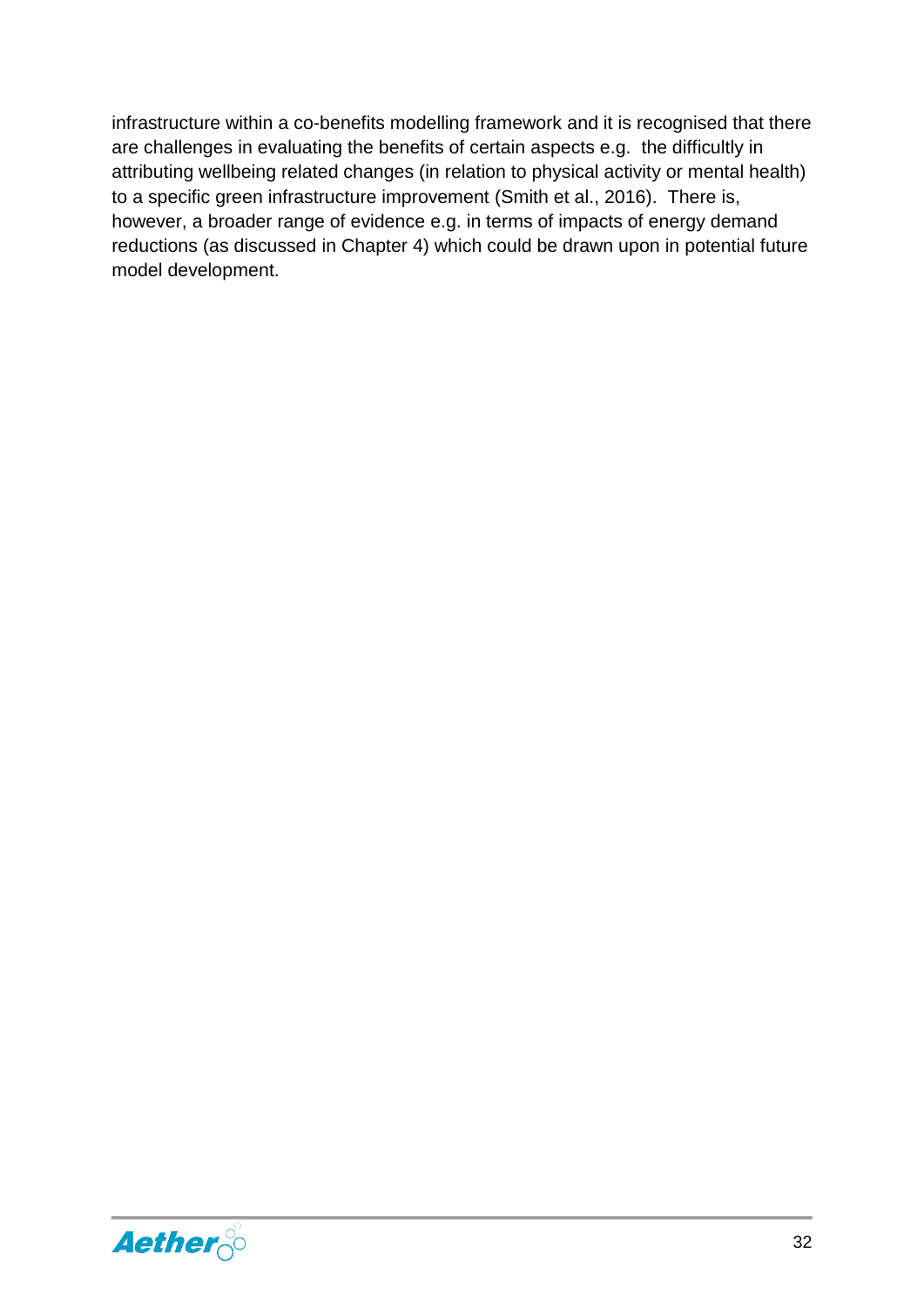infrastructure within a co-benefits modelling framework and it is recognised that there are challenges in evaluating the benefits of certain aspects e.g. the difficultly in attributing wellbeing related changes (in relation to physical activity or mental health) to a specific green infrastructure improvement (Smith et al., 2016). There is, however, a broader range of evidence e.g. in terms of impacts of energy demand reductions (as discussed in Chapter 4) which could be drawn upon in potential future model development.

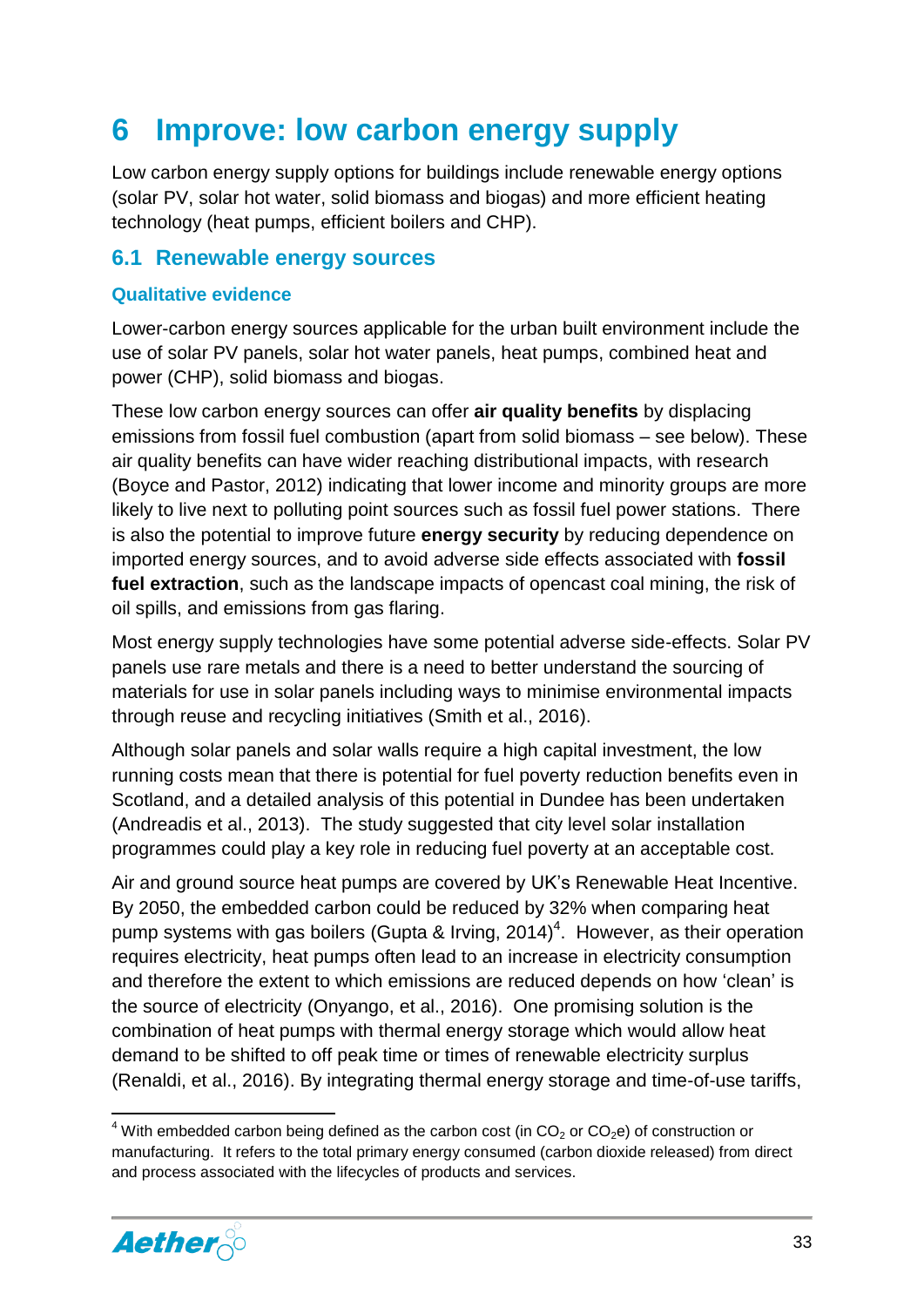### <span id="page-33-0"></span>**6 Improve: low carbon energy supply**

Low carbon energy supply options for buildings include renewable energy options (solar PV, solar hot water, solid biomass and biogas) and more efficient heating technology (heat pumps, efficient boilers and CHP).

#### <span id="page-33-1"></span>**6.1 Renewable energy sources**

#### <span id="page-33-2"></span>**Qualitative evidence**

Lower-carbon energy sources applicable for the urban built environment include the use of solar PV panels, solar hot water panels, heat pumps, combined heat and power (CHP), solid biomass and biogas.

These low carbon energy sources can offer **air quality benefits** by displacing emissions from fossil fuel combustion (apart from solid biomass – see below). These air quality benefits can have wider reaching distributional impacts, with research (Boyce and Pastor, 2012) indicating that lower income and minority groups are more likely to live next to polluting point sources such as fossil fuel power stations. There is also the potential to improve future **energy security** by reducing dependence on imported energy sources, and to avoid adverse side effects associated with **fossil fuel extraction**, such as the landscape impacts of opencast coal mining, the risk of oil spills, and emissions from gas flaring.

Most energy supply technologies have some potential adverse side-effects. Solar PV panels use rare metals and there is a need to better understand the sourcing of materials for use in solar panels including ways to minimise environmental impacts through reuse and recycling initiatives (Smith et al., 2016).

Although solar panels and solar walls require a high capital investment, the low running costs mean that there is potential for fuel poverty reduction benefits even in Scotland, and a detailed analysis of this potential in Dundee has been undertaken (Andreadis et al., 2013). The study suggested that city level solar installation programmes could play a key role in reducing fuel poverty at an acceptable cost.

Air and ground source heat pumps are covered by UK's Renewable Heat Incentive. By 2050, the embedded carbon could be reduced by 32% when comparing heat pump systems with gas boilers (Gupta & Irving, 2014)<sup>4</sup>. However, as their operation requires electricity, heat pumps often lead to an increase in electricity consumption and therefore the extent to which emissions are reduced depends on how 'clean' is the source of electricity (Onyango, et al., 2016). One promising solution is the combination of heat pumps with thermal energy storage which would allow heat demand to be shifted to off peak time or times of renewable electricity surplus (Renaldi, et al., 2016). By integrating thermal energy storage and time-of-use tariffs,

<sup>&</sup>lt;sup>4</sup> With embedded carbon being defined as the carbon cost (in  $CO<sub>2</sub>$  or  $CO<sub>2</sub>e$ ) of construction or manufacturing. It refers to the total primary energy consumed (carbon dioxide released) from direct and process associated with the lifecycles of products and services.



**.**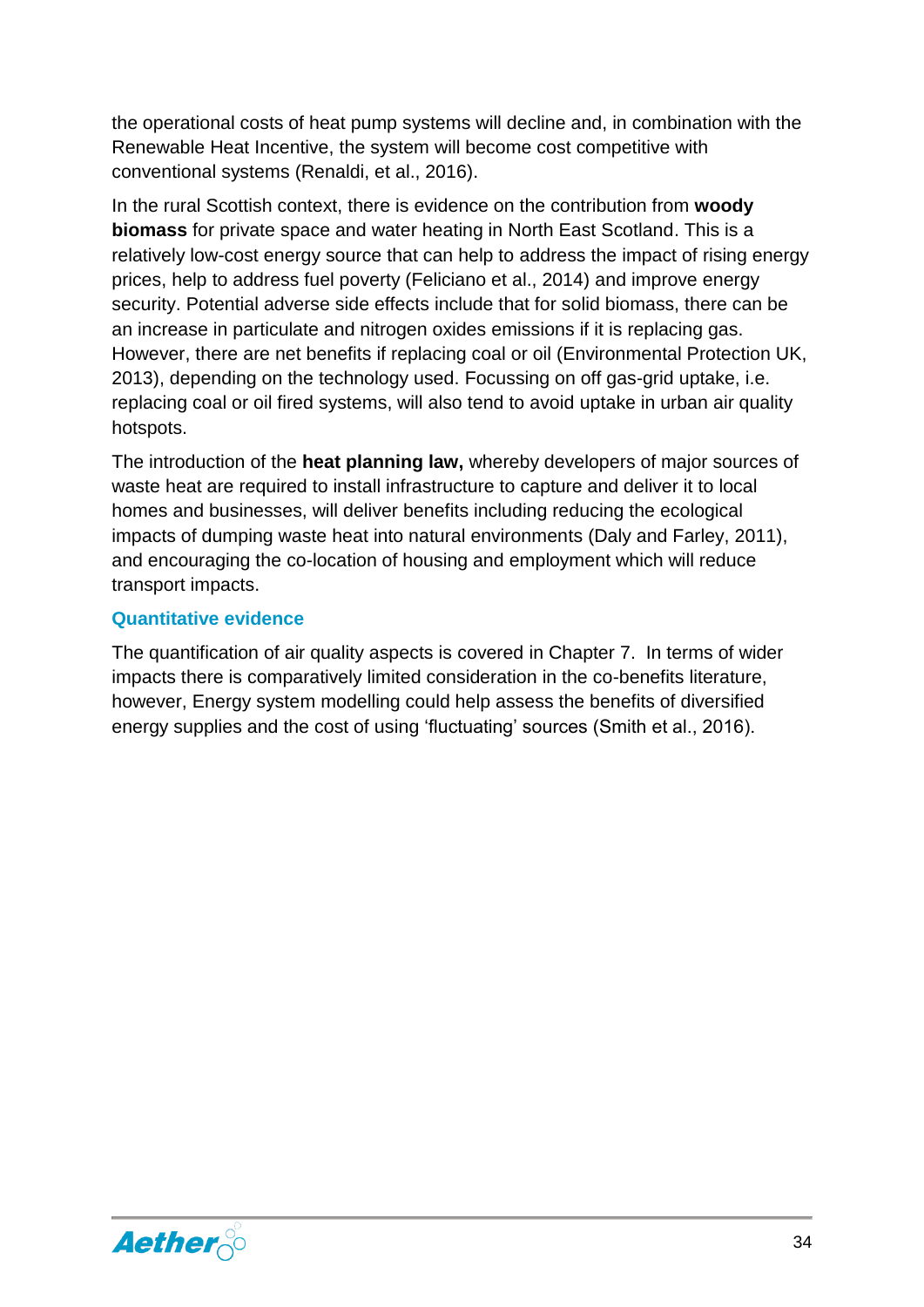the operational costs of heat pump systems will decline and, in combination with the Renewable Heat Incentive, the system will become cost competitive with conventional systems (Renaldi, et al., 2016).

In the rural Scottish context, there is evidence on the contribution from **woody biomass** for private space and water heating in North East Scotland. This is a relatively low-cost energy source that can help to address the impact of rising energy prices, help to address fuel poverty (Feliciano et al., 2014) and improve energy security. Potential adverse side effects include that for solid biomass, there can be an increase in particulate and nitrogen oxides emissions if it is replacing gas. However, there are net benefits if replacing coal or oil (Environmental Protection UK, 2013), depending on the technology used. Focussing on off gas-grid uptake, i.e. replacing coal or oil fired systems, will also tend to avoid uptake in urban air quality hotspots.

The introduction of the **heat planning law,** whereby developers of major sources of waste heat are required to install infrastructure to capture and deliver it to local homes and businesses, will deliver benefits including reducing the ecological impacts of dumping waste heat into natural environments (Daly and Farley, 2011), and encouraging the co-location of housing and employment which will reduce transport impacts.

#### **Quantitative evidence**

The quantification of air quality aspects is covered in Chapter 7. In terms of wider impacts there is comparatively limited consideration in the co-benefits literature, however, Energy system modelling could help assess the benefits of diversified energy supplies and the cost of using 'fluctuating' sources (Smith et al., 2016).

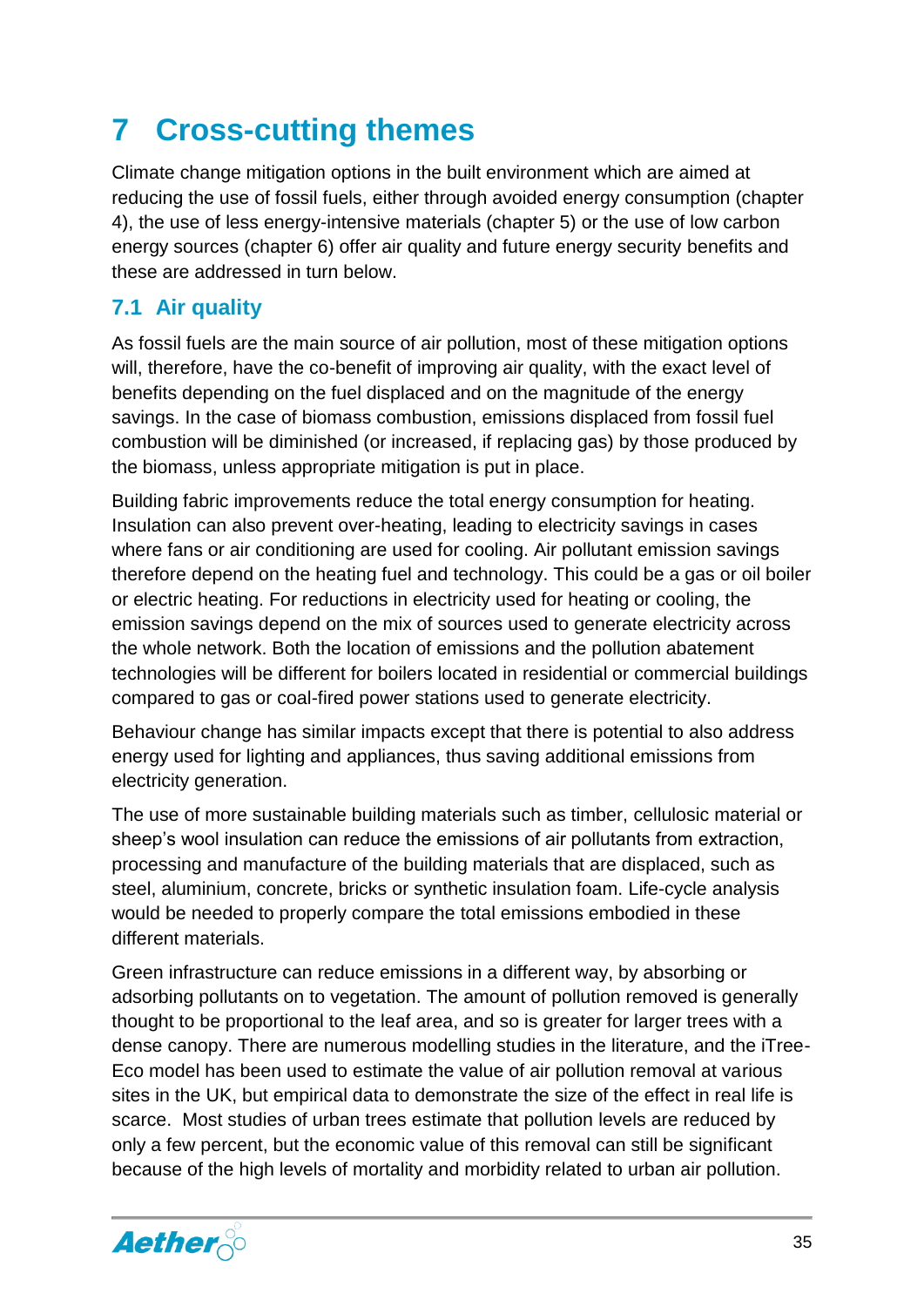# <span id="page-35-0"></span>**7 Cross-cutting themes**

Climate change mitigation options in the built environment which are aimed at reducing the use of fossil fuels, either through avoided energy consumption (chapter 4), the use of less energy-intensive materials (chapter 5) or the use of low carbon energy sources (chapter 6) offer air quality and future energy security benefits and these are addressed in turn below.

#### <span id="page-35-1"></span>**7.1 Air quality**

As fossil fuels are the main source of air pollution, most of these mitigation options will, therefore, have the co-benefit of improving air quality, with the exact level of benefits depending on the fuel displaced and on the magnitude of the energy savings. In the case of biomass combustion, emissions displaced from fossil fuel combustion will be diminished (or increased, if replacing gas) by those produced by the biomass, unless appropriate mitigation is put in place.

Building fabric improvements reduce the total energy consumption for heating. Insulation can also prevent over-heating, leading to electricity savings in cases where fans or air conditioning are used for cooling. Air pollutant emission savings therefore depend on the heating fuel and technology. This could be a gas or oil boiler or electric heating. For reductions in electricity used for heating or cooling, the emission savings depend on the mix of sources used to generate electricity across the whole network. Both the location of emissions and the pollution abatement technologies will be different for boilers located in residential or commercial buildings compared to gas or coal-fired power stations used to generate electricity.

Behaviour change has similar impacts except that there is potential to also address energy used for lighting and appliances, thus saving additional emissions from electricity generation.

The use of more sustainable building materials such as timber, cellulosic material or sheep's wool insulation can reduce the emissions of air pollutants from extraction, processing and manufacture of the building materials that are displaced, such as steel, aluminium, concrete, bricks or synthetic insulation foam. Life-cycle analysis would be needed to properly compare the total emissions embodied in these different materials.

Green infrastructure can reduce emissions in a different way, by absorbing or adsorbing pollutants on to vegetation. The amount of pollution removed is generally thought to be proportional to the leaf area, and so is greater for larger trees with a dense canopy. There are numerous modelling studies in the literature, and the iTree-Eco model has been used to estimate the value of air pollution removal at various sites in the UK, but empirical data to demonstrate the size of the effect in real life is scarce. Most studies of urban trees estimate that pollution levels are reduced by only a few percent, but the economic value of this removal can still be significant because of the high levels of mortality and morbidity related to urban air pollution.

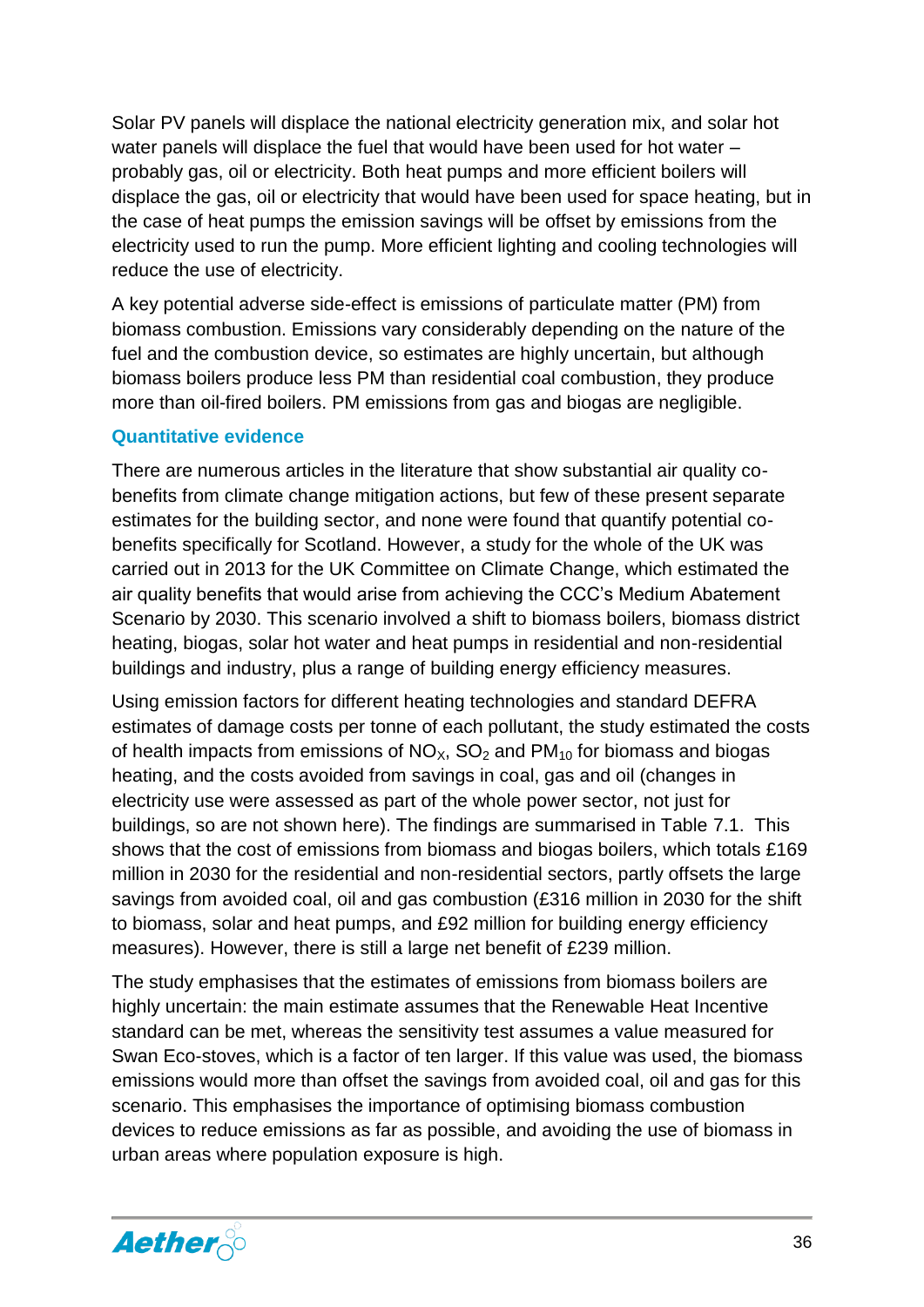Solar PV panels will displace the national electricity generation mix, and solar hot water panels will displace the fuel that would have been used for hot water – probably gas, oil or electricity. Both heat pumps and more efficient boilers will displace the gas, oil or electricity that would have been used for space heating, but in the case of heat pumps the emission savings will be offset by emissions from the electricity used to run the pump. More efficient lighting and cooling technologies will reduce the use of electricity.

A key potential adverse side-effect is emissions of particulate matter (PM) from biomass combustion. Emissions vary considerably depending on the nature of the fuel and the combustion device, so estimates are highly uncertain, but although biomass boilers produce less PM than residential coal combustion, they produce more than oil-fired boilers. PM emissions from gas and biogas are negligible.

#### <span id="page-36-0"></span>**Quantitative evidence**

There are numerous articles in the literature that show substantial air quality cobenefits from climate change mitigation actions, but few of these present separate estimates for the building sector, and none were found that quantify potential cobenefits specifically for Scotland. However, a study for the whole of the UK was carried out in 2013 for the UK Committee on Climate Change, which estimated the air quality benefits that would arise from achieving the CCC's Medium Abatement Scenario by 2030. This scenario involved a shift to biomass boilers, biomass district heating, biogas, solar hot water and heat pumps in residential and non-residential buildings and industry, plus a range of building energy efficiency measures.

Using emission factors for different heating technologies and standard DEFRA estimates of damage costs per tonne of each pollutant, the study estimated the costs of health impacts from emissions of  $NO<sub>X</sub>$ ,  $SO<sub>2</sub>$  and  $PM<sub>10</sub>$  for biomass and biogas heating, and the costs avoided from savings in coal, gas and oil (changes in electricity use were assessed as part of the whole power sector, not just for buildings, so are not shown here). The findings are summarised in Table 7.1. This shows that the cost of emissions from biomass and biogas boilers, which totals £169 million in 2030 for the residential and non-residential sectors, partly offsets the large savings from avoided coal, oil and gas combustion (£316 million in 2030 for the shift to biomass, solar and heat pumps, and £92 million for building energy efficiency measures). However, there is still a large net benefit of £239 million.

The study emphasises that the estimates of emissions from biomass boilers are highly uncertain: the main estimate assumes that the Renewable Heat Incentive standard can be met, whereas the sensitivity test assumes a value measured for Swan Eco-stoves, which is a factor of ten larger. If this value was used, the biomass emissions would more than offset the savings from avoided coal, oil and gas for this scenario. This emphasises the importance of optimising biomass combustion devices to reduce emissions as far as possible, and avoiding the use of biomass in urban areas where population exposure is high.

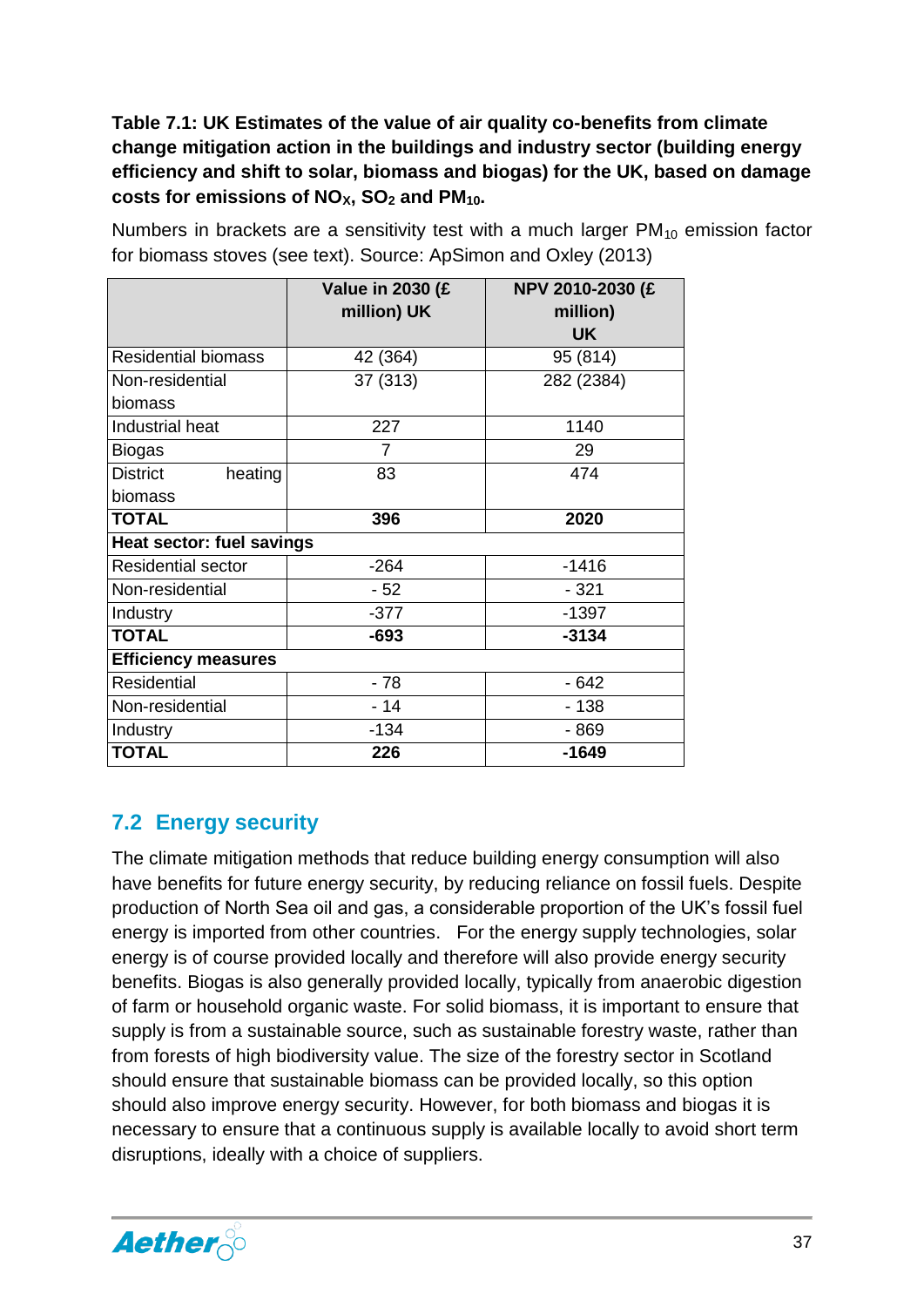**Table 7.1: UK Estimates of the value of air quality co-benefits from climate change mitigation action in the buildings and industry sector (building energy efficiency and shift to solar, biomass and biogas) for the UK, based on damage costs for emissions of NOX, SO<sup>2</sup> and PM10.** 

|                            | <b>Value in 2030 (£</b><br>million) UK | NPV 2010-2030 (£<br>million)<br><b>UK</b> |
|----------------------------|----------------------------------------|-------------------------------------------|
| <b>Residential biomass</b> | 42 (364)                               | 95 (814)                                  |
| Non-residential            | 37 (313)                               | 282 (2384)                                |
| biomass                    |                                        |                                           |
| Industrial heat            | 227                                    | 1140                                      |
| <b>Biogas</b>              | 7                                      | 29                                        |
| <b>District</b><br>heating | 83                                     | 474                                       |
| biomass                    |                                        |                                           |
| <b>TOTAL</b>               | 396                                    | 2020                                      |
| Heat sector: fuel savings  |                                        |                                           |
| <b>Residential sector</b>  | $-264$                                 | $-1416$                                   |
| Non-residential            | $-52$                                  | $-321$                                    |
| Industry                   | $-377$                                 | $-1397$                                   |
| <b>TOTAL</b>               | $-693$                                 | $-3134$                                   |
| <b>Efficiency measures</b> |                                        |                                           |
| <b>Residential</b>         | $-78$                                  | $-642$                                    |
| Non-residential            | $-14$                                  | $-138$                                    |
| Industry                   | $-134$                                 | $-869$                                    |
| <b>TOTAL</b>               | 226                                    | $-1649$                                   |

Numbers in brackets are a sensitivity test with a much larger  $PM_{10}$  emission factor for biomass stoves (see text). Source: ApSimon and Oxley (2013)

#### <span id="page-37-0"></span>**7.2 Energy security**

The climate mitigation methods that reduce building energy consumption will also have benefits for future energy security, by reducing reliance on fossil fuels. Despite production of North Sea oil and gas, a considerable proportion of the UK's fossil fuel energy is imported from other countries. For the energy supply technologies, solar energy is of course provided locally and therefore will also provide energy security benefits. Biogas is also generally provided locally, typically from anaerobic digestion of farm or household organic waste. For solid biomass, it is important to ensure that supply is from a sustainable source, such as sustainable forestry waste, rather than from forests of high biodiversity value. The size of the forestry sector in Scotland should ensure that sustainable biomass can be provided locally, so this option should also improve energy security. However, for both biomass and biogas it is necessary to ensure that a continuous supply is available locally to avoid short term disruptions, ideally with a choice of suppliers.

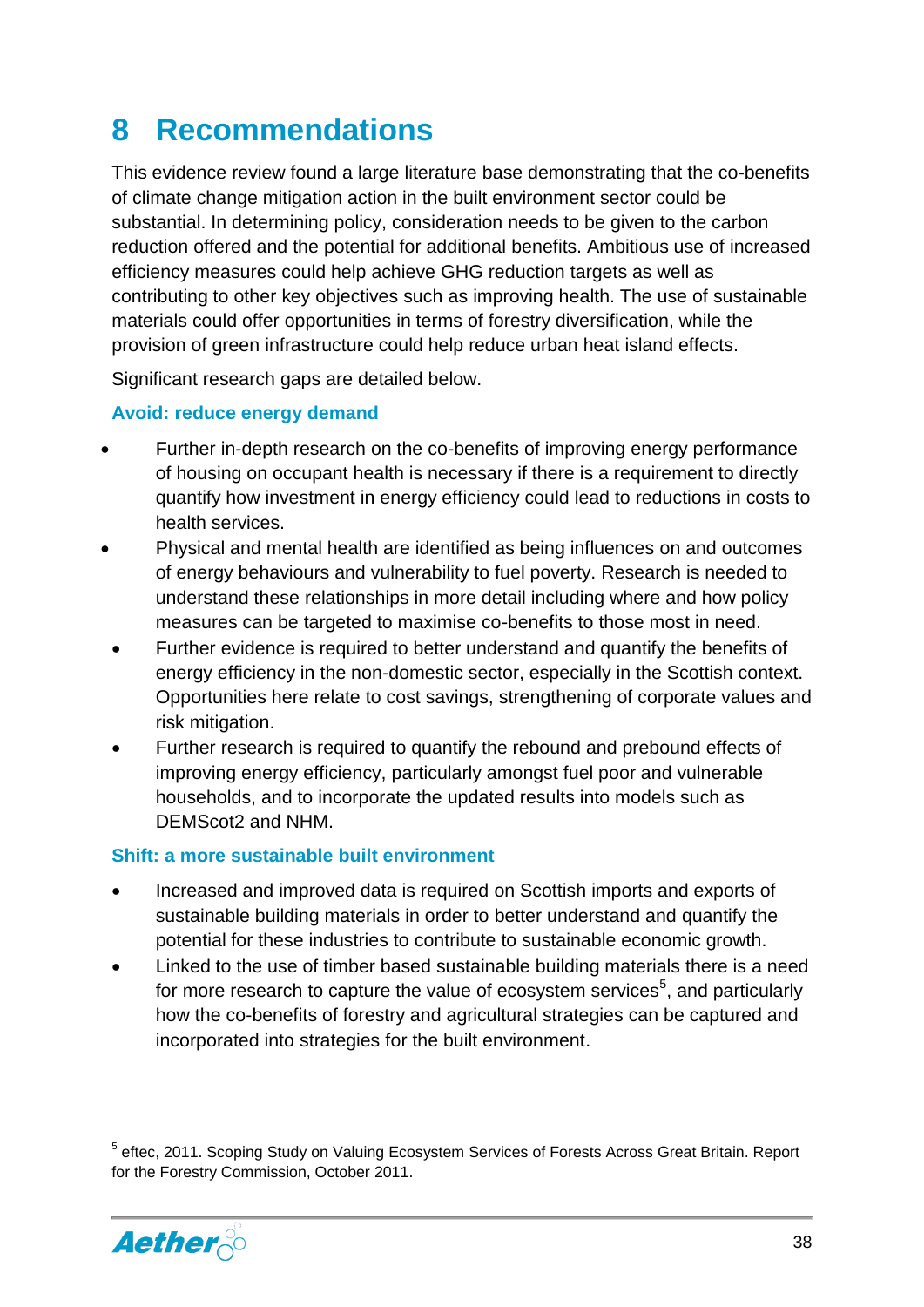# <span id="page-38-0"></span>**8 Recommendations**

This evidence review found a large literature base demonstrating that the co-benefits of climate change mitigation action in the built environment sector could be substantial. In determining policy, consideration needs to be given to the carbon reduction offered and the potential for additional benefits. Ambitious use of increased efficiency measures could help achieve GHG reduction targets as well as contributing to other key objectives such as improving health. The use of sustainable materials could offer opportunities in terms of forestry diversification, while the provision of green infrastructure could help reduce urban heat island effects.

Significant research gaps are detailed below.

#### **Avoid: reduce energy demand**

- Further in-depth research on the co-benefits of improving energy performance of housing on occupant health is necessary if there is a requirement to directly quantify how investment in energy efficiency could lead to reductions in costs to health services.
- Physical and mental health are identified as being influences on and outcomes of energy behaviours and vulnerability to fuel poverty. Research is needed to understand these relationships in more detail including where and how policy measures can be targeted to maximise co-benefits to those most in need.
- Further evidence is required to better understand and quantify the benefits of energy efficiency in the non-domestic sector, especially in the Scottish context. Opportunities here relate to cost savings, strengthening of corporate values and risk mitigation.
- Further research is required to quantify the rebound and prebound effects of improving energy efficiency, particularly amongst fuel poor and vulnerable households, and to incorporate the updated results into models such as DEMScot2 and NHM.

#### **Shift: a more sustainable built environment**

- Increased and improved data is required on Scottish imports and exports of sustainable building materials in order to better understand and quantify the potential for these industries to contribute to sustainable economic growth.
- Linked to the use of timber based sustainable building materials there is a need for more research to capture the value of ecosystem services<sup>5</sup>, and particularly how the co-benefits of forestry and agricultural strategies can be captured and incorporated into strategies for the built environment.

**<sup>.</sup>** <sup>5</sup> eftec, 2011. Scoping Study on Valuing Ecosystem Services of Forests Across Great Britain. Report for the Forestry Commission, October 2011.

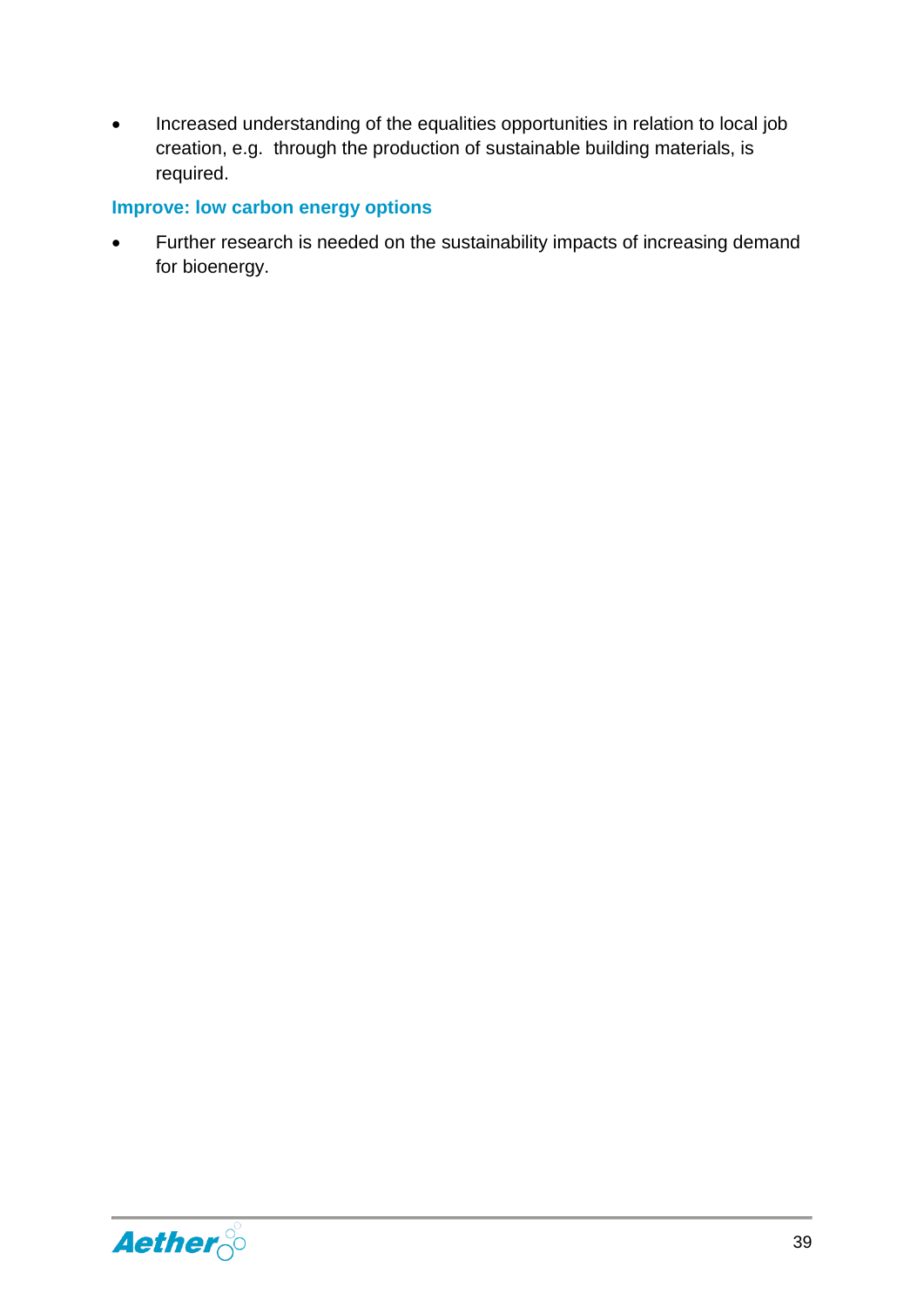• Increased understanding of the equalities opportunities in relation to local job creation, e.g. through the production of sustainable building materials, is required.

#### **Improve: low carbon energy options**

 Further research is needed on the sustainability impacts of increasing demand for bioenergy.

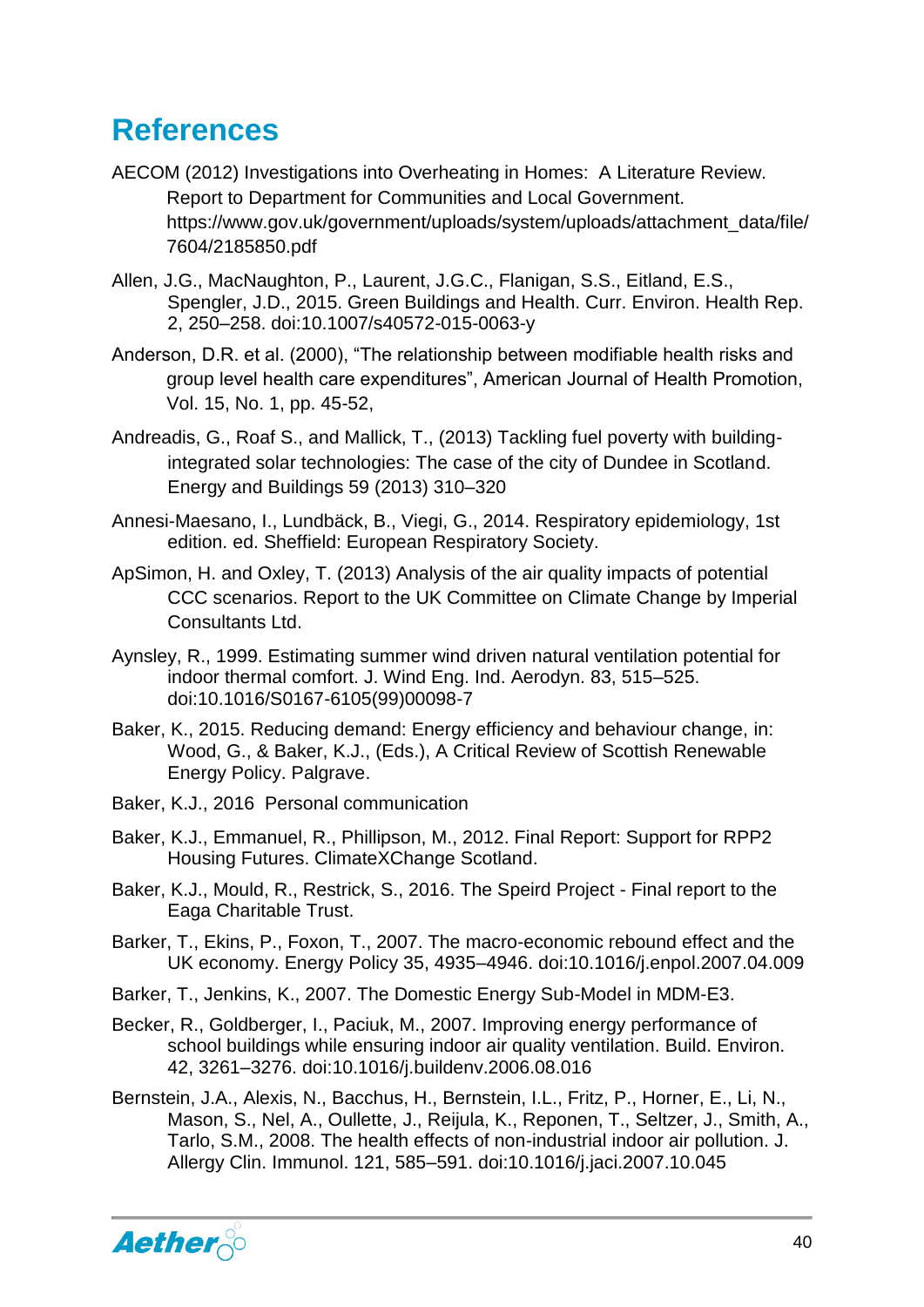# <span id="page-40-0"></span>**References**

- AECOM (2012) Investigations into Overheating in Homes: A Literature Review. Report to Department for Communities and Local Government. https://www.gov.uk/government/uploads/system/uploads/attachment\_data/file/ 7604/2185850.pdf
- Allen, J.G., MacNaughton, P., Laurent, J.G.C., Flanigan, S.S., Eitland, E.S., Spengler, J.D., 2015. Green Buildings and Health. Curr. Environ. Health Rep. 2, 250–258. doi:10.1007/s40572-015-0063-y
- Anderson, D.R. et al. (2000), "The relationship between modifiable health risks and group level health care expenditures", American Journal of Health Promotion, Vol. 15, No. 1, pp. 45-52,
- Andreadis, G., Roaf S., and Mallick, T., (2013) Tackling fuel poverty with buildingintegrated solar technologies: The case of the city of Dundee in Scotland. Energy and Buildings 59 (2013) 310–320
- Annesi-Maesano, I., Lundbäck, B., Viegi, G., 2014. Respiratory epidemiology, 1st edition. ed. Sheffield: European Respiratory Society.
- ApSimon, H. and Oxley, T. (2013) Analysis of the air quality impacts of potential CCC scenarios. Report to the UK Committee on Climate Change by Imperial Consultants Ltd.
- Aynsley, R., 1999. Estimating summer wind driven natural ventilation potential for indoor thermal comfort. J. Wind Eng. Ind. Aerodyn. 83, 515–525. doi:10.1016/S0167-6105(99)00098-7
- Baker, K., 2015. Reducing demand: Energy efficiency and behaviour change, in: Wood, G., & Baker, K.J., (Eds.), A Critical Review of Scottish Renewable Energy Policy. Palgrave.
- Baker, K.J., 2016 Personal communication
- Baker, K.J., Emmanuel, R., Phillipson, M., 2012. Final Report: Support for RPP2 Housing Futures. ClimateXChange Scotland.
- Baker, K.J., Mould, R., Restrick, S., 2016. The Speird Project Final report to the Eaga Charitable Trust.
- Barker, T., Ekins, P., Foxon, T., 2007. The macro-economic rebound effect and the UK economy. Energy Policy 35, 4935–4946. doi:10.1016/j.enpol.2007.04.009
- Barker, T., Jenkins, K., 2007. The Domestic Energy Sub-Model in MDM-E3.
- Becker, R., Goldberger, I., Paciuk, M., 2007. Improving energy performance of school buildings while ensuring indoor air quality ventilation. Build. Environ. 42, 3261–3276. doi:10.1016/j.buildenv.2006.08.016
- Bernstein, J.A., Alexis, N., Bacchus, H., Bernstein, I.L., Fritz, P., Horner, E., Li, N., Mason, S., Nel, A., Oullette, J., Reijula, K., Reponen, T., Seltzer, J., Smith, A., Tarlo, S.M., 2008. The health effects of non-industrial indoor air pollution. J. Allergy Clin. Immunol. 121, 585–591. doi:10.1016/j.jaci.2007.10.045

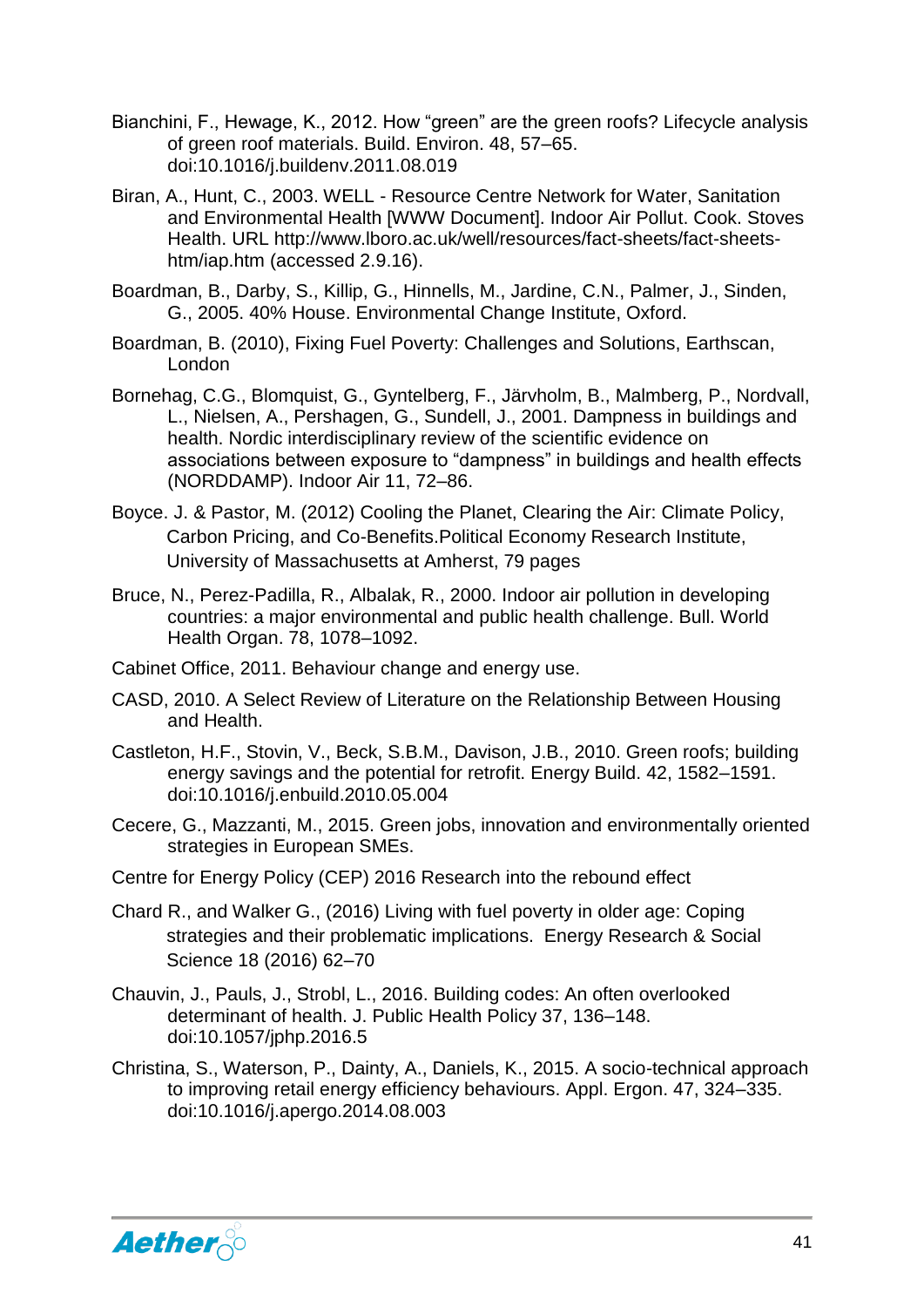- Bianchini, F., Hewage, K., 2012. How "green" are the green roofs? Lifecycle analysis of green roof materials. Build. Environ. 48, 57–65. doi:10.1016/j.buildenv.2011.08.019
- Biran, A., Hunt, C., 2003. WELL Resource Centre Network for Water, Sanitation and Environmental Health [WWW Document]. Indoor Air Pollut. Cook. Stoves Health. URL http://www.lboro.ac.uk/well/resources/fact-sheets/fact-sheetshtm/iap.htm (accessed 2.9.16).
- Boardman, B., Darby, S., Killip, G., Hinnells, M., Jardine, C.N., Palmer, J., Sinden, G., 2005. 40% House. Environmental Change Institute, Oxford.
- Boardman, B. (2010), Fixing Fuel Poverty: Challenges and Solutions, Earthscan, London
- Bornehag, C.G., Blomquist, G., Gyntelberg, F., Järvholm, B., Malmberg, P., Nordvall, L., Nielsen, A., Pershagen, G., Sundell, J., 2001. Dampness in buildings and health. Nordic interdisciplinary review of the scientific evidence on associations between exposure to "dampness" in buildings and health effects (NORDDAMP). Indoor Air 11, 72–86.
- Boyce. J. & Pastor, M. (2012) Cooling the Planet, Clearing the Air: Climate Policy, Carbon Pricing, and Co-Benefits.Political Economy Research Institute, University of Massachusetts at Amherst, 79 pages
- Bruce, N., Perez-Padilla, R., Albalak, R., 2000. Indoor air pollution in developing countries: a major environmental and public health challenge. Bull. World Health Organ. 78, 1078–1092.
- Cabinet Office, 2011. Behaviour change and energy use.
- CASD, 2010. A Select Review of Literature on the Relationship Between Housing and Health.
- Castleton, H.F., Stovin, V., Beck, S.B.M., Davison, J.B., 2010. Green roofs; building energy savings and the potential for retrofit. Energy Build. 42, 1582–1591. doi:10.1016/j.enbuild.2010.05.004
- Cecere, G., Mazzanti, M., 2015. Green jobs, innovation and environmentally oriented strategies in European SMEs.
- Centre for Energy Policy (CEP) 2016 Research into the rebound effect
- Chard R., and Walker G., (2016) Living with fuel poverty in older age: Coping strategies and their problematic implications. Energy Research & Social Science 18 (2016) 62–70
- Chauvin, J., Pauls, J., Strobl, L., 2016. Building codes: An often overlooked determinant of health. J. Public Health Policy 37, 136–148. doi:10.1057/jphp.2016.5
- Christina, S., Waterson, P., Dainty, A., Daniels, K., 2015. A socio-technical approach to improving retail energy efficiency behaviours. Appl. Ergon. 47, 324–335. doi:10.1016/j.apergo.2014.08.003

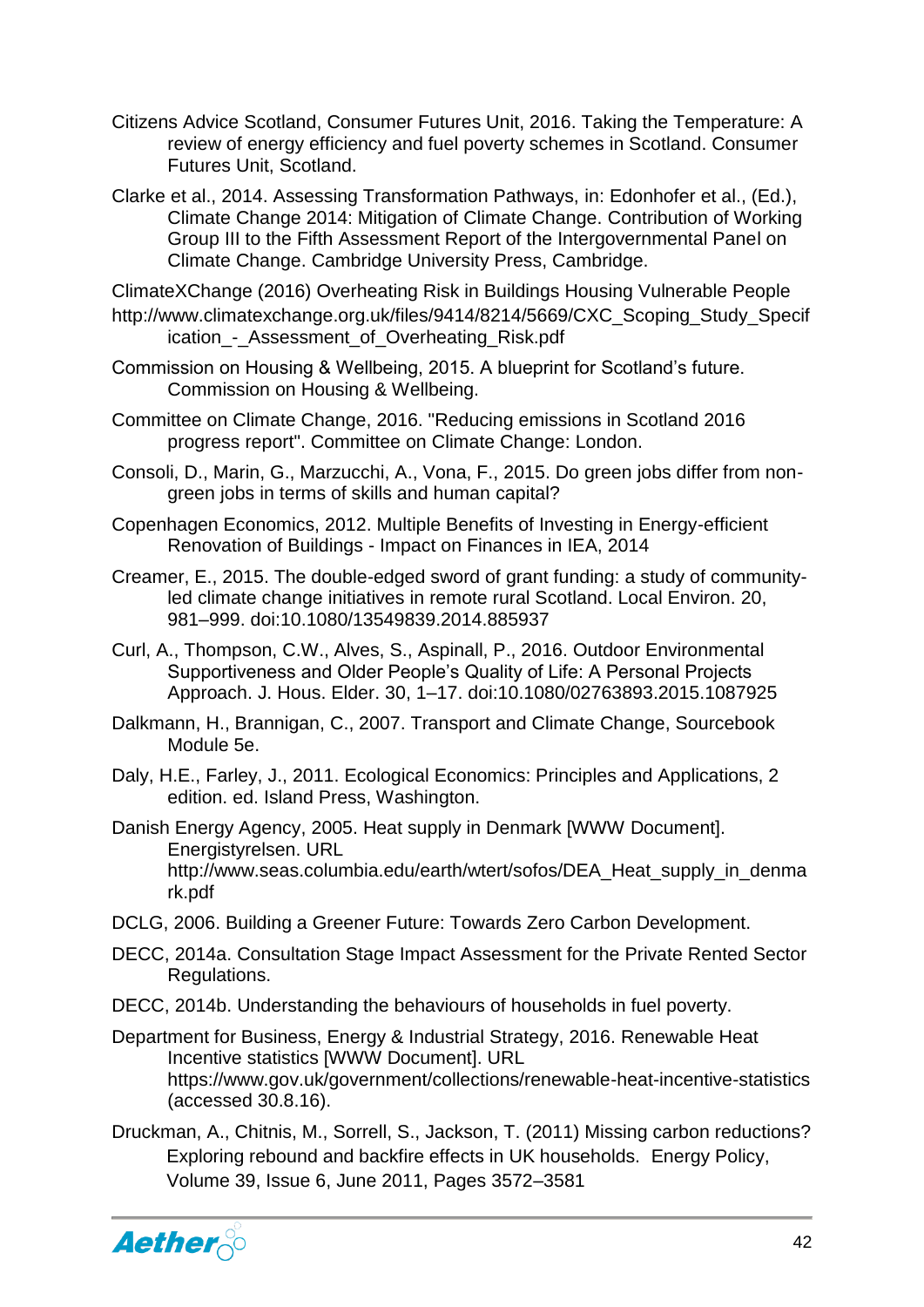- Citizens Advice Scotland, Consumer Futures Unit, 2016. Taking the Temperature: A review of energy efficiency and fuel poverty schemes in Scotland. Consumer Futures Unit, Scotland.
- Clarke et al., 2014. Assessing Transformation Pathways, in: Edonhofer et al., (Ed.), Climate Change 2014: Mitigation of Climate Change. Contribution of Working Group III to the Fifth Assessment Report of the Intergovernmental Panel on Climate Change. Cambridge University Press, Cambridge.

ClimateXChange (2016) Overheating Risk in Buildings Housing Vulnerable People [http://www.climatexchange.org.uk/files/9414/8214/5669/CXC\\_Scoping\\_Study\\_Specif](http://www.climatexchange.org.uk/files/9414/8214/5669/CXC_Scoping_Study_Specification_-_Assessment_of_Overheating_Risk.pdf) [ication\\_-\\_Assessment\\_of\\_Overheating\\_Risk.pdf](http://www.climatexchange.org.uk/files/9414/8214/5669/CXC_Scoping_Study_Specification_-_Assessment_of_Overheating_Risk.pdf)

- Commission on Housing & Wellbeing, 2015. A blueprint for Scotland's future. Commission on Housing & Wellbeing.
- Committee on Climate Change, 2016. "Reducing emissions in Scotland 2016 progress report". Committee on Climate Change: London.
- Consoli, D., Marin, G., Marzucchi, A., Vona, F., 2015. Do green jobs differ from nongreen jobs in terms of skills and human capital?
- Copenhagen Economics, 2012. Multiple Benefits of Investing in Energy-efficient Renovation of Buildings - Impact on Finances in IEA, 2014
- Creamer, E., 2015. The double-edged sword of grant funding: a study of communityled climate change initiatives in remote rural Scotland. Local Environ. 20, 981–999. doi:10.1080/13549839.2014.885937
- Curl, A., Thompson, C.W., Alves, S., Aspinall, P., 2016. Outdoor Environmental Supportiveness and Older People's Quality of Life: A Personal Projects Approach. J. Hous. Elder. 30, 1–17. doi:10.1080/02763893.2015.1087925
- Dalkmann, H., Brannigan, C., 2007. Transport and Climate Change, Sourcebook Module 5e.
- Daly, H.E., Farley, J., 2011. Ecological Economics: Principles and Applications, 2 edition. ed. Island Press, Washington.
- Danish Energy Agency, 2005. Heat supply in Denmark [WWW Document]. Energistyrelsen. URL http://www.seas.columbia.edu/earth/wtert/sofos/DEA\_Heat\_supply\_in\_denma rk.pdf
- DCLG, 2006. Building a Greener Future: Towards Zero Carbon Development.
- DECC, 2014a. Consultation Stage Impact Assessment for the Private Rented Sector Regulations.
- DECC, 2014b. Understanding the behaviours of households in fuel poverty.
- Department for Business, Energy & Industrial Strategy, 2016. Renewable Heat Incentive statistics [WWW Document]. URL https://www.gov.uk/government/collections/renewable-heat-incentive-statistics (accessed 30.8.16).
- Druckman, A., Chitnis, M., Sorrell, S., Jackson, T. (2011) Missing carbon reductions? Exploring rebound and backfire effects in UK households. Energy Policy, Volume 39, Issue 6, June 2011, Pages 3572–3581

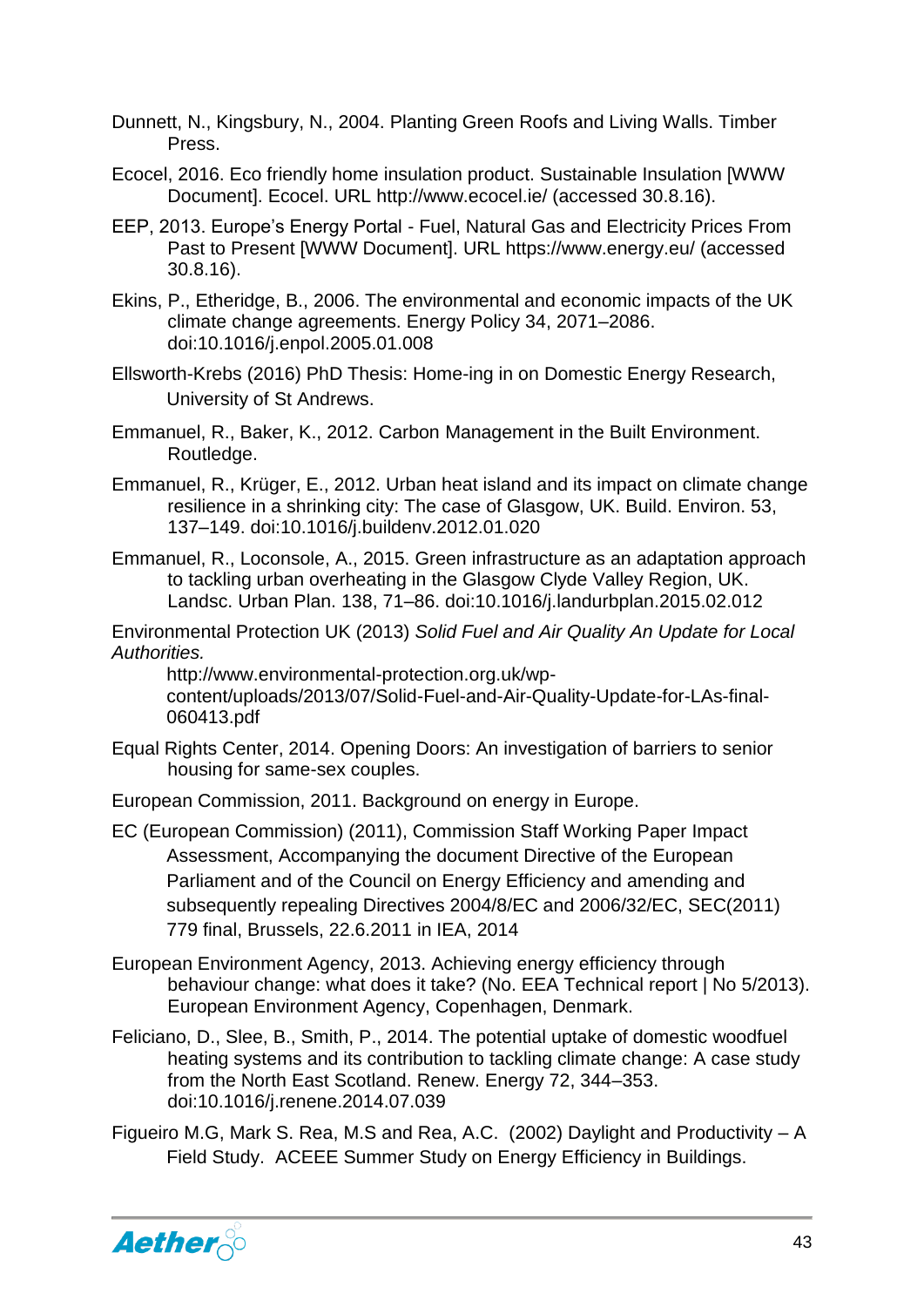- Dunnett, N., Kingsbury, N., 2004. Planting Green Roofs and Living Walls. Timber Press.
- Ecocel, 2016. Eco friendly home insulation product. Sustainable Insulation [WWW Document]. Ecocel. URL http://www.ecocel.ie/ (accessed 30.8.16).
- EEP, 2013. Europe's Energy Portal Fuel, Natural Gas and Electricity Prices From Past to Present [WWW Document]. URL https://www.energy.eu/ (accessed 30.8.16).
- Ekins, P., Etheridge, B., 2006. The environmental and economic impacts of the UK climate change agreements. Energy Policy 34, 2071–2086. doi:10.1016/j.enpol.2005.01.008
- Ellsworth-Krebs (2016) PhD Thesis: Home-ing in on Domestic Energy Research, University of St Andrews.
- Emmanuel, R., Baker, K., 2012. Carbon Management in the Built Environment. Routledge.
- Emmanuel, R., Krüger, E., 2012. Urban heat island and its impact on climate change resilience in a shrinking city: The case of Glasgow, UK. Build. Environ. 53, 137–149. doi:10.1016/j.buildenv.2012.01.020
- Emmanuel, R., Loconsole, A., 2015. Green infrastructure as an adaptation approach to tackling urban overheating in the Glasgow Clyde Valley Region, UK. Landsc. Urban Plan. 138, 71–86. doi:10.1016/j.landurbplan.2015.02.012

Environmental Protection UK (2013) *Solid Fuel and Air Quality An Update for Local Authorities.* 

http://www.environmental-protection.org.uk/wpcontent/uploads/2013/07/Solid-Fuel-and-Air-Quality-Update-for-LAs-final-060413.pdf

- Equal Rights Center, 2014. Opening Doors: An investigation of barriers to senior housing for same-sex couples.
- European Commission, 2011. Background on energy in Europe.
- EC (European Commission) (2011), Commission Staff Working Paper Impact Assessment, Accompanying the document Directive of the European Parliament and of the Council on Energy Efficiency and amending and subsequently repealing Directives 2004/8/EC and 2006/32/EC, SEC(2011) 779 final, Brussels, 22.6.2011 in IEA, 2014
- European Environment Agency, 2013. Achieving energy efficiency through behaviour change: what does it take? (No. EEA Technical report | No 5/2013). European Environment Agency, Copenhagen, Denmark.
- Feliciano, D., Slee, B., Smith, P., 2014. The potential uptake of domestic woodfuel heating systems and its contribution to tackling climate change: A case study from the North East Scotland. Renew. Energy 72, 344–353. doi:10.1016/j.renene.2014.07.039
- Figueiro M.G, Mark S. Rea, M.S and Rea, A.C. (2002) Daylight and Productivity A Field Study. ACEEE Summer Study on Energy Efficiency in Buildings.

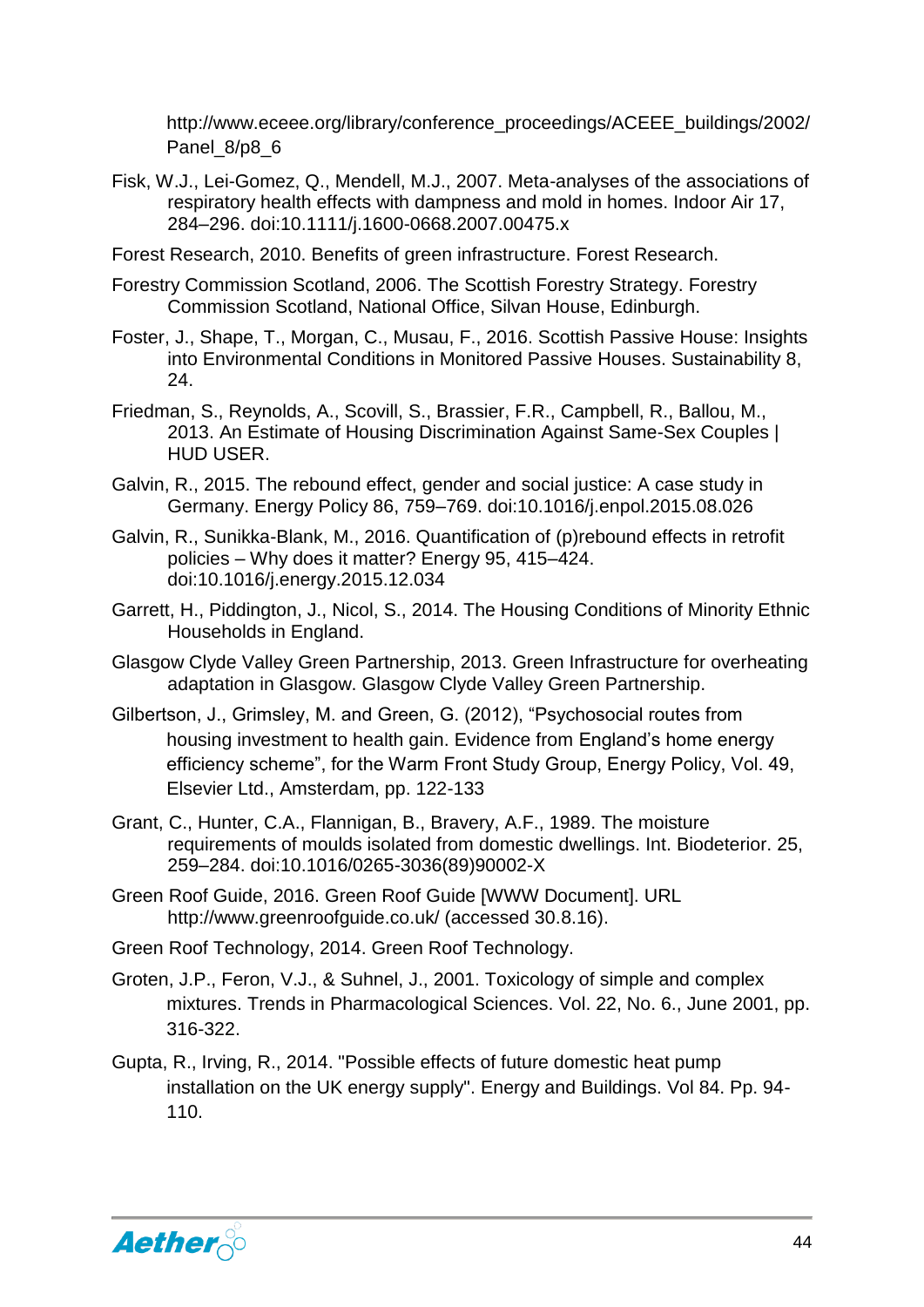http://www.eceee.org/library/conference\_proceedings/ACEEE\_buildings/2002/ Panel 8/p8 6

- Fisk, W.J., Lei-Gomez, Q., Mendell, M.J., 2007. Meta-analyses of the associations of respiratory health effects with dampness and mold in homes. Indoor Air 17, 284–296. doi:10.1111/j.1600-0668.2007.00475.x
- Forest Research, 2010. Benefits of green infrastructure. Forest Research.
- Forestry Commission Scotland, 2006. The Scottish Forestry Strategy. Forestry Commission Scotland, National Office, Silvan House, Edinburgh.
- Foster, J., Shape, T., Morgan, C., Musau, F., 2016. Scottish Passive House: Insights into Environmental Conditions in Monitored Passive Houses. Sustainability 8, 24.
- Friedman, S., Reynolds, A., Scovill, S., Brassier, F.R., Campbell, R., Ballou, M., 2013. An Estimate of Housing Discrimination Against Same-Sex Couples | HUD USER.
- Galvin, R., 2015. The rebound effect, gender and social justice: A case study in Germany. Energy Policy 86, 759–769. doi:10.1016/j.enpol.2015.08.026
- Galvin, R., Sunikka-Blank, M., 2016. Quantification of (p)rebound effects in retrofit policies – Why does it matter? Energy 95, 415–424. doi:10.1016/j.energy.2015.12.034
- Garrett, H., Piddington, J., Nicol, S., 2014. The Housing Conditions of Minority Ethnic Households in England.
- Glasgow Clyde Valley Green Partnership, 2013. Green Infrastructure for overheating adaptation in Glasgow. Glasgow Clyde Valley Green Partnership.
- Gilbertson, J., Grimsley, M. and Green, G. (2012), "Psychosocial routes from housing investment to health gain. Evidence from England's home energy efficiency scheme", for the Warm Front Study Group, Energy Policy, Vol. 49, Elsevier Ltd., Amsterdam, pp. 122-133
- Grant, C., Hunter, C.A., Flannigan, B., Bravery, A.F., 1989. The moisture requirements of moulds isolated from domestic dwellings. Int. Biodeterior. 25, 259–284. doi:10.1016/0265-3036(89)90002-X
- Green Roof Guide, 2016. Green Roof Guide [WWW Document]. URL http://www.greenroofguide.co.uk/ (accessed 30.8.16).
- Green Roof Technology, 2014. Green Roof Technology.
- Groten, J.P., Feron, V.J., & Suhnel, J., 2001. Toxicology of simple and complex mixtures. Trends in Pharmacological Sciences. Vol. 22, No. 6., June 2001, pp. 316-322.
- Gupta, R., Irving, R., 2014. "Possible effects of future domestic heat pump installation on the UK energy supply". Energy and Buildings. Vol 84. Pp. 94- 110.

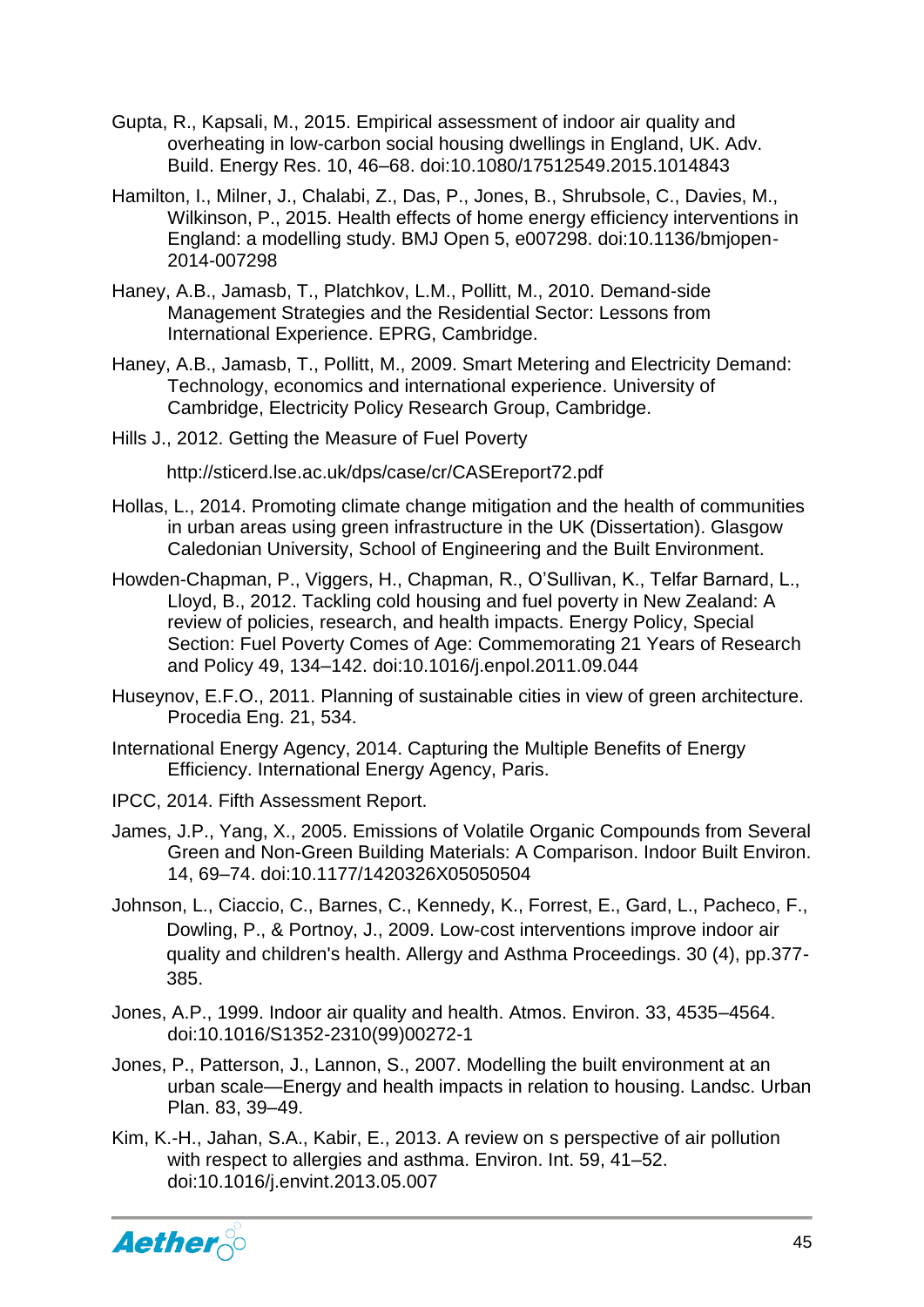- Gupta, R., Kapsali, M., 2015. Empirical assessment of indoor air quality and overheating in low-carbon social housing dwellings in England, UK. Adv. Build. Energy Res. 10, 46–68. doi:10.1080/17512549.2015.1014843
- Hamilton, I., Milner, J., Chalabi, Z., Das, P., Jones, B., Shrubsole, C., Davies, M., Wilkinson, P., 2015. Health effects of home energy efficiency interventions in England: a modelling study. BMJ Open 5, e007298. doi:10.1136/bmjopen-2014-007298
- Haney, A.B., Jamasb, T., Platchkov, L.M., Pollitt, M., 2010. Demand-side Management Strategies and the Residential Sector: Lessons from International Experience. EPRG, Cambridge.
- Haney, A.B., Jamasb, T., Pollitt, M., 2009. Smart Metering and Electricity Demand: Technology, economics and international experience. University of Cambridge, Electricity Policy Research Group, Cambridge.
- Hills J., 2012. Getting the Measure of Fuel Poverty

http://sticerd.lse.ac.uk/dps/case/cr/CASEreport72.pdf

- Hollas, L., 2014. Promoting climate change mitigation and the health of communities in urban areas using green infrastructure in the UK (Dissertation). Glasgow Caledonian University, School of Engineering and the Built Environment.
- Howden-Chapman, P., Viggers, H., Chapman, R., O'Sullivan, K., Telfar Barnard, L., Lloyd, B., 2012. Tackling cold housing and fuel poverty in New Zealand: A review of policies, research, and health impacts. Energy Policy, Special Section: Fuel Poverty Comes of Age: Commemorating 21 Years of Research and Policy 49, 134–142. doi:10.1016/j.enpol.2011.09.044
- Huseynov, E.F.O., 2011. Planning of sustainable cities in view of green architecture. Procedia Eng. 21, 534.
- International Energy Agency, 2014. Capturing the Multiple Benefits of Energy Efficiency. International Energy Agency, Paris.
- IPCC, 2014. Fifth Assessment Report.
- James, J.P., Yang, X., 2005. Emissions of Volatile Organic Compounds from Several Green and Non-Green Building Materials: A Comparison. Indoor Built Environ. 14, 69–74. doi:10.1177/1420326X05050504
- Johnson, L., Ciaccio, C., Barnes, C., Kennedy, K., Forrest, E., Gard, L., Pacheco, F., Dowling, P., & Portnoy, J., 2009. Low-cost interventions improve indoor air quality and children's health. Allergy and Asthma Proceedings. 30 (4), pp.377- 385.
- Jones, A.P., 1999. Indoor air quality and health. Atmos. Environ. 33, 4535–4564. doi:10.1016/S1352-2310(99)00272-1
- Jones, P., Patterson, J., Lannon, S., 2007. Modelling the built environment at an urban scale—Energy and health impacts in relation to housing. Landsc. Urban Plan. 83, 39–49.
- Kim, K.-H., Jahan, S.A., Kabir, E., 2013. A review on s perspective of air pollution with respect to allergies and asthma. Environ. Int. 59, 41–52. doi:10.1016/j.envint.2013.05.007

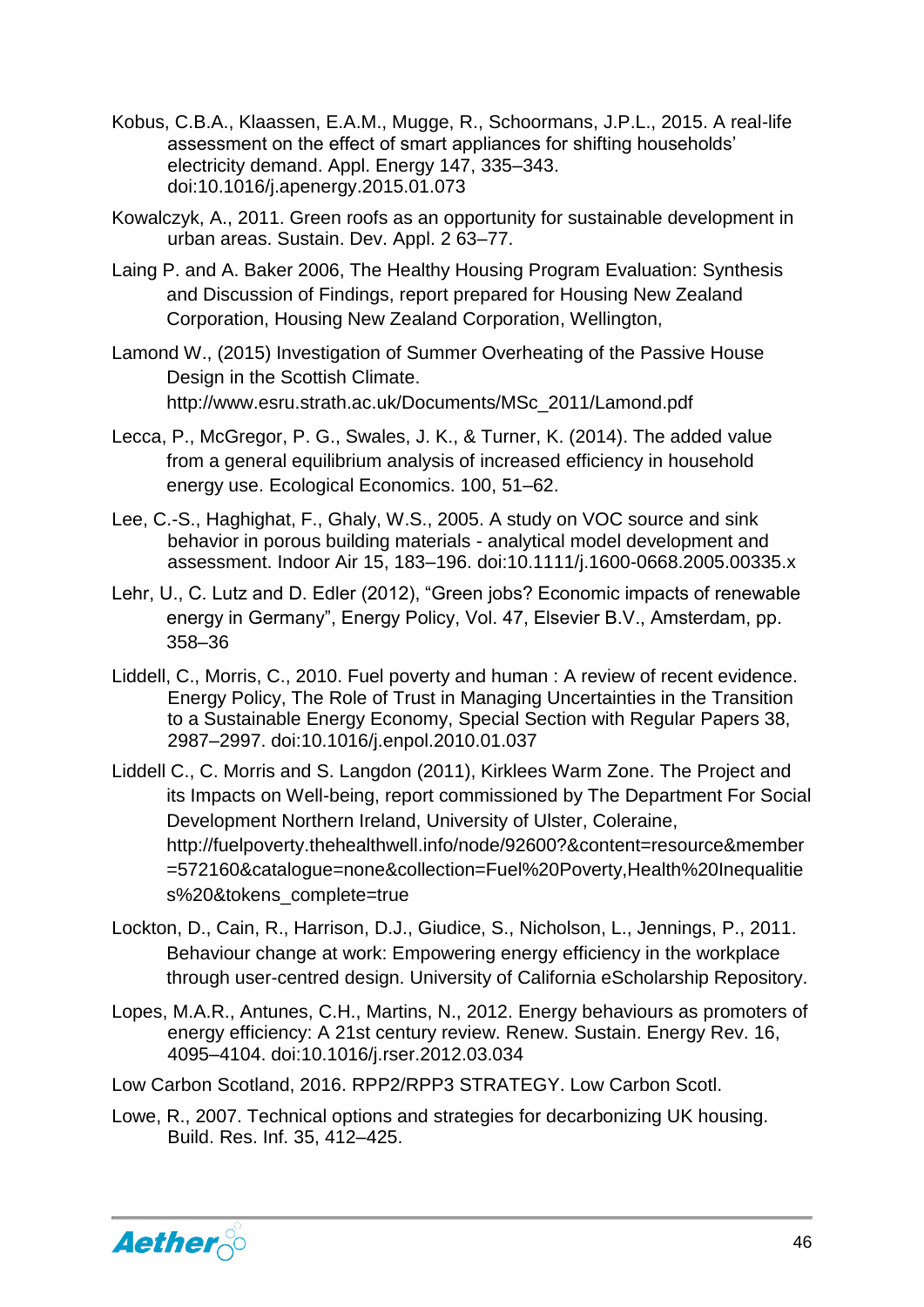- Kobus, C.B.A., Klaassen, E.A.M., Mugge, R., Schoormans, J.P.L., 2015. A real-life assessment on the effect of smart appliances for shifting households' electricity demand. Appl. Energy 147, 335–343. doi:10.1016/j.apenergy.2015.01.073
- Kowalczyk, A., 2011. Green roofs as an opportunity for sustainable development in urban areas. Sustain. Dev. Appl. 2 63–77.
- Laing P. and A. Baker 2006, The Healthy Housing Program Evaluation: Synthesis and Discussion of Findings, report prepared for Housing New Zealand Corporation, Housing New Zealand Corporation, Wellington,
- Lamond W., (2015) Investigation of Summer Overheating of the Passive House Design in the Scottish Climate. http://www.esru.strath.ac.uk/Documents/MSc\_2011/Lamond.pdf
- Lecca, P., McGregor, P. G., Swales, J. K., & Turner, K. (2014). The added value from a general equilibrium analysis of increased efficiency in household energy use. Ecological Economics. 100, 51–62.
- Lee, C.-S., Haghighat, F., Ghaly, W.S., 2005. A study on VOC source and sink behavior in porous building materials - analytical model development and assessment. Indoor Air 15, 183–196. doi:10.1111/j.1600-0668.2005.00335.x
- Lehr, U., C. Lutz and D. Edler (2012), "Green jobs? Economic impacts of renewable energy in Germany", Energy Policy, Vol. 47, Elsevier B.V., Amsterdam, pp. 358–36
- Liddell, C., Morris, C., 2010. Fuel poverty and human : A review of recent evidence. Energy Policy, The Role of Trust in Managing Uncertainties in the Transition to a Sustainable Energy Economy, Special Section with Regular Papers 38, 2987–2997. doi:10.1016/j.enpol.2010.01.037
- Liddell C., C. Morris and S. Langdon (2011), Kirklees Warm Zone. The Project and its Impacts on Well-being, report commissioned by The Department For Social Development Northern Ireland, University of Ulster, Coleraine, http://fuelpoverty.thehealthwell.info/node/92600?&content=resource&member =572160&catalogue=none&collection=Fuel%20Poverty,Health%20Inequalitie s%20&tokens\_complete=true
- Lockton, D., Cain, R., Harrison, D.J., Giudice, S., Nicholson, L., Jennings, P., 2011. Behaviour change at work: Empowering energy efficiency in the workplace through user-centred design. University of California eScholarship Repository.
- Lopes, M.A.R., Antunes, C.H., Martins, N., 2012. Energy behaviours as promoters of energy efficiency: A 21st century review. Renew. Sustain. Energy Rev. 16, 4095–4104. doi:10.1016/j.rser.2012.03.034
- Low Carbon Scotland, 2016. RPP2/RPP3 STRATEGY. Low Carbon Scotl.
- Lowe, R., 2007. Technical options and strategies for decarbonizing UK housing. Build. Res. Inf. 35, 412–425.

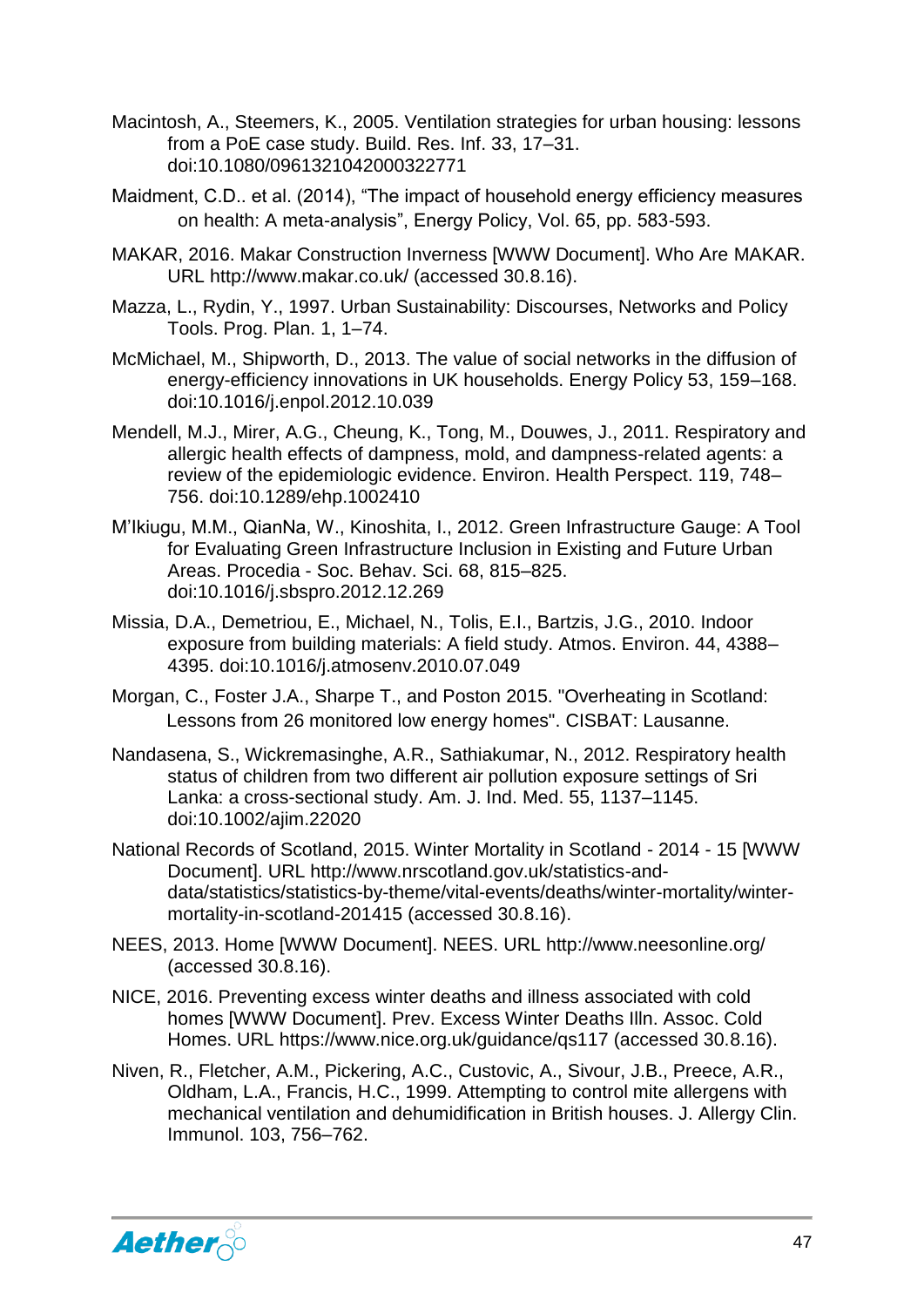- Macintosh, A., Steemers, K., 2005. Ventilation strategies for urban housing: lessons from a PoE case study. Build. Res. Inf. 33, 17–31. doi:10.1080/0961321042000322771
- Maidment, C.D., et al. (2014), "The impact of household energy efficiency measures on health: A meta-analysis", Energy Policy, Vol. 65, pp. 583-593.
- MAKAR, 2016. Makar Construction Inverness [WWW Document]. Who Are MAKAR. URL http://www.makar.co.uk/ (accessed 30.8.16).
- Mazza, L., Rydin, Y., 1997. Urban Sustainability: Discourses, Networks and Policy Tools. Prog. Plan. 1, 1–74.
- McMichael, M., Shipworth, D., 2013. The value of social networks in the diffusion of energy-efficiency innovations in UK households. Energy Policy 53, 159–168. doi:10.1016/j.enpol.2012.10.039
- Mendell, M.J., Mirer, A.G., Cheung, K., Tong, M., Douwes, J., 2011. Respiratory and allergic health effects of dampness, mold, and dampness-related agents: a review of the epidemiologic evidence. Environ. Health Perspect. 119, 748– 756. doi:10.1289/ehp.1002410
- M'Ikiugu, M.M., QianNa, W., Kinoshita, I., 2012. Green Infrastructure Gauge: A Tool for Evaluating Green Infrastructure Inclusion in Existing and Future Urban Areas. Procedia - Soc. Behav. Sci. 68, 815–825. doi:10.1016/j.sbspro.2012.12.269
- Missia, D.A., Demetriou, E., Michael, N., Tolis, E.I., Bartzis, J.G., 2010. Indoor exposure from building materials: A field study. Atmos. Environ. 44, 4388– 4395. doi:10.1016/j.atmosenv.2010.07.049
- Morgan, C., Foster J.A., Sharpe T., and Poston 2015. "Overheating in Scotland: Lessons from 26 monitored low energy homes". CISBAT: Lausanne.
- Nandasena, S., Wickremasinghe, A.R., Sathiakumar, N., 2012. Respiratory health status of children from two different air pollution exposure settings of Sri Lanka: a cross-sectional study. Am. J. Ind. Med. 55, 1137–1145. doi:10.1002/ajim.22020
- National Records of Scotland, 2015. Winter Mortality in Scotland 2014 15 [WWW Document]. URL http://www.nrscotland.gov.uk/statistics-anddata/statistics/statistics-by-theme/vital-events/deaths/winter-mortality/wintermortality-in-scotland-201415 (accessed 30.8.16).
- NEES, 2013. Home [WWW Document]. NEES. URL http://www.neesonline.org/ (accessed 30.8.16).
- NICE, 2016. Preventing excess winter deaths and illness associated with cold homes [WWW Document]. Prev. Excess Winter Deaths Illn. Assoc. Cold Homes. URL https://www.nice.org.uk/guidance/qs117 (accessed 30.8.16).
- Niven, R., Fletcher, A.M., Pickering, A.C., Custovic, A., Sivour, J.B., Preece, A.R., Oldham, L.A., Francis, H.C., 1999. Attempting to control mite allergens with mechanical ventilation and dehumidification in British houses. J. Allergy Clin. Immunol. 103, 756–762.

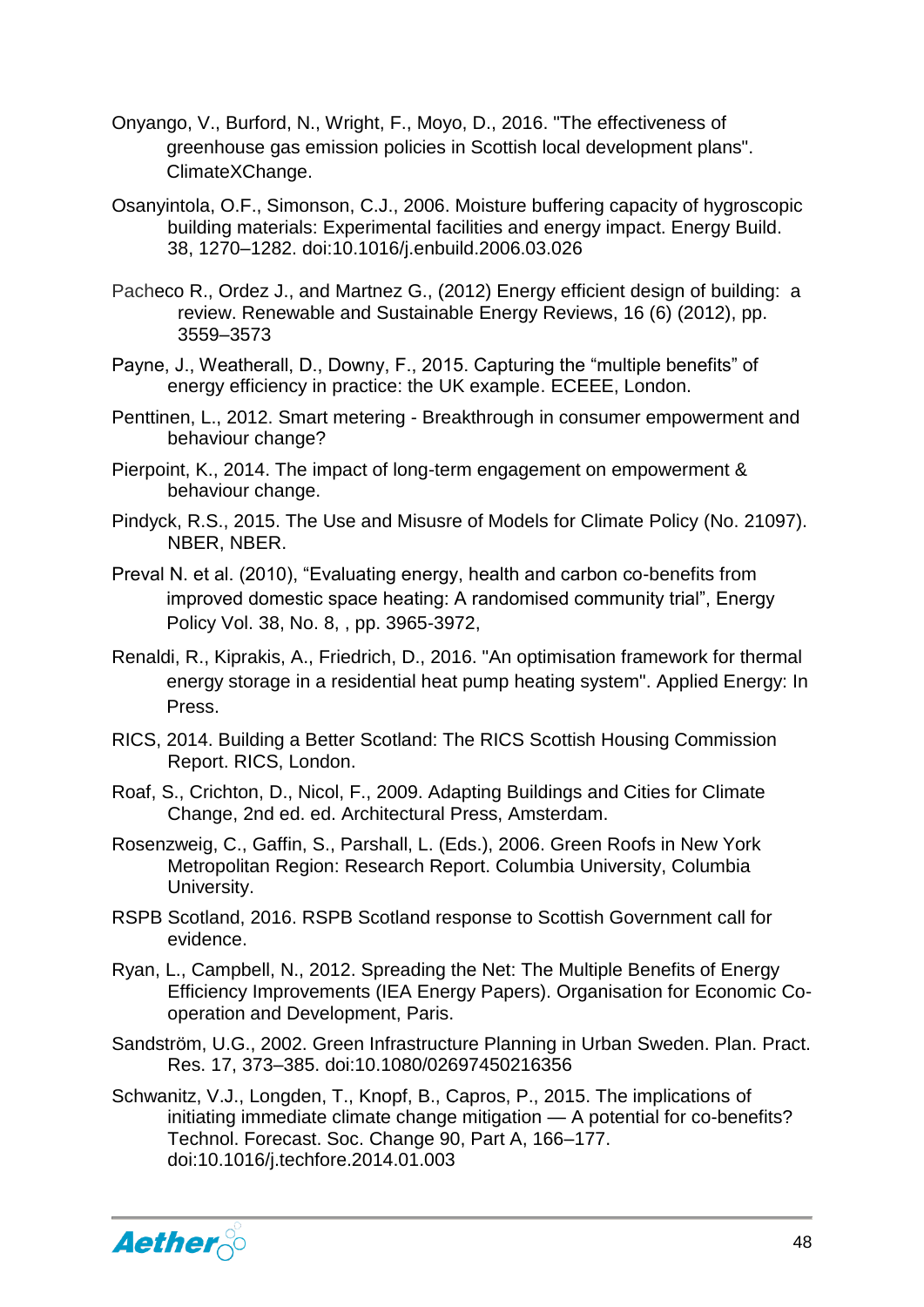- Onyango, V., Burford, N., Wright, F., Moyo, D., 2016. "The effectiveness of greenhouse gas emission policies in Scottish local development plans". ClimateXChange.
- Osanyintola, O.F., Simonson, C.J., 2006. Moisture buffering capacity of hygroscopic building materials: Experimental facilities and energy impact. Energy Build. 38, 1270–1282. doi:10.1016/j.enbuild.2006.03.026
- Pacheco R., Ordez J., and Martnez G., (2012) Energy efficient design of building: a review. Renewable and Sustainable Energy Reviews, 16 (6) (2012), pp. 3559–3573
- Payne, J., Weatherall, D., Downy, F., 2015. Capturing the "multiple benefits" of energy efficiency in practice: the UK example. ECEEE, London.
- Penttinen, L., 2012. Smart metering Breakthrough in consumer empowerment and behaviour change?
- Pierpoint, K., 2014. The impact of long-term engagement on empowerment & behaviour change.
- Pindyck, R.S., 2015. The Use and Misusre of Models for Climate Policy (No. 21097). NBER, NBER.
- Preval N. et al. (2010), "Evaluating energy, health and carbon co-benefits from improved domestic space heating: A randomised community trial", Energy Policy Vol. 38, No. 8, , pp. 3965-3972,
- Renaldi, R., Kiprakis, A., Friedrich, D., 2016. "An optimisation framework for thermal energy storage in a residential heat pump heating system". Applied Energy: In Press.
- RICS, 2014. Building a Better Scotland: The RICS Scottish Housing Commission Report. RICS, London.
- Roaf, S., Crichton, D., Nicol, F., 2009. Adapting Buildings and Cities for Climate Change, 2nd ed. ed. Architectural Press, Amsterdam.
- Rosenzweig, C., Gaffin, S., Parshall, L. (Eds.), 2006. Green Roofs in New York Metropolitan Region: Research Report. Columbia University, Columbia University.
- RSPB Scotland, 2016. RSPB Scotland response to Scottish Government call for evidence.
- Ryan, L., Campbell, N., 2012. Spreading the Net: The Multiple Benefits of Energy Efficiency Improvements (IEA Energy Papers). Organisation for Economic Cooperation and Development, Paris.
- Sandström, U.G., 2002. Green Infrastructure Planning in Urban Sweden. Plan. Pract. Res. 17, 373–385. doi:10.1080/02697450216356
- Schwanitz, V.J., Longden, T., Knopf, B., Capros, P., 2015. The implications of initiating immediate climate change mitigation — A potential for co-benefits? Technol. Forecast. Soc. Change 90, Part A, 166–177. doi:10.1016/j.techfore.2014.01.003

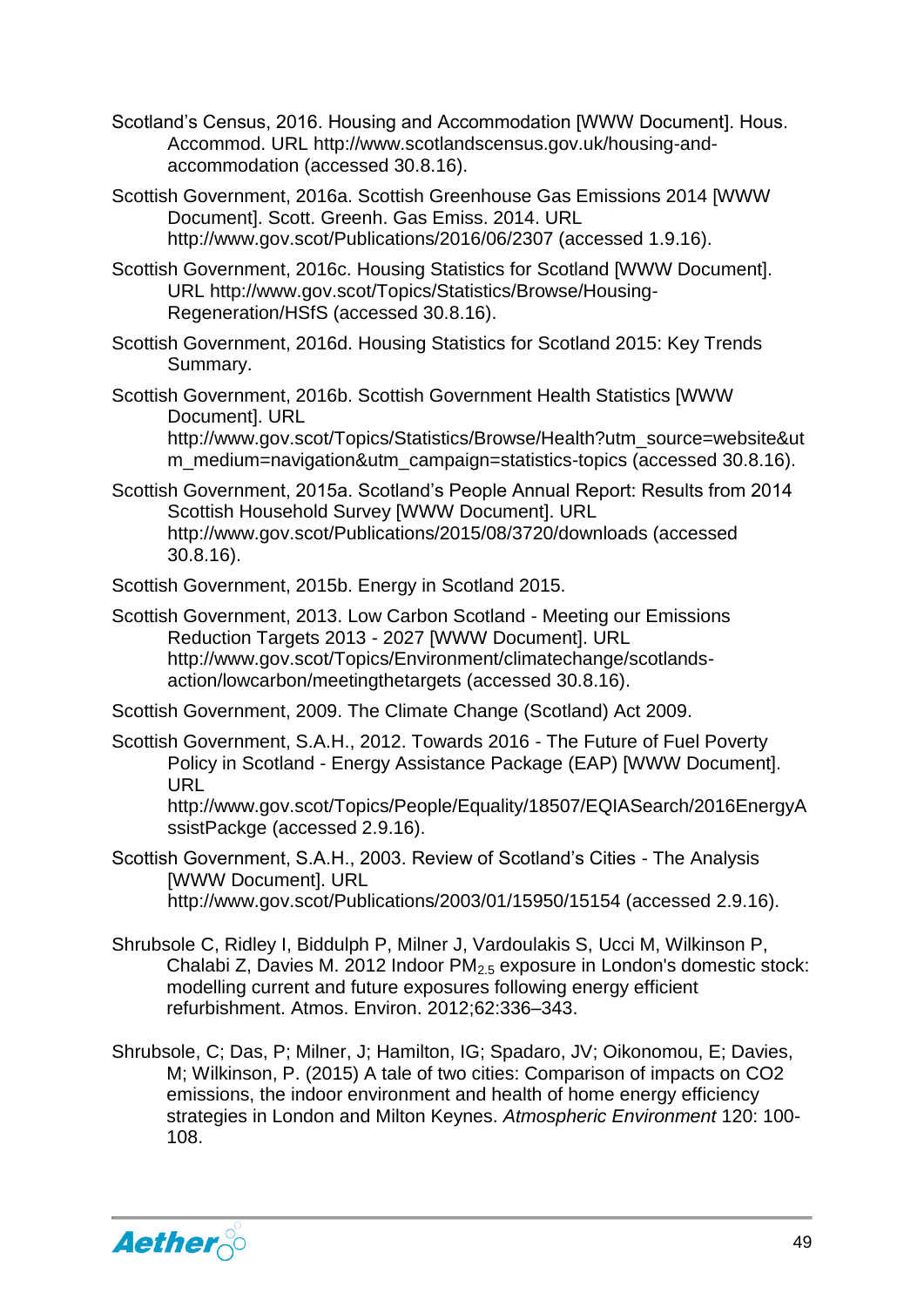Scotland's Census, 2016. Housing and Accommodation [WWW Document]. Hous. Accommod. URL http://www.scotlandscensus.gov.uk/housing-andaccommodation (accessed 30.8.16).

Scottish Government, 2016a. Scottish Greenhouse Gas Emissions 2014 [WWW Document]. Scott. Greenh. Gas Emiss. 2014. URL http://www.gov.scot/Publications/2016/06/2307 (accessed 1.9.16).

Scottish Government, 2016c. Housing Statistics for Scotland [WWW Document]. URL http://www.gov.scot/Topics/Statistics/Browse/Housing-Regeneration/HSfS (accessed 30.8.16).

Scottish Government, 2016d. Housing Statistics for Scotland 2015: Key Trends Summary.

Scottish Government, 2016b. Scottish Government Health Statistics [WWW Document]. URL

http://www.gov.scot/Topics/Statistics/Browse/Health?utm\_source=website&ut m\_medium=navigation&utm\_campaign=statistics-topics (accessed 30.8.16).

Scottish Government, 2015a. Scotland's People Annual Report: Results from 2014 Scottish Household Survey [WWW Document]. URL http://www.gov.scot/Publications/2015/08/3720/downloads (accessed 30.8.16).

Scottish Government, 2015b. Energy in Scotland 2015.

Scottish Government, 2013. Low Carbon Scotland - Meeting our Emissions Reduction Targets 2013 - 2027 [WWW Document]. URL http://www.gov.scot/Topics/Environment/climatechange/scotlandsaction/lowcarbon/meetingthetargets (accessed 30.8.16).

Scottish Government, 2009. The Climate Change (Scotland) Act 2009.

Scottish Government, S.A.H., 2012. Towards 2016 - The Future of Fuel Poverty Policy in Scotland - Energy Assistance Package (EAP) [WWW Document]. URL

http://www.gov.scot/Topics/People/Equality/18507/EQIASearch/2016EnergyA ssistPackge (accessed 2.9.16).

- Scottish Government, S.A.H., 2003. Review of Scotland's Cities The Analysis [WWW Document]. URL http://www.gov.scot/Publications/2003/01/15950/15154 (accessed 2.9.16).
- Shrubsole C, Ridley I, Biddulph P, Milner J, Vardoulakis S, Ucci M, Wilkinson P, Chalabi Z, Davies M, 2012 Indoor PM<sub>2.5</sub> exposure in London's domestic stock: modelling current and future exposures following energy efficient refurbishment. Atmos. Environ. 2012;62:336–343.
- Shrubsole, C; Das, P; Milner, J; Hamilton, IG; Spadaro, JV; Oikonomou, E; Davies, M; Wilkinson, P. (2015) A tale of two cities: Comparison of impacts on CO2 emissions, the indoor environment and health of home energy efficiency strategies in London and Milton Keynes. *Atmospheric Environment* 120: 100- 108.

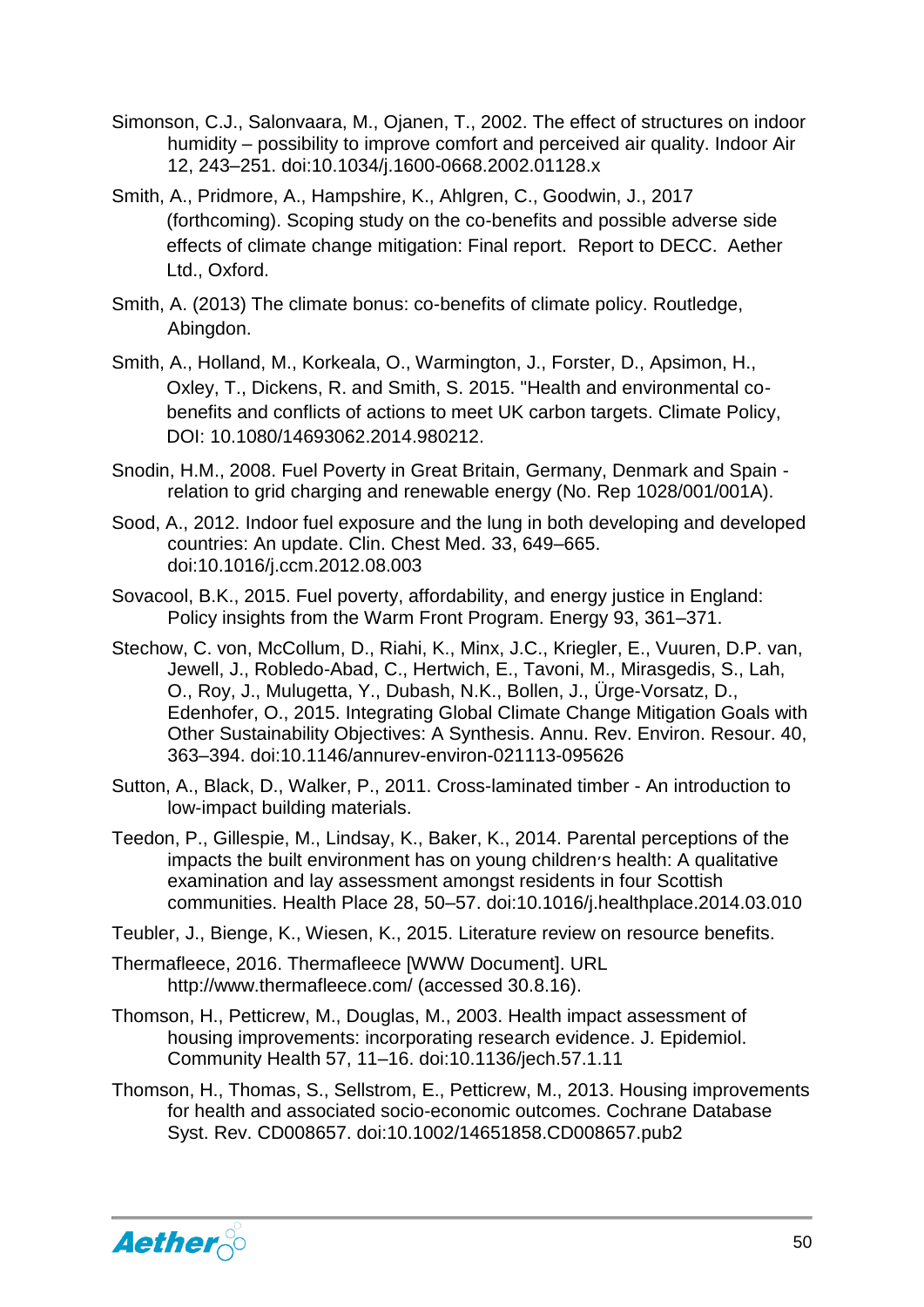- Simonson, C.J., Salonvaara, M., Ojanen, T., 2002. The effect of structures on indoor humidity – possibility to improve comfort and perceived air quality. Indoor Air 12, 243–251. doi:10.1034/j.1600-0668.2002.01128.x
- Smith, A., Pridmore, A., Hampshire, K., Ahlgren, C., Goodwin, J., 2017 (forthcoming). Scoping study on the co-benefits and possible adverse side effects of climate change mitigation: Final report. Report to DECC. Aether Ltd., Oxford.
- Smith, A. (2013) The climate bonus: co-benefits of climate policy. Routledge, Abingdon.
- Smith, A., Holland, M., Korkeala, O., Warmington, J., Forster, D., Apsimon, H., Oxley, T., Dickens, R. and Smith, S. 2015. "Health and environmental cobenefits and conflicts of actions to meet UK carbon targets. Climate Policy, DOI: 10.1080/14693062.2014.980212.
- Snodin, H.M., 2008. Fuel Poverty in Great Britain, Germany, Denmark and Spain relation to grid charging and renewable energy (No. Rep 1028/001/001A).
- Sood, A., 2012. Indoor fuel exposure and the lung in both developing and developed countries: An update. Clin. Chest Med. 33, 649–665. doi:10.1016/j.ccm.2012.08.003
- Sovacool, B.K., 2015. Fuel poverty, affordability, and energy justice in England: Policy insights from the Warm Front Program. Energy 93, 361–371.
- Stechow, C. von, McCollum, D., Riahi, K., Minx, J.C., Kriegler, E., Vuuren, D.P. van, Jewell, J., Robledo-Abad, C., Hertwich, E., Tavoni, M., Mirasgedis, S., Lah, O., Roy, J., Mulugetta, Y., Dubash, N.K., Bollen, J., Ürge-Vorsatz, D., Edenhofer, O., 2015. Integrating Global Climate Change Mitigation Goals with Other Sustainability Objectives: A Synthesis. Annu. Rev. Environ. Resour. 40, 363–394. doi:10.1146/annurev-environ-021113-095626
- Sutton, A., Black, D., Walker, P., 2011. Cross-laminated timber An introduction to low-impact building materials.
- Teedon, P., Gillespie, M., Lindsay, K., Baker, K., 2014. Parental perceptions of the impacts the built environment has on young children׳s health: A qualitative examination and lay assessment amongst residents in four Scottish communities. Health Place 28, 50–57. doi:10.1016/j.healthplace.2014.03.010
- Teubler, J., Bienge, K., Wiesen, K., 2015. Literature review on resource benefits.
- Thermafleece, 2016. Thermafleece [WWW Document]. URL http://www.thermafleece.com/ (accessed 30.8.16).
- Thomson, H., Petticrew, M., Douglas, M., 2003. Health impact assessment of housing improvements: incorporating research evidence. J. Epidemiol. Community Health 57, 11–16. doi:10.1136/jech.57.1.11
- Thomson, H., Thomas, S., Sellstrom, E., Petticrew, M., 2013. Housing improvements for health and associated socio-economic outcomes. Cochrane Database Syst. Rev. CD008657. doi:10.1002/14651858.CD008657.pub2

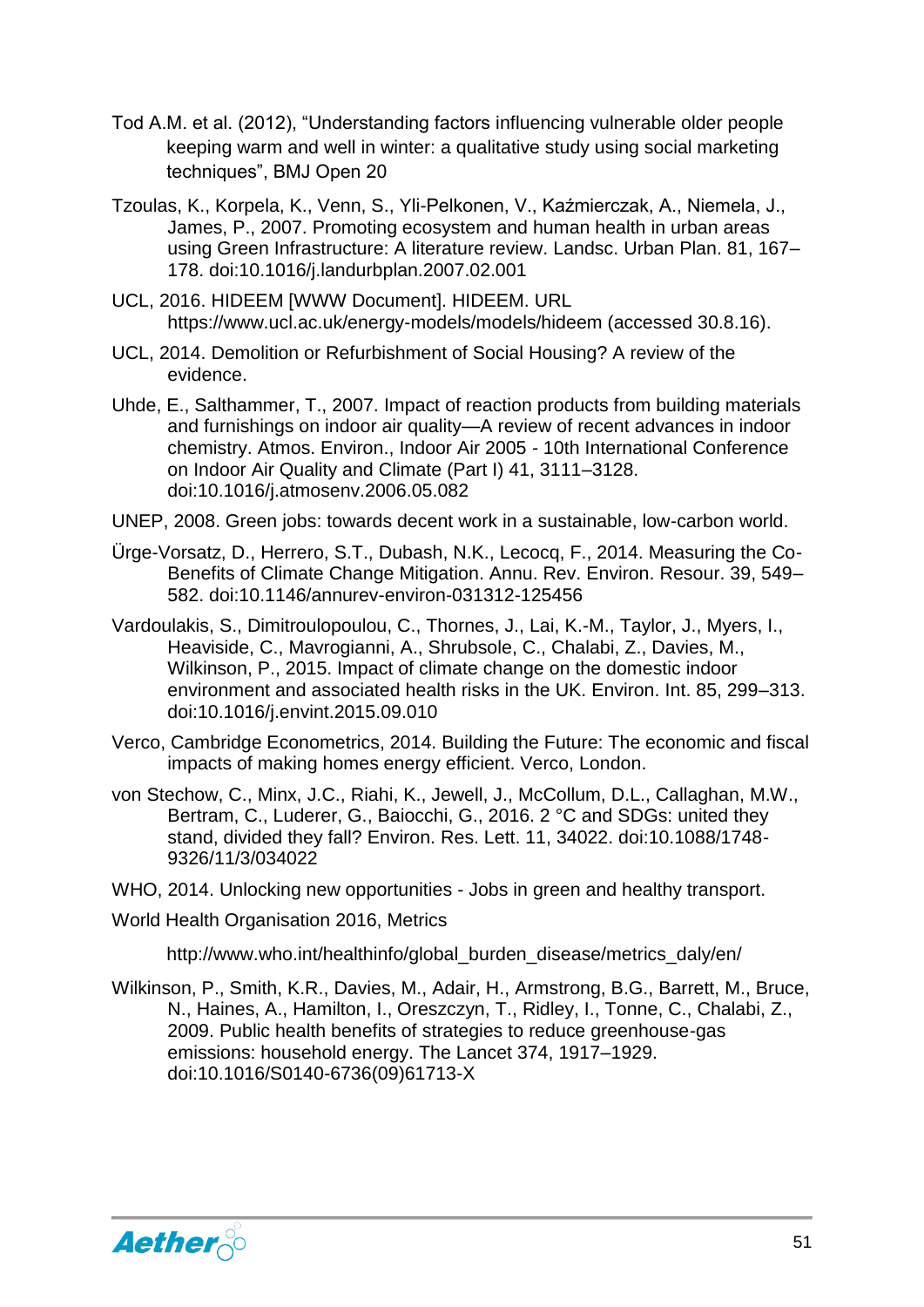- Tod A.M. et al. (2012), "Understanding factors influencing vulnerable older people keeping warm and well in winter: a qualitative study using social marketing techniques", BMJ Open 20
- Tzoulas, K., Korpela, K., Venn, S., Yli-Pelkonen, V., Kaźmierczak, A., Niemela, J., James, P., 2007. Promoting ecosystem and human health in urban areas using Green Infrastructure: A literature review. Landsc. Urban Plan. 81, 167– 178. doi:10.1016/j.landurbplan.2007.02.001
- UCL, 2016. HIDEEM [WWW Document]. HIDEEM. URL https://www.ucl.ac.uk/energy-models/models/hideem (accessed 30.8.16).
- UCL, 2014. Demolition or Refurbishment of Social Housing? A review of the evidence.
- Uhde, E., Salthammer, T., 2007. Impact of reaction products from building materials and furnishings on indoor air quality—A review of recent advances in indoor chemistry. Atmos. Environ., Indoor Air 2005 - 10th International Conference on Indoor Air Quality and Climate (Part I) 41, 3111–3128. doi:10.1016/j.atmosenv.2006.05.082
- UNEP, 2008. Green jobs: towards decent work in a sustainable, low-carbon world.
- Ürge-Vorsatz, D., Herrero, S.T., Dubash, N.K., Lecocq, F., 2014. Measuring the Co-Benefits of Climate Change Mitigation. Annu. Rev. Environ. Resour. 39, 549– 582. doi:10.1146/annurev-environ-031312-125456
- Vardoulakis, S., Dimitroulopoulou, C., Thornes, J., Lai, K.-M., Taylor, J., Myers, I., Heaviside, C., Mavrogianni, A., Shrubsole, C., Chalabi, Z., Davies, M., Wilkinson, P., 2015. Impact of climate change on the domestic indoor environment and associated health risks in the UK. Environ. Int. 85, 299–313. doi:10.1016/j.envint.2015.09.010
- Verco, Cambridge Econometrics, 2014. Building the Future: The economic and fiscal impacts of making homes energy efficient. Verco, London.
- von Stechow, C., Minx, J.C., Riahi, K., Jewell, J., McCollum, D.L., Callaghan, M.W., Bertram, C., Luderer, G., Baiocchi, G., 2016. 2 °C and SDGs: united they stand, divided they fall? Environ. Res. Lett. 11, 34022. doi:10.1088/1748- 9326/11/3/034022
- WHO, 2014. Unlocking new opportunities Jobs in green and healthy transport.
- World Health Organisation 2016, Metrics

http://www.who.int/healthinfo/global\_burden\_disease/metrics\_daly/en/

Wilkinson, P., Smith, K.R., Davies, M., Adair, H., Armstrong, B.G., Barrett, M., Bruce, N., Haines, A., Hamilton, I., Oreszczyn, T., Ridley, I., Tonne, C., Chalabi, Z., 2009. Public health benefits of strategies to reduce greenhouse-gas emissions: household energy. The Lancet 374, 1917–1929. doi:10.1016/S0140-6736(09)61713-X